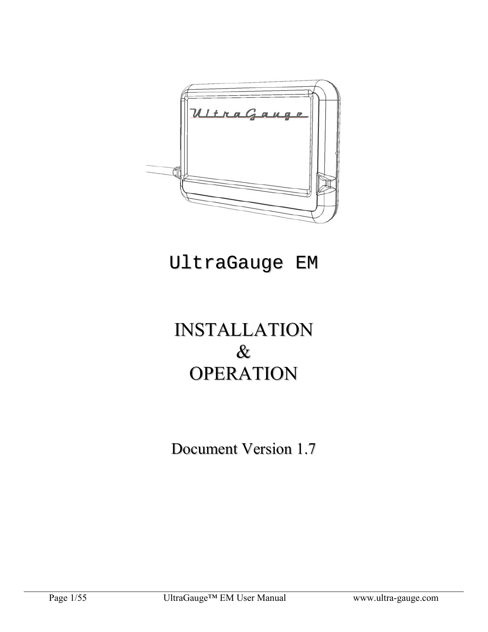

# UltraGauge EM

# INSTALLATION & **OPERATION**

Document Version 1.7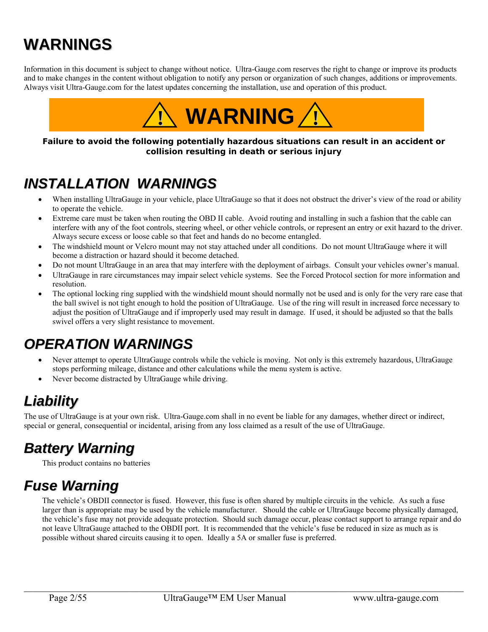# **WARNINGS**

Information in this document is subject to change without notice. Ultra-Gauge.com reserves the right to change or improve its products and to make changes in the content without obligation to notify any person or organization of such changes, additions or improvements. Always visit Ultra-Gauge.com for the latest updates concerning the installation, use and operation of this product.



#### **Failure to avoid the following potentially hazardous situations can result in an accident or collision resulting in death or serious injury**

## *INSTALLATION WARNINGS*

- When installing UltraGauge in your vehicle, place UltraGauge so that it does not obstruct the driver's view of the road or ability to operate the vehicle.
- Extreme care must be taken when routing the OBD II cable. Avoid routing and installing in such a fashion that the cable can interfere with any of the foot controls, steering wheel, or other vehicle controls, or represent an entry or exit hazard to the driver. Always secure excess or loose cable so that feet and hands do no become entangled.
- The windshield mount or Velcro mount may not stay attached under all conditions. Do not mount UltraGauge where it will become a distraction or hazard should it become detached.
- Do not mount UltraGauge in an area that may interfere with the deployment of airbags. Consult your vehicles owner's manual.
- UltraGauge in rare circumstances may impair select vehicle systems. See the Forced Protocol section for more information and resolution.
- The optional locking ring supplied with the windshield mount should normally not be used and is only for the very rare case that the ball swivel is not tight enough to hold the position of UltraGauge. Use of the ring will result in increased force necessary to adjust the position of UltraGauge and if improperly used may result in damage. If used, it should be adjusted so that the balls swivel offers a very slight resistance to movement.

## *OPERATION WARNINGS*

- Never attempt to operate UltraGauge controls while the vehicle is moving. Not only is this extremely hazardous, UltraGauge stops performing mileage, distance and other calculations while the menu system is active.
- Never become distracted by UltraGauge while driving.

## *Liability*

The use of UltraGauge is at your own risk. Ultra-Gauge.com shall in no event be liable for any damages, whether direct or indirect, special or general, consequential or incidental, arising from any loss claimed as a result of the use of UltraGauge.

## *Battery Warning*

This product contains no batteries

## *Fuse Warning*

The vehicle's OBDII connector is fused. However, this fuse is often shared by multiple circuits in the vehicle. As such a fuse larger than is appropriate may be used by the vehicle manufacturer. Should the cable or UltraGauge become physically damaged, the vehicle's fuse may not provide adequate protection. Should such damage occur, please contact support to arrange repair and do not leave UltraGauge attached to the OBDII port. It is recommended that the vehicle's fuse be reduced in size as much as is possible without shared circuits causing it to open. Ideally a 5A or smaller fuse is preferred.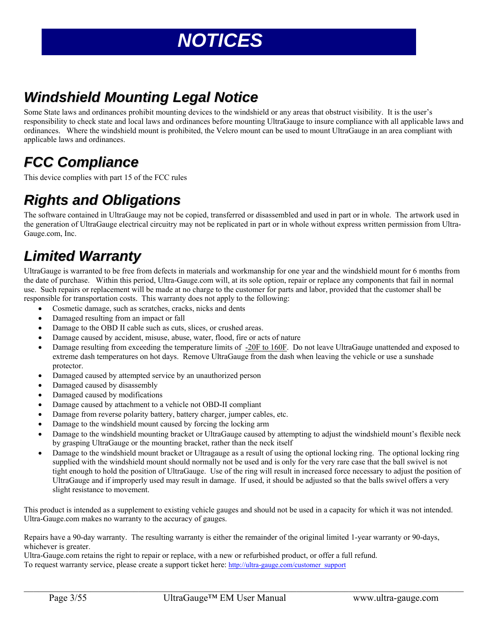# *NOTICES*

## *Windshield Mounting Legal Notice*

Some State laws and ordinances prohibit mounting devices to the windshield or any areas that obstruct visibility. It is the user's responsibility to check state and local laws and ordinances before mounting UltraGauge to insure compliance with all applicable laws and ordinances. Where the windshield mount is prohibited, the Velcro mount can be used to mount UltraGauge in an area compliant with applicable laws and ordinances.

## *FCC Compliance*

This device complies with part 15 of the FCC rules

## *Rights and Obligations*

The software contained in UltraGauge may not be copied, transferred or disassembled and used in part or in whole. The artwork used in the generation of UltraGauge electrical circuitry may not be replicated in part or in whole without express written permission from Ultra-Gauge.com, Inc.

## *Limited Warranty*

UltraGauge is warranted to be free from defects in materials and workmanship for one year and the windshield mount for 6 months from the date of purchase. Within this period, Ultra-Gauge.com will, at its sole option, repair or replace any components that fail in normal use. Such repairs or replacement will be made at no charge to the customer for parts and labor, provided that the customer shall be responsible for transportation costs. This warranty does not apply to the following:

- Cosmetic damage, such as scratches, cracks, nicks and dents
- Damaged resulting from an impact or fall
- Damage to the OBD II cable such as cuts, slices, or crushed areas.
- Damage caused by accident, misuse, abuse, water, flood, fire or acts of nature
- Damage resulting from exceeding the temperature limits of -20F to 160F. Do not leave UltraGauge unattended and exposed to extreme dash temperatures on hot days. Remove UltraGauge from the dash when leaving the vehicle or use a sunshade protector.
- Damaged caused by attempted service by an unauthorized person
- Damaged caused by disassembly
- Damaged caused by modifications
- Damage caused by attachment to a vehicle not OBD-II compliant
- Damage from reverse polarity battery, battery charger, jumper cables, etc.
- Damage to the windshield mount caused by forcing the locking arm
- Damage to the windshield mounting bracket or UltraGauge caused by attempting to adjust the windshield mount's flexible neck by grasping UltraGauge or the mounting bracket, rather than the neck itself
- Damage to the windshield mount bracket or Ultragauge as a result of using the optional locking ring. The optional locking ring supplied with the windshield mount should normally not be used and is only for the very rare case that the ball swivel is not tight enough to hold the position of UltraGauge. Use of the ring will result in increased force necessary to adjust the position of UltraGauge and if improperly used may result in damage. If used, it should be adjusted so that the balls swivel offers a very slight resistance to movement.

This product is intended as a supplement to existing vehicle gauges and should not be used in a capacity for which it was not intended. Ultra-Gauge.com makes no warranty to the accuracy of gauges.

 $\mathcal{L}_\mathcal{L} = \mathcal{L}_\mathcal{L} = \mathcal{L}_\mathcal{L} = \mathcal{L}_\mathcal{L} = \mathcal{L}_\mathcal{L} = \mathcal{L}_\mathcal{L} = \mathcal{L}_\mathcal{L} = \mathcal{L}_\mathcal{L} = \mathcal{L}_\mathcal{L} = \mathcal{L}_\mathcal{L} = \mathcal{L}_\mathcal{L} = \mathcal{L}_\mathcal{L} = \mathcal{L}_\mathcal{L} = \mathcal{L}_\mathcal{L} = \mathcal{L}_\mathcal{L} = \mathcal{L}_\mathcal{L} = \mathcal{L}_\mathcal{L}$ 

Repairs have a 90-day warranty. The resulting warranty is either the remainder of the original limited 1-year warranty or 90-days, whichever is greater.

Ultra-Gauge.com retains the right to repair or replace, with a new or refurbished product, or offer a full refund. To request warranty service, please create a support ticket here: http://ultra-gauge.com/customer\_support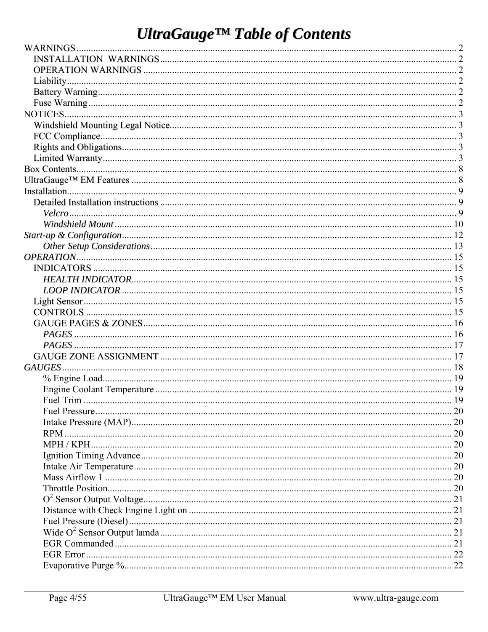# **UltraGauge™ Table of Contents**

| Fuel Trim | 19 |
|-----------|----|
|           |    |
|           |    |
| RPM.      |    |
|           |    |
|           |    |
|           |    |
|           |    |
|           |    |
|           |    |
|           |    |
|           |    |
|           |    |
|           |    |
|           |    |
|           |    |
|           |    |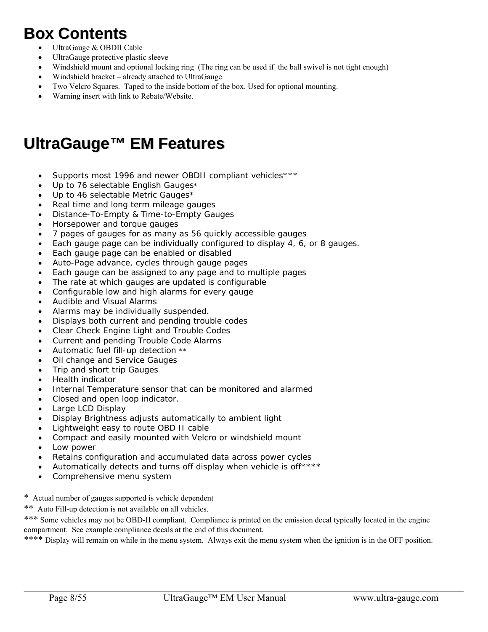## **Box Contents**

- UltraGauge & OBDII Cable
- UltraGauge protective plastic sleeve
- Windshield mount and optional locking ring (The ring can be used if the ball swivel is not tight enough)
- Windshield bracket already attached to UltraGauge
- Two Velcro Squares. Taped to the inside bottom of the box. Used for optional mounting.
- Warning insert with link to Rebate/Website.

## **UltraGauge™ EM Features**

- Supports most 1996 and newer OBDII compliant vehicles\*\*\*
- Up to 76 selectable English Gauges\*
- Up to 46 selectable Metric Gauges\*
- Real time and long term mileage gauges
- Distance-To-Empty & Time-to-Empty Gauges
- Horsepower and torque gauges
- 7 pages of gauges for as many as 56 quickly accessible gauges
- Each gauge page can be individually configured to display 4, 6, or 8 gauges.
- Each gauge page can be enabled or disabled
- Auto-Page advance, cycles through gauge pages
- Each gauge can be assigned to any page and to multiple pages
- The rate at which gauges are updated is configurable
- Configurable low and high alarms for every gauge
- Audible and Visual Alarms
- Alarms may be individually suspended.
- Displays both current and pending trouble codes
- Clear Check Engine Light and Trouble Codes
- Current and pending Trouble Code Alarms
- Automatic fuel fill-up detection \*\*
- Oil change and Service Gauges
- Trip and short trip Gauges
- Health indicator
- Internal Temperature sensor that can be monitored and alarmed
- Closed and open loop indicator.
- Large LCD Display
- Display Brightness adjusts automatically to ambient light
- Lightweight easy to route OBD II cable
- Compact and easily mounted with Velcro or windshield mount
- Low power
- Retains configuration and accumulated data across power cycles
- Automatically detects and turns off display when vehicle is off\*\*\*\*
- Comprehensive menu system
- \* Actual number of gauges supported is vehicle dependent
- \*\* Auto Fill-up detection is not available on all vehicles.

\*\*\* Some vehicles may not be OBD-II compliant. Compliance is printed on the emission decal typically located in the engine compartment. See example compliance decals at the end of this document.

\*\*\*\* Display will remain on while in the menu system. Always exit the menu system when the ignition is in the OFF position.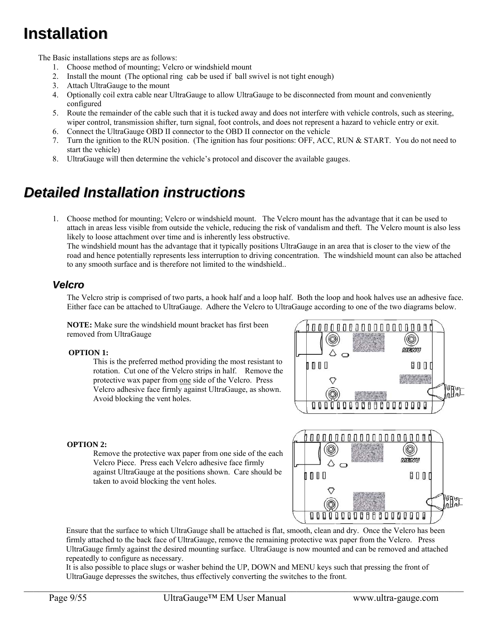## **Installation**

The Basic installations steps are as follows:

- 1. Choose method of mounting; Velcro or windshield mount
- 2. Install the mount (The optional ring cab be used if ball swivel is not tight enough)
- 3. Attach UltraGauge to the mount
- 4. Optionally coil extra cable near UltraGauge to allow UltraGauge to be disconnected from mount and conveniently configured
- 5. Route the remainder of the cable such that it is tucked away and does not interfere with vehicle controls, such as steering, wiper control, transmission shifter, turn signal, foot controls, and does not represent a hazard to vehicle entry or exit.
- 6. Connect the UltraGauge OBD II connector to the OBD II connector on the vehicle
- 7. Turn the ignition to the RUN position. (The ignition has four positions: OFF, ACC, RUN & START. You do not need to start the vehicle)
- 8. UltraGauge will then determine the vehicle's protocol and discover the available gauges.

## *Detailed Installation instructions*

1. Choose method for mounting; Velcro or windshield mount. The Velcro mount has the advantage that it can be used to attach in areas less visible from outside the vehicle, reducing the risk of vandalism and theft. The Velcro mount is also less likely to loose attachment over time and is inherently less obstructive.

The windshield mount has the advantage that it typically positions UltraGauge in an area that is closer to the view of the road and hence potentially represents less interruption to driving concentration. The windshield mount can also be attached to any smooth surface and is therefore not limited to the windshield..

### *Velcro*

The Velcro strip is comprised of two parts, a hook half and a loop half. Both the loop and hook halves use an adhesive face. Either face can be attached to UltraGauge. Adhere the Velcro to UltraGauge according to one of the two diagrams below.

**NOTE:** Make sure the windshield mount bracket has first been removed from UltraGauge

#### **OPTION 1:**

This is the preferred method providing the most resistant to rotation. Cut one of the Velcro strips in half. Remove the protective wax paper from one side of the Velcro. Press Velcro adhesive face firmly against UltraGauge, as shown. Avoid blocking the vent holes.



#### **OPTION 2:**

Remove the protective wax paper from one side of the each Velcro Piece. Press each Velcro adhesive face firmly against UltraGauge at the positions shown. Care should be taken to avoid blocking the vent holes.



Ensure that the surface to which UltraGauge shall be attached is flat, smooth, clean and dry. Once the Velcro has been firmly attached to the back face of UltraGauge, remove the remaining protective wax paper from the Velcro. Press UltraGauge firmly against the desired mounting surface. UltraGauge is now mounted and can be removed and attached repeatedly to configure as necessary.

It is also possible to place slugs or washer behind the UP, DOWN and MENU keys such that pressing the front of UltraGauge depresses the switches, thus effectively converting the switches to the front.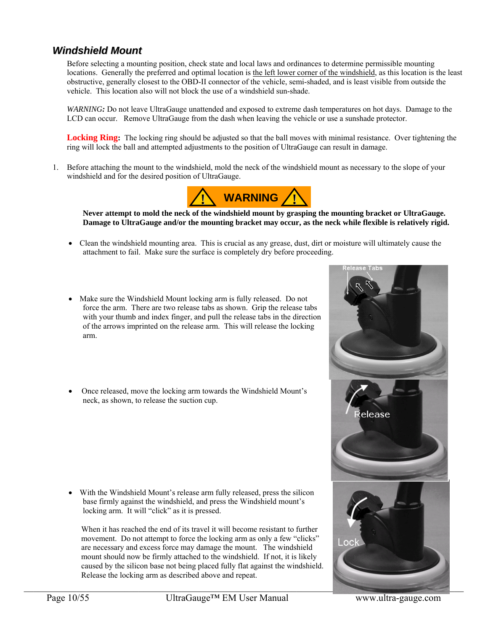### *Windshield Mount*

Before selecting a mounting position, check state and local laws and ordinances to determine permissible mounting locations. Generally the preferred and optimal location is the left lower corner of the windshield, as this location is the least obstructive, generally closest to the OBD-II connector of the vehicle, semi-shaded, and is least visible from outside the vehicle. This location also will not block the use of a windshield sun-shade.

*WARNING:* Do not leave UltraGauge unattended and exposed to extreme dash temperatures on hot days. Damage to the LCD can occur. Remove UltraGauge from the dash when leaving the vehicle or use a sunshade protector.

Locking Ring: The locking ring should be adjusted so that the ball moves with minimal resistance. Over tightening the ring will lock the ball and attempted adjustments to the position of UltraGauge can result in damage.

1. Before attaching the mount to the windshield, mold the neck of the windshield mount as necessary to the slope of your windshield and for the desired position of UltraGauge.



**Never attempt to mold the neck of the windshield mount by grasping the mounting bracket or UltraGauge. Damage to UltraGauge and/or the mounting bracket may occur, as the neck while flexible is relatively rigid.** 

- Clean the windshield mounting area. This is crucial as any grease, dust, dirt or moisture will ultimately cause the attachment to fail. Make sure the surface is completely dry before proceeding.
- Make sure the Windshield Mount locking arm is fully released. Do not force the arm. There are two release tabs as shown. Grip the release tabs with your thumb and index finger, and pull the release tabs in the direction of the arrows imprinted on the release arm. This will release the locking arm.
- Once released, move the locking arm towards the Windshield Mount's neck, as shown, to release the suction cup.

 With the Windshield Mount's release arm fully released, press the silicon base firmly against the windshield, and press the Windshield mount's locking arm. It will "click" as it is pressed.

When it has reached the end of its travel it will become resistant to further movement. Do not attempt to force the locking arm as only a few "clicks" are necessary and excess force may damage the mount. The windshield mount should now be firmly attached to the windshield. If not, it is likely caused by the silicon base not being placed fully flat against the windshield. Release the locking arm as described above and repeat.

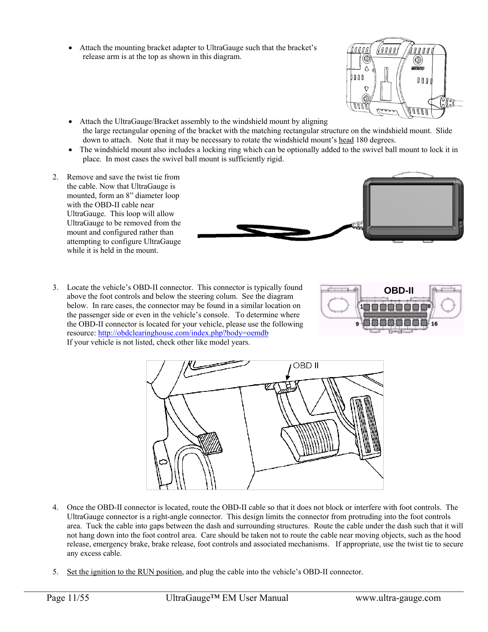Attach the mounting bracket adapter to UltraGauge such that the bracket's release arm is at the top as shown in this diagram.



- Attach the UltraGauge/Bracket assembly to the windshield mount by aligning the large rectangular opening of the bracket with the matching rectangular structure on the windshield mount. Slide down to attach. Note that it may be necessary to rotate the windshield mount's head 180 degrees.
- The windshield mount also includes a locking ring which can be optionally added to the swivel ball mount to lock it in place. In most cases the swivel ball mount is sufficiently rigid.
- 2. Remove and save the twist tie from the cable. Now that UltraGauge is mounted, form an 8" diameter loop with the OBD-II cable near UltraGauge. This loop will allow UltraGauge to be removed from the mount and configured rather than attempting to configure UltraGauge while it is held in the mount.
- 3. Locate the vehicle's OBD-II connector. This connector is typically found above the foot controls and below the steering colum. See the diagram below. In rare cases, the connector may be found in a similar location on the passenger side or even in the vehicle's console. To determine where the OBD-II connector is located for your vehicle, please use the following resource: http://obdclearinghouse.com/index.php?body=oemdb If your vehicle is not listed, check other like model years.





- 4. Once the OBD-II connector is located, route the OBD-II cable so that it does not block or interfere with foot controls. The UltraGauge connector is a right-angle connector. This design limits the connector from protruding into the foot controls area. Tuck the cable into gaps between the dash and surrounding structures. Route the cable under the dash such that it will not hang down into the foot control area. Care should be taken not to route the cable near moving objects, such as the hood release, emergency brake, brake release, foot controls and associated mechanisms. If appropriate, use the twist tie to secure any excess cable.
- 5. Set the ignition to the RUN position, and plug the cable into the vehicle's OBD-II connector.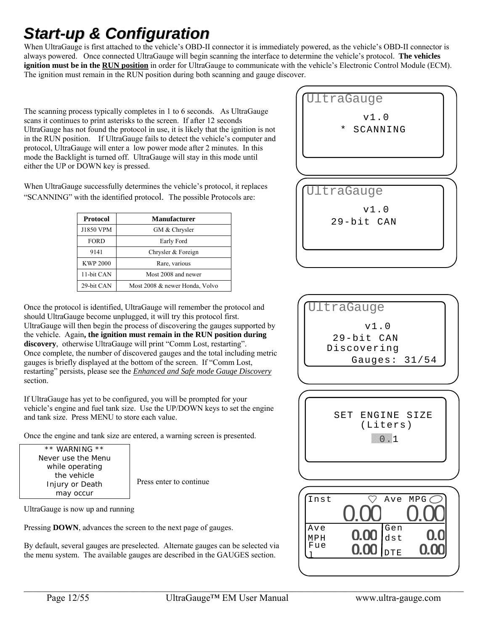## *Start-up & Configuration*

When UltraGauge is first attached to the vehicle's OBD-II connector it is immediately powered, as the vehicle's OBD-II connector is always powered. Once connected UltraGauge will begin scanning the interface to determine the vehicle's protocol. **The vehicles ignition must be in the RUN position** in order for UltraGauge to communicate with the vehicle's Electronic Control Module (ECM). The ignition must remain in the RUN position during both scanning and gauge discover.

The scanning process typically completes in 1 to 6 seconds. As UltraGauge scans it continues to print asterisks to the screen. If after 12 seconds UltraGauge has not found the protocol in use, it is likely that the ignition is not in the RUN position. If UltraGauge fails to detect the vehicle's computer and protocol, UltraGauge will enter a low power mode after 2 minutes. In this mode the Backlight is turned off. UltraGauge will stay in this mode until either the UP or DOWN key is pressed.

When UltraGauge successfully determines the vehicle's protocol, it replaces "SCANNING" with the identified protocol. The possible Protocols are:

| Protocol        | <b>Manufacturer</b>            |  |
|-----------------|--------------------------------|--|
| J1850 VPM       | GM & Chrysler                  |  |
| <b>FORD</b>     | Early Ford                     |  |
| 9141            | Chrysler & Foreign             |  |
| <b>KWP 2000</b> | Rare, various                  |  |
| 11-bit CAN      | Most 2008 and newer            |  |
| 29-bit CAN      | Most 2008 & newer Honda, Volvo |  |

Once the protocol is identified, UltraGauge will remember the protocol and should UltraGauge become unplugged, it will try this protocol first. UltraGauge will then begin the process of discovering the gauges supported by the vehicle. Again**, the ignition must remain in the RUN position during discovery**, otherwise UltraGauge will print "Comm Lost, restarting". Once complete, the number of discovered gauges and the total including metric gauges is briefly displayed at the bottom of the screen. If "Comm Lost, restarting" persists, please see the *Enhanced and Safe mode Gauge Discovery* section.

If UltraGauge has yet to be configured, you will be prompted for your vehicle's engine and fuel tank size. Use the UP/DOWN keys to set the engine and tank size. Press MENU to store each value.

Once the engine and tank size are entered, a warning screen is presented.

\*\* WARNING \*\* Never use the Menu while operating the vehicle Injury or Death may occur

Press enter to continue

UltraGauge is now up and running

Pressing **DOWN**, advances the screen to the next page of gauges.

By default, several gauges are preselected. Alternate gauges can be selected via the menu system. The available gauges are described in the GAUGES section.





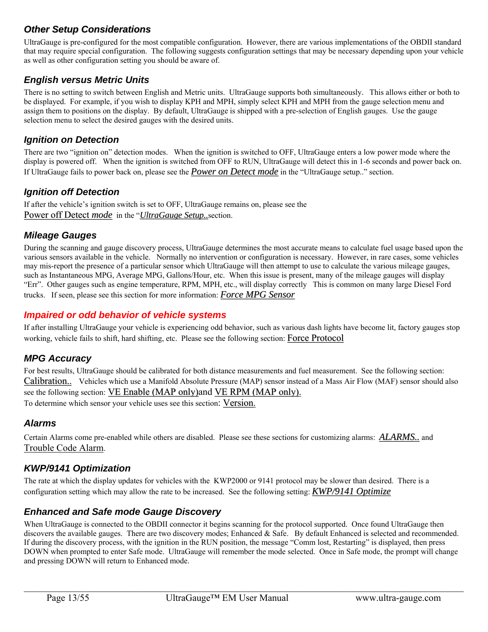### *Other Setup Considerations*

UltraGauge is pre-configured for the most compatible configuration. However, there are various implementations of the OBDII standard that may require special configuration. The following suggests configuration settings that may be necessary depending upon your vehicle as well as other configuration setting you should be aware of.

### *English versus Metric Units*

There is no setting to switch between English and Metric units. UltraGauge supports both simultaneously. This allows either or both to be displayed. For example, if you wish to display KPH and MPH, simply select KPH and MPH from the gauge selection menu and assign them to positions on the display. By default, UltraGauge is shipped with a pre-selection of English gauges. Use the gauge selection menu to select the desired gauges with the desired units.

### *Ignition on Detection*

There are two "ignition on" detection modes. When the ignition is switched to OFF, UltraGauge enters a low power mode where the display is powered off. When the ignition is switched from OFF to RUN, UltraGauge will detect this in 1-6 seconds and power back on. If UltraGauge fails to power back on, please see the *Power on Detect mode* in the "UltraGauge setup.." section.

### *Ignition off Detection*

If after the vehicle's ignition switch is set to OFF, UltraGauge remains on, please see the Power off Detect *mode* in the "*UltraGauge Setup..*section.

#### *Mileage Gauges*

During the scanning and gauge discovery process, UltraGauge determines the most accurate means to calculate fuel usage based upon the various sensors available in the vehicle. Normally no intervention or configuration is necessary. However, in rare cases, some vehicles may mis-report the presence of a particular sensor which UltraGauge will then attempt to use to calculate the various mileage gauges, such as Instantaneous MPG, Average MPG, Gallons/Hour, etc. When this issue is present, many of the mileage gauges will display "Err". Other gauges such as engine temperature, RPM, MPH, etc., will display correctly This is common on many large Diesel Ford trucks. If seen, please see this section for more information: *Force MPG Sensor*

#### *Impaired or odd behavior of vehicle systems*

If after installing UltraGauge your vehicle is experiencing odd behavior, such as various dash lights have become lit, factory gauges stop working, vehicle fails to shift, hard shifting, etc. Please see the following section: Force Protocol

#### *MPG Accuracy*

For best results, UltraGauge should be calibrated for both distance measurements and fuel measurement. See the following section: Calibration.. Vehicles which use a Manifold Absolute Pressure (MAP) sensor instead of a Mass Air Flow (MAF) sensor should also see the following section: VE Enable (MAP only) and VE RPM (MAP only).

To determine which sensor your vehicle uses see this section: Version.

#### *Alarms*

Certain Alarms come pre-enabled while others are disabled. Please see these sections for customizing alarms: *ALARMS..* and Trouble Code Alarm.

### *KWP/9141 Optimization*

The rate at which the display updates for vehicles with the KWP2000 or 9141 protocol may be slower than desired. There is a configuration setting which may allow the rate to be increased. See the following setting: *KWP/9141 Optimize*

### *Enhanced and Safe mode Gauge Discovery*

When UltraGauge is connected to the OBDII connector it begins scanning for the protocol supported. Once found UltraGauge then discovers the available gauges. There are two discovery modes; Enhanced & Safe. By default Enhanced is selected and recommended. If during the discovery process, with the ignition in the RUN position, the message "Comm lost, Restarting" is displayed, then press DOWN when prompted to enter Safe mode. UltraGauge will remember the mode selected. Once in Safe mode, the prompt will change and pressing DOWN will return to Enhanced mode.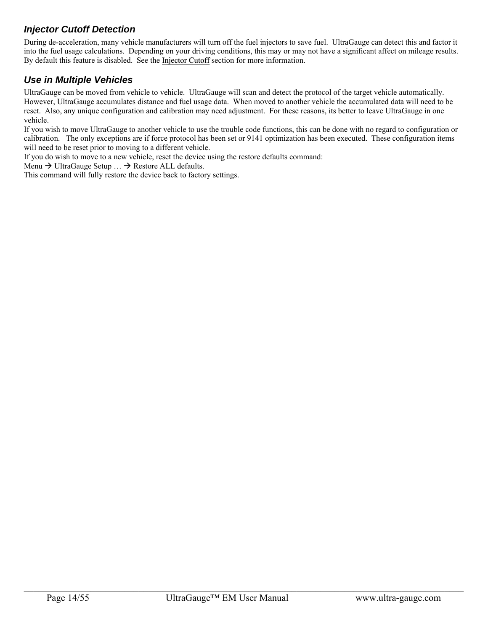### *Injector Cutoff Detection*

During de-acceleration, many vehicle manufacturers will turn off the fuel injectors to save fuel. UltraGauge can detect this and factor it into the fuel usage calculations. Depending on your driving conditions, this may or may not have a significant affect on mileage results. By default this feature is disabled. See the Injector Cutoff section for more information.

### *Use in Multiple Vehicles*

UltraGauge can be moved from vehicle to vehicle. UltraGauge will scan and detect the protocol of the target vehicle automatically. However, UltraGauge accumulates distance and fuel usage data. When moved to another vehicle the accumulated data will need to be reset. Also, any unique configuration and calibration may need adjustment. For these reasons, its better to leave UltraGauge in one vehicle.

If you wish to move UltraGauge to another vehicle to use the trouble code functions, this can be done with no regard to configuration or calibration. The only exceptions are if force protocol has been set or 9141 optimization has been executed. These configuration items will need to be reset prior to moving to a different vehicle.

If you do wish to move to a new vehicle, reset the device using the restore defaults command:

Menu  $\rightarrow$  UltraGauge Setup  $\ldots \rightarrow$  Restore ALL defaults.

This command will fully restore the device back to factory settings.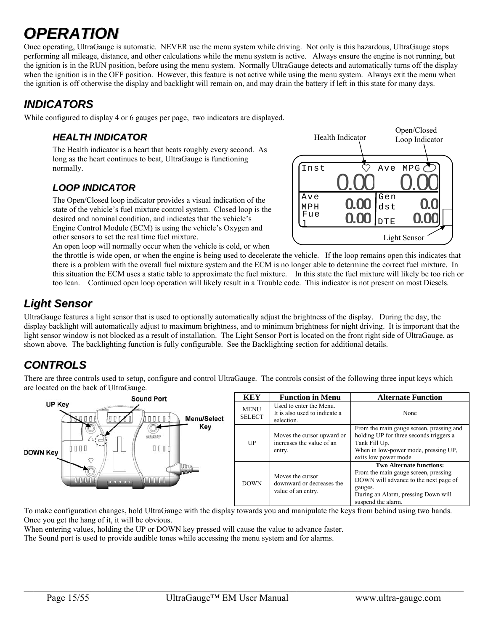# *OPERATION*

Once operating, UltraGauge is automatic. NEVER use the menu system while driving. Not only is this hazardous, UltraGauge stops performing all mileage, distance, and other calculations while the menu system is active. Always ensure the engine is not running, but the ignition is in the RUN position, before using the menu system. Normally UltraGauge detects and automatically turns off the display when the ignition is in the OFF position. However, this feature is not active while using the menu system. Always exit the menu when the ignition is off otherwise the display and backlight will remain on, and may drain the battery if left in this state for many days.

## *INDICATORS*

While configured to display 4 or 6 gauges per page, two indicators are displayed.

### *HEALTH INDICATOR*

The Health indicator is a heart that beats roughly every second. As long as the heart continues to beat, UltraGauge is functioning normally.

## *LOOP INDICATOR*

The Open/Closed loop indicator provides a visual indication of the state of the vehicle's fuel mixture control system. Closed loop is the desired and nominal condition, and indicates that the vehicle's Engine Control Module (ECM) is using the vehicle's Oxygen and other sensors to set the real time fuel mixture.

An open loop will normally occur when the vehicle is cold, or when

Ave MPH Fue  $\perp$ **0.00** DTE Gen dst Inst  $\heartsuit$  Ave MPG 0.00 0.00 **0.00 0.00 0.0** Open/Closed Health Indicator Loop Indicator Light Sensor

the throttle is wide open, or when the engine is being used to decelerate the vehicle. If the loop remains open this indicates that there is a problem with the overall fuel mixture system and the ECM is no longer able to determine the correct fuel mixture. In this situation the ECM uses a static table to approximate the fuel mixture. In this state the fuel mixture will likely be too rich or too lean. Continued open loop operation will likely result in a Trouble code. This indicator is not present on most Diesels.

## *Light Sensor*

UltraGauge features a light sensor that is used to optionally automatically adjust the brightness of the display. During the day, the display backlight will automatically adjust to maximum brightness, and to minimum brightness for night driving. It is important that the light sensor window is not blocked as a result of installation. The Light Sensor Port is located on the front right side of UltraGauge, as shown above. The backlighting function is fully configurable. See the Backlighting section for additional details.

## *CONTROLS*

There are three controls used to setup, configure and control UltraGauge. The controls consist of the following three input keys which are located on the back of UltraGauge.

|                 | <b>Sound Port</b>                                     | <b>KEY</b>                   | <b>Function in Menu</b>                                                | <b>Alternate Function</b>                                                                                                                                                                |
|-----------------|-------------------------------------------------------|------------------------------|------------------------------------------------------------------------|------------------------------------------------------------------------------------------------------------------------------------------------------------------------------------------|
| UP Key          | <b>Menu/Select</b>                                    | <b>MENU</b><br><b>SELECT</b> | Used to enter the Menu.<br>It is also used to indicate a<br>selection. | None                                                                                                                                                                                     |
| <b>DOWN Key</b> | Key<br>的高效防<br>0000<br>000                            | UP                           | Moves the cursor upward or<br>increases the value of an<br>entry.      | From the main gauge screen, pressing and<br>holding UP for three seconds triggers a<br>Tank Fill Up.<br>When in low-power mode, pressing UP,<br>exits low power mode.                    |
|                 | Andri Maria<br>and the Unit Link<br><b>CONTRACTOR</b> | <b>DOWN</b>                  | Moves the cursor<br>downward or decreases the<br>value of an entry.    | <b>Two Alternate functions:</b><br>From the main gauge screen, pressing<br>DOWN will advance to the next page of<br>gauges.<br>During an Alarm, pressing Down will<br>suspend the alarm. |

To make configuration changes, hold UltraGauge with the display towards you and manipulate the keys from behind using two hands. Once you get the hang of it, it will be obvious.

When entering values, holding the UP or DOWN key pressed will cause the value to advance faster.

The Sound port is used to provide audible tones while accessing the menu system and for alarms.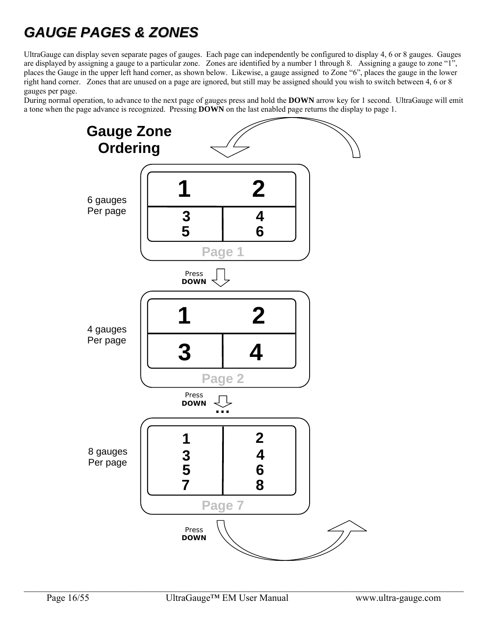## *GAUGE PAGES & ZONES*

UltraGauge can display seven separate pages of gauges. Each page can independently be configured to display 4, 6 or 8 gauges. Gauges are displayed by assigning a gauge to a particular zone. Zones are identified by a number 1 through 8. Assigning a gauge to zone "1", places the Gauge in the upper left hand corner, as shown below. Likewise, a gauge assigned to Zone "6", places the gauge in the lower right hand corner. Zones that are unused on a page are ignored, but still may be assigned should you wish to switch between 4, 6 or 8 gauges per page.

During normal operation, to advance to the next page of gauges press and hold the **DOWN** arrow key for 1 second. UltraGauge will emit a tone when the page advance is recognized. Pressing **DOWN** on the last enabled page returns the display to page 1.

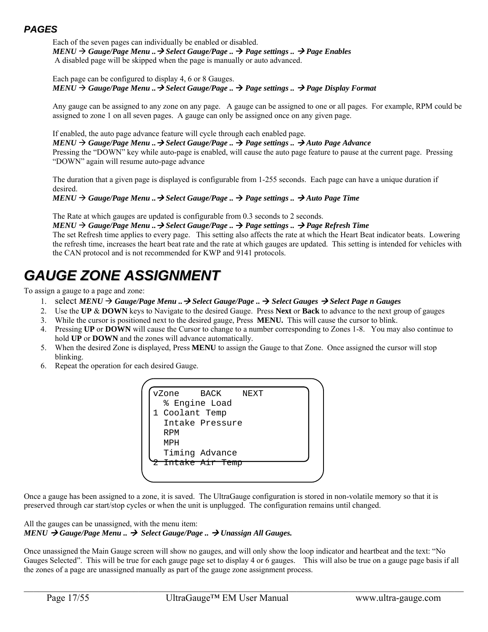### *PAGES*

Each of the seven pages can individually be enabled or disabled.  $MENU \rightarrow$  Gauge/Page Menu ..  $\rightarrow$  Select Gauge/Page ..  $\rightarrow$  Page settings ..  $\rightarrow$  Page Enables A disabled page will be skipped when the page is manually or auto advanced.

#### Each page can be configured to display 4, 6 or 8 Gauges.  $MENU \rightarrow Gauge/Page$  Menu .. $\rightarrow$  Select Gauge/Page ..  $\rightarrow$  Page settings ..  $\rightarrow$  Page Display Format

Any gauge can be assigned to any zone on any page. A gauge can be assigned to one or all pages. For example, RPM could be assigned to zone 1 on all seven pages. A gauge can only be assigned once on any given page.

If enabled, the auto page advance feature will cycle through each enabled page.  $MENU \rightarrow Gauge/Page$  Menu ..  $\rightarrow$  Select Gauge/Page ..  $\rightarrow$  Page settings ..  $\rightarrow$  Auto Page Advance Pressing the "DOWN" key while auto-page is enabled, will cause the auto page feature to pause at the current page. Pressing "DOWN" again will resume auto-page advance

The duration that a given page is displayed is configurable from 1-255 seconds. Each page can have a unique duration if desired.

 $MENU \rightarrow Gauge/Page$  Menu .. $\rightarrow$  Select Gauge/Page ..  $\rightarrow$  Page settings ..  $\rightarrow$  Auto Page Time

The Rate at which gauges are updated is configurable from 0.3 seconds to 2 seconds.

 $MENU \rightarrow Gauge/Page$  Menu ..  $\rightarrow$  Select Gauge/Page ..  $\rightarrow$  Page settings ..  $\rightarrow$  Page Refresh Time

The set Refresh time applies to every page. This setting also affects the rate at which the Heart Beat indicator beats. Lowering the refresh time, increases the heart beat rate and the rate at which gauges are updated. This setting is intended for vehicles with the CAN protocol and is not recommended for KWP and 9141 protocols.

## *GAUGE ZONE ASSIGNMENT*

To assign a gauge to a page and zone:

- 1. select *MENU Gauge/Page Menu .. Select Gauge/Page .. Select Gauges Select Page n Gauges*
- 2. Use the **UP** & **DOWN** keys to Navigate to the desired Gauge. Press **Next** or **Back** to advance to the next group of gauges
- 3. While the cursor is positioned next to the desired gauge, Press **MENU.** This will cause the cursor to blink.
- 4. Pressing **UP** or **DOWN** will cause the Cursor to change to a number corresponding to Zones 1-8. You may also continue to hold **UP** or **DOWN** and the zones will advance automatically.
- 5. When the desired Zone is displayed, Press **MENU** to assign the Gauge to that Zone. Once assigned the cursor will stop blinking.
- 6. Repeat the operation for each desired Gauge.



Once a gauge has been assigned to a zone, it is saved. The UltraGauge configuration is stored in non-volatile memory so that it is preserved through car start/stop cycles or when the unit is unplugged. The configuration remains until changed.

#### All the gauges can be unassigned, with the menu item: *MENU Gauge/Page Menu .. Select Gauge/Page .. Unassign All Gauges.*

Once unassigned the Main Gauge screen will show no gauges, and will only show the loop indicator and heartbeat and the text: "No Gauges Selected". This will be true for each gauge page set to display 4 or 6 gauges. This will also be true on a gauge page basis if all the zones of a page are unassigned manually as part of the gauge zone assignment process.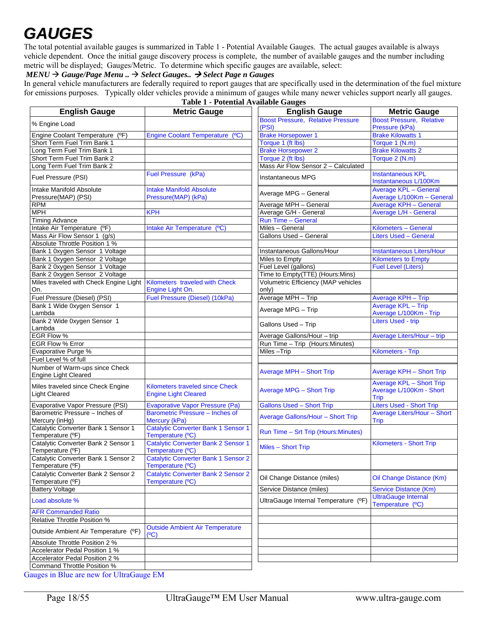# *GAUGES*

The total potential available gauges is summarized in Table 1 - Potential Available Gauges. The actual gauges available is always vehicle dependent. Once the initial gauge discovery process is complete, the number of available gauges and the number including metric will be displayed; Gauges/Metric. To determine which specific gauges are available, select:

#### *MENU Gauge/Page Menu .. Select Gauges.. Select Page n Gauges*

In general vehicle manufacturers are federally required to report gauges that are specifically used in the determination of the fuel mixture for emissions purposes. Typically older vehicles provide a minimum of gauges while many newer vehicles support nearly all gauges. **Table 1 - Potential Available Gauges** 

| <b>English Gauge</b>                                          | 1 abie 1 - Potential Available Gauges<br><b>Metric Gauge</b>   | <b>English Gauge</b>                         | <b>Metric Gauge</b>                                                |
|---------------------------------------------------------------|----------------------------------------------------------------|----------------------------------------------|--------------------------------------------------------------------|
|                                                               |                                                                | <b>Boost Pressure, Relative Pressure</b>     | <b>Boost Pressure, Relative</b>                                    |
| % Engine Load                                                 |                                                                | (PSI)                                        | Pressure (kPa)                                                     |
| Engine Coolant Temperature (°F)                               | Engine Coolant Temperature (°C)                                | <b>Brake Horsepower 1</b>                    | <b>Brake Kilowatts 1</b>                                           |
| Short Term Fuel Trim Bank 1                                   |                                                                | Torque 1 (ft lbs)                            | Torque 1 (N.m)                                                     |
| Long Term Fuel Trim Bank 1                                    |                                                                | <b>Brake Horsepower 2</b>                    | <b>Brake Kilowatts 2</b>                                           |
| Short Term Fuel Trim Bank 2                                   |                                                                | Torque 2 (ft lbs)                            | Torque 2 (N.m)                                                     |
| Long Term Fuel Trim Bank 2                                    |                                                                | Mass Air Flow Sensor 2 - Calculated          |                                                                    |
| Fuel Pressure (PSI)                                           | Fuel Pressure (kPa)                                            | Instantaneous MPG                            | <b>Instantaneous KPL</b><br>Instantaneous L/100Km                  |
| Intake Manifold Absolute<br>Pressure(MAP) (PSI)               | <b>Intake Manifold Absolute</b><br>Pressure(MAP) (kPa)         | Average MPG - General                        | <b>Average KPL - General</b><br>Average L/100Km - General          |
| <b>RPM</b>                                                    |                                                                | Average MPH - General                        | Average KPH - General                                              |
| <b>MPH</b>                                                    | <b>KPH</b>                                                     | Average G/H - General                        | Average L/H - General                                              |
| <b>Timing Advance</b>                                         |                                                                | Run Time - General                           |                                                                    |
| Intake Air Temperature (°F)                                   | Intake Air Temperature (°C)                                    | Miles - General                              | Kilometers - General                                               |
| Mass Air Flow Sensor 1 (g/s)                                  |                                                                | Gallons Used - General                       | <b>Liters Used - General</b>                                       |
| Absolute Throttle Position 1 %                                |                                                                |                                              |                                                                    |
| Bank 1 0xygen Sensor 1 Voltage                                |                                                                | Instantaneous Gallons/Hour                   | Instantaneous Liters/Hour                                          |
| Bank 1 0xygen Sensor 2 Voltage                                |                                                                | Miles to Empty                               | <b>Kilometers to Empty</b>                                         |
| Bank 2 0xygen Sensor 1 Voltage                                |                                                                | Fuel Level (gallons)                         | <b>Fuel Level (Liters)</b>                                         |
| Bank 2 0xygen Sensor 2 Voltage                                |                                                                | Time to Empty(TTE) (Hours:Mins)              |                                                                    |
| Miles traveled with Check Engine Light<br>On.                 | Kilometers traveled with Check<br>Engine Light On.             | Volumetric Efficiency (MAP vehicles<br>only) |                                                                    |
| Fuel Pressure (Diesel) (PSI)                                  | Fuel Pressure (Diesel) (10kPa)                                 | Average MPH - Trip                           | Average KPH - Trip                                                 |
| Bank 1 Wide 0xygen Sensor 1<br>Lambda                         |                                                                | Average MPG - Trip                           | Average KPL - Trip<br>Average L/100Km - Trip                       |
| Bank 2 Wide 0xygen Sensor 1<br>Lambda                         |                                                                | Gallons Used - Trip                          | <b>Liters Used - trip</b>                                          |
| EGR Flow %                                                    |                                                                | Average Gallons/Hour - trip                  | Average Liters/Hour - trip                                         |
| EGR Flow % Error                                              |                                                                | Run Time - Trip (Hours: Minutes)             |                                                                    |
| Evaporative Purge %                                           |                                                                | Miles-Trip                                   | <b>Kilometers - Trip</b>                                           |
| Fuel Level % of full                                          |                                                                |                                              |                                                                    |
| Number of Warm-ups since Check<br><b>Engine Light Cleared</b> |                                                                | <b>Average MPH - Short Trip</b>              | Average KPH - Short Trip                                           |
| Miles traveled since Check Engine<br><b>Light Cleared</b>     | Kilometers traveled since Check<br><b>Engine Light Cleared</b> | <b>Average MPG - Short Trip</b>              | <b>Average KPL - Short Trip</b><br>Average L/100Km - Short<br>Trip |
| Evaporative Vapor Pressure (PSI)                              | <b>Evaporative Vapor Pressure (Pa)</b>                         | <b>Gallons Used - Short Trip</b>             | <b>Liters Used - Short Trip</b>                                    |
| Barometric Pressure - Inches of<br>Mercury (inHg)             | Barometric Pressure - Inches of<br>Mercury (kPa)               | Average Gallons/Hour - Short Trip            | Average Liters/Hour - Short<br>Trip                                |
| Catalytic Converter Bank 1 Sensor 1<br>Temperature (°F)       | <b>Catalytic Converter Bank 1 Sensor 1</b><br>Temperature (°C) | Run Time - Srt Trip (Hours: Minutes)         |                                                                    |
| Catalytic Converter Bank 2 Sensor 1<br>Temperature (°F)       | Catalytic Converter Bank 2 Sensor 1<br>Temperature (°C)        | Miles - Short Trip                           | Kilometers - Short Trip                                            |
| Catalytic Converter Bank 1 Sensor 2<br>Temperature (°F)       | <b>Catalytic Converter Bank 1 Sensor 2</b><br>Temperature (°C) |                                              |                                                                    |
| Catalytic Converter Bank 2 Sensor 2<br>Temperature (°F)       | <b>Catalytic Converter Bank 2 Sensor 2</b><br>Temperature (°C) | Oil Change Distance (miles)                  | Oil Change Distance (Km)                                           |
| <b>Battery Voltage</b>                                        |                                                                | Service Distance (miles)                     | Service Distance (Km)                                              |
| Load absolute %                                               |                                                                | UltraGauge Internal Temperature (ºF)         | <b>UltraGauge Internal</b><br>Temperature (°C)                     |
| <b>AFR Commanded Ratio</b>                                    |                                                                |                                              |                                                                    |
| Relative Throttle Position %                                  |                                                                |                                              |                                                                    |
| Outside Ambient Air Temperature (°F)                          | <b>Outside Ambient Air Temperature</b><br>(°C)                 |                                              |                                                                    |
| Absolute Throttle Position 2 %                                |                                                                |                                              |                                                                    |
| Accelerator Pedal Position 1 %                                |                                                                |                                              |                                                                    |
| Accelerator Pedal Position 2 %                                |                                                                |                                              |                                                                    |
| Command Throttle Position %                                   |                                                                |                                              |                                                                    |

Gauges in Blue are new for UltraGauge EM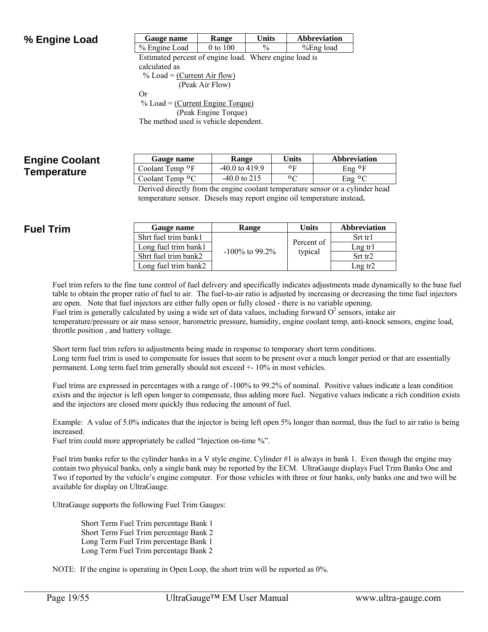### **% Engine Load**

| Gauge name    | <b>Kange</b> | 'Jnits | <b>Abbreviation</b> |
|---------------|--------------|--------|---------------------|
| % Engine Load | $0$ to $100$ |        | %Eng load           |

Estimated percent of engine load. Where engine load is calculated as  $%$  Load = (Current Air flow) (Peak Air Flow)

Or

 $%$  Load = (Current Engine Torque) (Peak Engine Torque) The method used is vehicle dependent.

### **Engine Coolant Temperature**

| Gauge name             | <b>Range</b>     | Units   | Abbreviation  |
|------------------------|------------------|---------|---------------|
| Coolant Temp $\circ$ F | $-40.0$ to 419.9 | οF      | Eng ∘F        |
| Coolant Temp $\circ$ C | $-40.0$ to 215   | $\circ$ | $Eng \circ C$ |

Derived directly from the engine coolant temperature sensor or a cylinder head temperature sensor. Diesels may report engine oil temperature instead**.** 

## **Fuel Trim**

| Gauge name           | Range             | <b>Units</b> | Abbreviation        |
|----------------------|-------------------|--------------|---------------------|
| Shrt fuel trim bank1 |                   |              | Srt tr1             |
| Long fuel trim bank1 |                   | Percent of   | $Lng$ tr1           |
| Shrt fuel trim bank2 | $-100\%$ to 99.2% | typical      | Srt tr <sub>2</sub> |
| Long fuel trim bank2 |                   |              | $Lng$ tr2           |

Fuel trim refers to the fine tune control of fuel delivery and specifically indicates adjustments made dynamically to the base fuel table to obtain the proper ratio of fuel to air. The fuel-to-air ratio is adjusted by increasing or decreasing the time fuel injectors are open. Note that fuel injectors are either fully open or fully closed - there is no variable opening. Fuel trim is generally calculated by using a wide set of data values, including forward  $O^2$  sensors, intake air temperature/pressure or air mass sensor, barometric pressure, humidity, engine coolant temp, anti-knock sensors, engine load, throttle position , and battery voltage.

Short term fuel trim refers to adjustments being made in response to temporary short term conditions. Long term fuel trim is used to compensate for issues that seem to be present over a much longer period or that are essentially permanent. Long term fuel trim generally should not exceed +- 10% in most vehicles.

Fuel trims are expressed in percentages with a range of -100% to 99.2% of nominal. Positive values indicate a lean condition exists and the injector is left open longer to compensate, thus adding more fuel. Negative values indicate a rich condition exists and the injectors are closed more quickly thus reducing the amount of fuel.

Example: A value of 5.0% indicates that the injector is being left open 5% longer than normal, thus the fuel to air ratio is being increased.

Fuel trim could more appropriately be called "Injection on-time %".

Fuel trim banks refer to the cylinder banks in a V style engine. Cylinder #1 is always in bank 1. Even though the engine may contain two physical banks, only a single bank may be reported by the ECM. UltraGauge displays Fuel Trim Banks One and Two if reported by the vehicle's engine computer. For those vehicles with three or four banks, only banks one and two will be available for display on UltraGauge.

UltraGauge supports the following Fuel Trim Gauges:

Short Term Fuel Trim percentage Bank 1 Short Term Fuel Trim percentage Bank 2 Long Term Fuel Trim percentage Bank 1 Long Term Fuel Trim percentage Bank 2

NOTE: If the engine is operating in Open Loop, the short trim will be reported as 0%.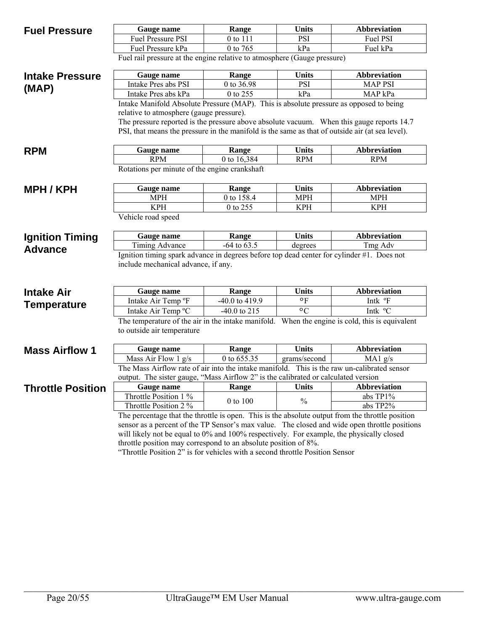| <b>Units</b><br>Gauge name<br>Range<br><b>Fuel Pressure</b><br>Fuel Pressure PSI<br><b>PSI</b><br>0 to 111<br>0 to 765<br>kPa<br>Fuel Pressure kPa<br>Fuel rail pressure at the engine relative to atmosphere (Gauge pressure) | <b>Abbreviation</b> |
|--------------------------------------------------------------------------------------------------------------------------------------------------------------------------------------------------------------------------------|---------------------|
|                                                                                                                                                                                                                                |                     |
|                                                                                                                                                                                                                                | Fuel PSI            |
|                                                                                                                                                                                                                                | Fuel kPa            |
|                                                                                                                                                                                                                                |                     |
| Gauge name<br>Range<br><b>Units</b><br><b>Intake Pressure</b>                                                                                                                                                                  | Abbreviation        |
| Intake Pres abs PSI<br>0 to 36.98<br><b>PSI</b><br>(MAP)                                                                                                                                                                       | <b>MAP PSI</b>      |
| 0 to 255<br>kPa<br>Intake Pres abs kPa                                                                                                                                                                                         | MAP kPa             |
| Intake Manifold Absolute Pressure (MAP). This is absolute pressure as opposed to being                                                                                                                                         |                     |
| relative to atmosphere (gauge pressure).                                                                                                                                                                                       |                     |
| The pressure reported is the pressure above absolute vacuum. When this gauge reports 14.7                                                                                                                                      |                     |
| PSI, that means the pressure in the manifold is the same as that of outside air (at sea level).                                                                                                                                |                     |
|                                                                                                                                                                                                                                |                     |
| <b>Units</b><br>Gauge name<br>Range<br><b>RPM</b>                                                                                                                                                                              | <b>Abbreviation</b> |
| <b>RPM</b><br>0 to 16,384<br><b>RPM</b>                                                                                                                                                                                        | <b>RPM</b>          |
| Rotations per minute of the engine crankshaft                                                                                                                                                                                  |                     |
| <b>Units</b><br>Gauge name<br>Range<br><b>MPH/KPH</b>                                                                                                                                                                          | <b>Abbreviation</b> |
| 0 to 158.4<br><b>MPH</b><br><b>MPH</b>                                                                                                                                                                                         | <b>MPH</b>          |
| <b>KPH</b><br>0 to 255<br><b>KPH</b>                                                                                                                                                                                           | <b>KPH</b>          |
| Vehicle road speed                                                                                                                                                                                                             |                     |
| <b>Units</b><br>Gauge name<br>Range<br><b>Ignition Timing</b>                                                                                                                                                                  | <b>Abbreviation</b> |
| Timing Advance<br>$-64$ to $63.5$<br>degrees                                                                                                                                                                                   |                     |
|                                                                                                                                                                                                                                | Tmg Adv             |
| <b>Advance</b><br>Ignition timing spark advance in degrees before top dead center for cylinder #1. Does not                                                                                                                    |                     |
| include mechanical advance, if any.                                                                                                                                                                                            |                     |
|                                                                                                                                                                                                                                |                     |
| <b>Units</b><br>Range<br>Gauge name<br><b>Intake Air</b>                                                                                                                                                                       | <b>Abbreviation</b> |
| Intake Air Temp °F<br>-40.0 to 419.9<br>$\circ$ F                                                                                                                                                                              | Intk °F             |
| <b>Temperature</b><br>Intake Air Temp °C<br>$\circ$ C<br>$-40.0$ to 215                                                                                                                                                        | Intk °C             |
| The temperature of the air in the intake manifold. When the engine is cold, this is equivalent                                                                                                                                 |                     |
| to outside air temperature                                                                                                                                                                                                     |                     |
|                                                                                                                                                                                                                                |                     |
| <b>Units</b><br>Gauge name<br>Range<br><b>Mass Airflow 1</b>                                                                                                                                                                   | Abbreviation        |
| 0 to 655.35<br>Mass Air Flow 1 g/s<br>grams/second                                                                                                                                                                             | MA1 g/s             |
| The Mass Airflow rate of air into the intake manifold. This is the raw un-calibrated sensor                                                                                                                                    |                     |
| output. The sister gauge, "Mass Airflow 2" is the calibrated or calculated version                                                                                                                                             |                     |
| <b>Units</b><br>Range<br><b>Throttle Position</b><br>Gauge name                                                                                                                                                                | <b>Abbreviation</b> |
| Throttle Position 1 %<br>$\frac{0}{0}$<br>0 to 100                                                                                                                                                                             | abs TP1%            |
| Throttle Position 2 %                                                                                                                                                                                                          | abs TP2%            |
| The percentage that the throttle is open. This is the absolute output from the throttle position                                                                                                                               |                     |
| sensor as a percent of the TP Sensor's max value. The closed and wide open throttle positions<br>will likely not be equal to 0% and 100% respectively. For example, the physically closed                                      |                     |

"Throttle Position 2" is for vehicles with a second throttle Position Sensor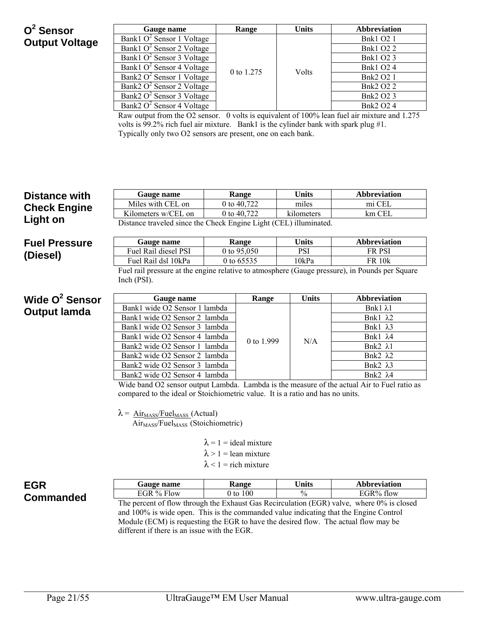## **O2 Sensor Output Voltage**

| Gauge name                                                | Range      | <b>Units</b> | <b>Abbreviation</b> |                  |
|-----------------------------------------------------------|------------|--------------|---------------------|------------------|
| Bank1 $O^2$ Sensor 1 Voltage                              |            |              | <b>Bnk1 O2 1</b>    |                  |
| Bank1 $O^2$ Sensor 2 Voltage                              |            |              | <b>Bnk1 O2 2</b>    |                  |
| Bank1 $O^2$ Sensor 3 Voltage                              |            |              | <b>Bnk1 O2 3</b>    |                  |
| Bank1 $O^2$ Sensor 4 Voltage                              | 0 to 1.275 | Volts        | <b>Bnk1 O2 4</b>    |                  |
| $\overline{\text{Bank2}}$ O <sup>2</sup> Sensor 1 Voltage |            |              |                     | <b>Bnk2 O2 1</b> |
| $\overline{\text{Bank2}}$ O <sup>2</sup> Sensor 2 Voltage |            |              | <b>Bnk2 O2 2</b>    |                  |
| Bank2 $O^2$ Sensor 3 Voltage                              |            |              |                     | Bnk2 O2 3        |
| Bank2 O <sup>2</sup> Sensor 4 Voltage                     |            |              | <b>Bnk2 O2 4</b>    |                  |

Raw output from the O2 sensor. 0 volts is equivalent of 100% lean fuel air mixture and 1.275 volts is 99.2% rich fuel air mixture. Bank1 is the cylinder bank with spark plug #1. Typically only two O2 sensors are present, one on each bank.

| <b>Distance with</b> | Gauge name                                                                                                                  |  | Range                         | <b>Units</b> | <b>Abbreviation</b>                                                                            |
|----------------------|-----------------------------------------------------------------------------------------------------------------------------|--|-------------------------------|--------------|------------------------------------------------------------------------------------------------|
|                      | Miles with CEL on                                                                                                           |  | 0 to 40,722                   | miles        | mi CEL                                                                                         |
| <b>Check Engine</b>  | Kilometers w/CEL on                                                                                                         |  | 0 to 40,722                   | kilometers   | $km$ CEL                                                                                       |
| Light on             | Distance traveled since the Check Engine Light (CEL) illuminated.                                                           |  |                               |              |                                                                                                |
| <b>Fuel Pressure</b> | Gauge name                                                                                                                  |  | Range                         | <b>Units</b> | <b>Abbreviation</b>                                                                            |
| (Diesel)             | Fuel Rail diesel PSI                                                                                                        |  | 0 to $95,050$                 | <b>PSI</b>   | <b>FR PSI</b>                                                                                  |
|                      | Fuel Rail dsl 10kPa                                                                                                         |  | 0 to 65535                    | 10kPa        | <b>FR 10k</b>                                                                                  |
|                      |                                                                                                                             |  |                               |              | Fuel rail pressure at the engine relative to atmosphere (Gauge pressure), in Pounds per Square |
|                      | Inch(PSI).                                                                                                                  |  |                               |              |                                                                                                |
| Wide $Q^2$ Sensor    | Gauge name                                                                                                                  |  | Range                         | <b>Units</b> | <b>Abbreviation</b>                                                                            |
| <b>Output lamda</b>  | Bank1 wide O2 Sensor 1 lambda                                                                                               |  |                               |              | Bnk $1 \lambda1$                                                                               |
|                      | Bank1 wide O2 Sensor 2 lambda                                                                                               |  |                               |              | Bnk1 $\lambda$ 2                                                                               |
|                      | Bank1 wide O2 Sensor 3 lambda                                                                                               |  |                               | N/A          | Bnk1 λ3                                                                                        |
|                      | Bank1 wide O2 Sensor 4 lambda                                                                                               |  | 0 to 1.999                    |              | Bnk1 $\lambda$ 4                                                                               |
|                      | Bank2 wide O2 Sensor 1 lambda                                                                                               |  |                               |              | Bnk2 $\lambda$ 1                                                                               |
|                      | Bank2 wide O2 Sensor 2 lambda                                                                                               |  |                               |              | Bnk2 $\lambda$ 2                                                                               |
|                      | Bank2 wide O2 Sensor 3 lambda                                                                                               |  |                               |              | Bnk2 $\lambda$ 3                                                                               |
|                      | Bank2 wide O2 Sensor 4 lambda                                                                                               |  |                               |              | Bnk $2\lambda$ 4                                                                               |
|                      | Wide band O2 sensor output Lambda. Lambda is the measure of the actual Air to Fuel ratio as                                 |  |                               |              |                                                                                                |
|                      | compared to the ideal or Stoichiometric value. It is a ratio and has no units.                                              |  |                               |              |                                                                                                |
|                      | $\lambda = \frac{\text{Air}}{\text{Mass}}/\text{Fu}$ (Actual)<br>Air <sub>MASS</sub> /Fuel <sub>MASS</sub> (Stoichiometric) |  |                               |              |                                                                                                |
|                      |                                                                                                                             |  | $\lambda = 1$ = ideal mixture |              |                                                                                                |

- $\lambda$  > 1 = lean mixture
- $\lambda$  < 1 = rich mixture

| <b>EGR</b>       |
|------------------|
| <b>Commanded</b> |

| <b>Gauge name</b> | <b>Aange</b> | ∪nits         | <b>Abbreviation</b> |
|-------------------|--------------|---------------|---------------------|
| EGR $%$ Flow      | 00<br>J to   | $\frac{0}{0}$ | $\Gamma$ GR% flow   |

The percent of flow through the Exhaust Gas Recirculation (EGR) valve, where 0% is closed and 100% is wide open. This is the commanded value indicating that the Engine Control Module (ECM) is requesting the EGR to have the desired flow. The actual flow may be different if there is an issue with the EGR.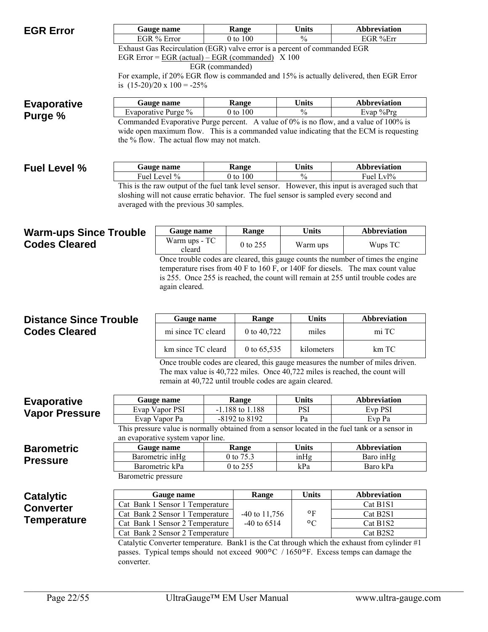| <b>EGR Error</b>              |                                                                                                                                        | Gauge name                                                         |                 | Range                                | <b>Units</b>                                            | <b>Abbreviation</b>                                                                                                                                                              |  |
|-------------------------------|----------------------------------------------------------------------------------------------------------------------------------------|--------------------------------------------------------------------|-----------------|--------------------------------------|---------------------------------------------------------|----------------------------------------------------------------------------------------------------------------------------------------------------------------------------------|--|
|                               |                                                                                                                                        | EGR % Error                                                        |                 | $\frac{0}{0}$<br>0 to 100            |                                                         | EGR %Err                                                                                                                                                                         |  |
|                               | Exhaust Gas Recirculation (EGR) valve error is a percent of commanded EGR<br>EGR Error = $\angle$ EGR (actual) – EGR (commanded) X 100 |                                                                    |                 |                                      |                                                         |                                                                                                                                                                                  |  |
|                               |                                                                                                                                        |                                                                    | EGR (commanded) |                                      |                                                         |                                                                                                                                                                                  |  |
|                               |                                                                                                                                        |                                                                    |                 |                                      |                                                         | For example, if 20% EGR flow is commanded and 15% is actually delivered, then EGR Error                                                                                          |  |
|                               |                                                                                                                                        | is $(15-20)/20 \times 100 = -25\%$                                 |                 |                                      |                                                         |                                                                                                                                                                                  |  |
| <b>Evaporative</b>            |                                                                                                                                        | Gauge name                                                         |                 | Range                                | <b>Units</b>                                            | <b>Abbreviation</b>                                                                                                                                                              |  |
| Purge %                       |                                                                                                                                        | Evaporative Purge %                                                |                 | 0 to 100                             | $\frac{0}{0}$                                           | Evap %Prg                                                                                                                                                                        |  |
|                               |                                                                                                                                        | the % flow. The actual flow may not match.                         |                 |                                      |                                                         | Commanded Evaporative Purge percent. A value of 0% is no flow, and a value of 100% is<br>wide open maximum flow. This is a commanded value indicating that the ECM is requesting |  |
| <b>Fuel Level %</b>           |                                                                                                                                        | Gauge name                                                         |                 | Range                                | <b>Units</b>                                            | <b>Abbreviation</b>                                                                                                                                                              |  |
|                               |                                                                                                                                        | Fuel Level %                                                       |                 | 0 to 100                             | $\frac{0}{0}$                                           | Fuel Lvl%                                                                                                                                                                        |  |
|                               |                                                                                                                                        |                                                                    |                 |                                      |                                                         | This is the raw output of the fuel tank level sensor. However, this input is averaged such that                                                                                  |  |
|                               |                                                                                                                                        |                                                                    |                 |                                      |                                                         | sloshing will not cause erratic behavior. The fuel sensor is sampled every second and                                                                                            |  |
|                               |                                                                                                                                        | averaged with the previous 30 samples.                             |                 |                                      |                                                         |                                                                                                                                                                                  |  |
|                               |                                                                                                                                        |                                                                    |                 |                                      |                                                         |                                                                                                                                                                                  |  |
| <b>Warm-ups Since Trouble</b> |                                                                                                                                        | Gauge name                                                         |                 | Range                                | <b>Units</b>                                            | <b>Abbreviation</b>                                                                                                                                                              |  |
| <b>Codes Cleared</b>          |                                                                                                                                        | Warm ups - TC<br>cleard                                            |                 | 0 to 255                             | Warm ups                                                | Wups TC                                                                                                                                                                          |  |
|                               |                                                                                                                                        |                                                                    |                 |                                      |                                                         | Once trouble codes are cleared, this gauge counts the number of times the engine                                                                                                 |  |
|                               |                                                                                                                                        |                                                                    |                 |                                      |                                                         | temperature rises from 40 F to 160 F, or 140F for diesels. The max count value                                                                                                   |  |
|                               |                                                                                                                                        |                                                                    |                 |                                      |                                                         | is 255. Once 255 is reached, the count will remain at 255 until trouble codes are                                                                                                |  |
|                               |                                                                                                                                        | again cleared.                                                     |                 |                                      |                                                         |                                                                                                                                                                                  |  |
|                               |                                                                                                                                        |                                                                    |                 |                                      |                                                         |                                                                                                                                                                                  |  |
| <b>Distance Since Trouble</b> |                                                                                                                                        | Gauge name                                                         |                 | Range                                | <b>Units</b>                                            | <b>Abbreviation</b>                                                                                                                                                              |  |
| <b>Codes Cleared</b>          |                                                                                                                                        | mi since TC cleard                                                 |                 | 0 to 40,722                          | miles                                                   | mi TC                                                                                                                                                                            |  |
|                               |                                                                                                                                        |                                                                    |                 |                                      |                                                         |                                                                                                                                                                                  |  |
|                               |                                                                                                                                        | km since TC cleard                                                 |                 | 0 to 65,535                          | kilometers                                              | km TC                                                                                                                                                                            |  |
|                               |                                                                                                                                        |                                                                    |                 |                                      |                                                         | Once trouble codes are cleared, this gauge measures the number of miles driven.                                                                                                  |  |
|                               |                                                                                                                                        |                                                                    |                 |                                      |                                                         | The max value is 40,722 miles. Once 40,722 miles is reached, the count will                                                                                                      |  |
|                               |                                                                                                                                        |                                                                    |                 |                                      | remain at 40,722 until trouble codes are again cleared. |                                                                                                                                                                                  |  |
| <b>Evaporative</b>            |                                                                                                                                        | Gauge name                                                         |                 | Range                                | <b>Units</b>                                            | <b>Abbreviation</b>                                                                                                                                                              |  |
| <b>Vapor Pressure</b>         |                                                                                                                                        | Evap Vapor PSI                                                     |                 | -1.188 to 1.188                      | <b>PSI</b>                                              | Evp PSI                                                                                                                                                                          |  |
|                               |                                                                                                                                        | Evap Vapor Pa                                                      |                 | -8192 to 8192                        | Pa                                                      | Evp Pa                                                                                                                                                                           |  |
|                               |                                                                                                                                        |                                                                    |                 |                                      |                                                         | This pressure value is normally obtained from a sensor located in the fuel tank or a sensor in                                                                                   |  |
|                               |                                                                                                                                        | an evaporative system vapor line.                                  |                 |                                      | <b>Units</b>                                            | <b>Abbreviation</b>                                                                                                                                                              |  |
| <b>Barometric</b>             |                                                                                                                                        | Gauge name<br>Barometric inHg                                      |                 | Range<br>0 to 75.3                   | inHg                                                    | Baro in Hg                                                                                                                                                                       |  |
| <b>Pressure</b>               |                                                                                                                                        | Barometric kPa                                                     |                 | 0 to 255                             | kPa                                                     | Baro kPa                                                                                                                                                                         |  |
|                               | Barometric pressure                                                                                                                    |                                                                    |                 |                                      |                                                         |                                                                                                                                                                                  |  |
|                               |                                                                                                                                        |                                                                    |                 |                                      |                                                         |                                                                                                                                                                                  |  |
| <b>Catalytic</b>              |                                                                                                                                        | Gauge name                                                         |                 | Range                                | Units                                                   | <b>Abbreviation</b>                                                                                                                                                              |  |
| <b>Converter</b>              |                                                                                                                                        | Cat Bank 1 Sensor 1 Temperature<br>Cat Bank 2 Sensor 1 Temperature |                 |                                      | $\circ$ F                                               | Cat B1S1<br>Cat B2S1                                                                                                                                                             |  |
| <b>Temperature</b>            |                                                                                                                                        | Cat Bank 1 Sensor 2 Temperature                                    |                 | $-40$ to $11,756$<br>$-40$ to $6514$ | $\circ$ C                                               | Cat B1S2                                                                                                                                                                         |  |
|                               |                                                                                                                                        | Cat Bank 2 Sensor 2 Temperature                                    |                 |                                      |                                                         | Cat B2S2                                                                                                                                                                         |  |
|                               |                                                                                                                                        |                                                                    |                 |                                      |                                                         | Catalytic Converter temperature. Bank1 is the Cat through which the exhaust from cylinder #1                                                                                     |  |
|                               |                                                                                                                                        |                                                                    |                 |                                      |                                                         | passes. Typical temps should not exceed $900\degree C$ / 1650 $\degree F$ . Excess temps can damage the                                                                          |  |
|                               | converter.                                                                                                                             |                                                                    |                 |                                      |                                                         |                                                                                                                                                                                  |  |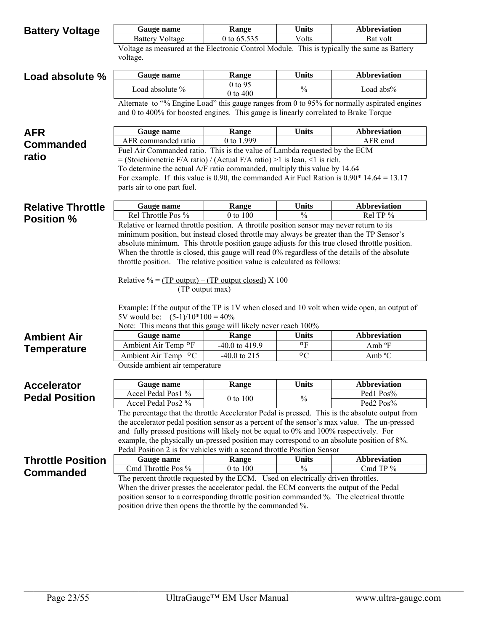| <b>Battery Voltage</b>   | Gauge name                                                                                                                                                                 | Range          | <b>Units</b>  | <b>Abbreviation</b>                                                                         |  |  |
|--------------------------|----------------------------------------------------------------------------------------------------------------------------------------------------------------------------|----------------|---------------|---------------------------------------------------------------------------------------------|--|--|
|                          | <b>Battery Voltage</b>                                                                                                                                                     | 0 to 65.535    | Volts         | Bat volt                                                                                    |  |  |
|                          | Voltage as measured at the Electronic Control Module. This is typically the same as Battery<br>voltage.                                                                    |                |               |                                                                                             |  |  |
| Load absolute %          | Gauge name                                                                                                                                                                 | Range          | <b>Units</b>  | <b>Abbreviation</b>                                                                         |  |  |
|                          |                                                                                                                                                                            | 0 to 95        |               |                                                                                             |  |  |
|                          | Load absolute %                                                                                                                                                            | 0 to 400       | $\frac{0}{0}$ | Load abs%                                                                                   |  |  |
|                          | and 0 to 400% for boosted engines. This gauge is linearly correlated to Brake Torque                                                                                       |                |               | Alternate to "% Engine Load" this gauge ranges from 0 to 95% for normally aspirated engines |  |  |
| <b>AFR</b>               | Gauge name                                                                                                                                                                 | Range          | <b>Units</b>  | <b>Abbreviation</b>                                                                         |  |  |
| <b>Commanded</b>         | AFR commanded ratio                                                                                                                                                        | 0 to 1.999     |               | AFR cmd                                                                                     |  |  |
| ratio                    | Fuel Air Commanded ratio. This is the value of Lambda requested by the ECM                                                                                                 |                |               |                                                                                             |  |  |
|                          | $=$ (Stoichiometric F/A ratio) / (Actual F/A ratio) >1 is lean, <1 is rich.                                                                                                |                |               |                                                                                             |  |  |
|                          | To determine the actual A/F ratio commanded, multiply this value by 14.64                                                                                                  |                |               |                                                                                             |  |  |
|                          | For example. If this value is 0.90, the commanded Air Fuel Ration is $0.90*14.64 = 13.17$<br>parts air to one part fuel.                                                   |                |               |                                                                                             |  |  |
|                          |                                                                                                                                                                            |                |               |                                                                                             |  |  |
| <b>Relative Throttle</b> | Gauge name                                                                                                                                                                 | Range          | <b>Units</b>  | <b>Abbreviation</b>                                                                         |  |  |
| <b>Position %</b>        | Rel Throttle Pos %                                                                                                                                                         | 0 to 100       | $\frac{0}{0}$ | Rel TP %                                                                                    |  |  |
|                          | Relative or learned throttle position. A throttle position sensor may never return to its                                                                                  |                |               |                                                                                             |  |  |
|                          | minimum position, but instead closed throttle may always be greater than the TP Sensor's                                                                                   |                |               |                                                                                             |  |  |
|                          | absolute minimum. This throttle position gauge adjusts for this true closed throttle position.                                                                             |                |               |                                                                                             |  |  |
|                          | When the throttle is closed, this gauge will read 0% regardless of the details of the absolute<br>throttle position. The relative position value is calculated as follows: |                |               |                                                                                             |  |  |
|                          |                                                                                                                                                                            |                |               |                                                                                             |  |  |
|                          | Relative % = $(TP output) - (TP output closed) \times 100$                                                                                                                 |                |               |                                                                                             |  |  |
|                          | (TP output max)                                                                                                                                                            |                |               |                                                                                             |  |  |
|                          | Example: If the output of the TP is 1V when closed and 10 volt when wide open, an output of                                                                                |                |               |                                                                                             |  |  |
|                          | 5V would be: $(5-1)/10*100 = 40\%$                                                                                                                                         |                |               |                                                                                             |  |  |
|                          | Note: This means that this gauge will likely never reach 100%                                                                                                              |                |               |                                                                                             |  |  |
| <b>Ambient Air</b>       | Gauge name                                                                                                                                                                 | Range          | <b>Units</b>  | <b>Abbreviation</b>                                                                         |  |  |
| <b>Temperature</b>       | Ambient Air Temp oF                                                                                                                                                        | -40.0 to 419.9 | ۰F            | Amb °F                                                                                      |  |  |
|                          | Ambient Air Temp °C                                                                                                                                                        | $-40.0$ to 215 | $\circ$ C     | Amb °C                                                                                      |  |  |
|                          | Outside ambient air temperature                                                                                                                                            |                |               |                                                                                             |  |  |
| <b>Accelerator</b>       | Gauge name                                                                                                                                                                 | Range          | <b>Units</b>  | <b>Abbreviation</b>                                                                         |  |  |
| <b>Pedal Position</b>    | Accel Pedal Pos1 %                                                                                                                                                         |                |               | Ped1 Pos%                                                                                   |  |  |
|                          | Accel Pedal Pos2 %                                                                                                                                                         | 0 to 100       | $\frac{0}{0}$ | Ped <sub>2</sub> Pos <sup>%</sup>                                                           |  |  |
|                          | The percentage that the throttle Accelerator Pedal is pressed. This is the absolute output from                                                                            |                |               |                                                                                             |  |  |
|                          | the accelerator pedal position sensor as a percent of the sensor's max value. The un-pressed                                                                               |                |               |                                                                                             |  |  |
|                          | and fully pressed positions will likely not be equal to 0% and 100% respectively. For                                                                                      |                |               |                                                                                             |  |  |
|                          | example, the physically un-pressed position may correspond to an absolute position of 8%.                                                                                  |                |               |                                                                                             |  |  |
|                          | Pedal Position 2 is for vehicles with a second throttle Position Sensor<br>Gauge name                                                                                      | Range          | <b>Units</b>  | <b>Abbreviation</b>                                                                         |  |  |
| <b>Throttle Position</b> | Cmd Throttle Pos %                                                                                                                                                         | 0 to 100       | $\frac{0}{0}$ | Cmd TP %                                                                                    |  |  |
| <b>Commanded</b>         | The percent throttle requested by the ECM. Used on electrically driven throttles.                                                                                          |                |               |                                                                                             |  |  |
|                          | When the driver presses the accelerator pedal, the ECM converts the output of the Pedal                                                                                    |                |               |                                                                                             |  |  |
|                          | position sensor to a corresponding throttle position commanded %. The electrical throttle                                                                                  |                |               |                                                                                             |  |  |
|                          | position drive then opens the throttle by the commanded %.                                                                                                                 |                |               |                                                                                             |  |  |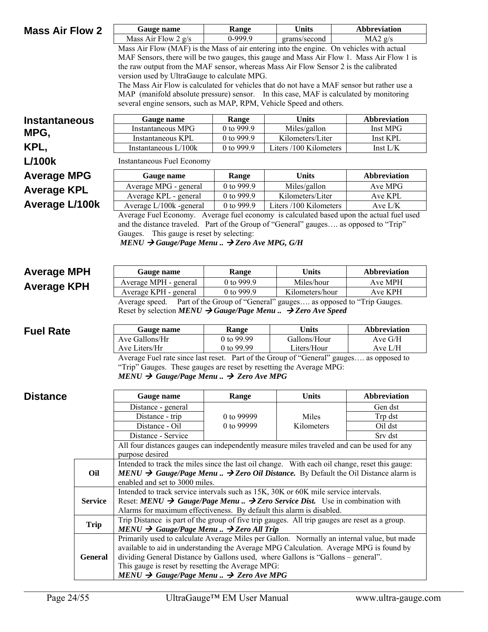| <b>Mass Air Flow 2</b> |                | Gauge name                                                                                               | Range                                                                                     | Units                                                                                | <b>Abbreviation</b> |  |  |
|------------------------|----------------|----------------------------------------------------------------------------------------------------------|-------------------------------------------------------------------------------------------|--------------------------------------------------------------------------------------|---------------------|--|--|
|                        |                | 0-999.9<br>Mass Air Flow 2 $g/s$<br>grams/second                                                         |                                                                                           |                                                                                      | MA2 g/s             |  |  |
|                        |                | Mass Air Flow (MAF) is the Mass of air entering into the engine. On vehicles with actual                 |                                                                                           |                                                                                      |                     |  |  |
|                        |                |                                                                                                          | MAF Sensors, there will be two gauges, this gauge and Mass Air Flow 1. Mass Air Flow 1 is |                                                                                      |                     |  |  |
|                        |                | the raw output from the MAF sensor, whereas Mass Air Flow Sensor 2 is the calibrated                     |                                                                                           |                                                                                      |                     |  |  |
|                        |                | version used by UltraGauge to calculate MPG.                                                             |                                                                                           |                                                                                      |                     |  |  |
|                        |                | The Mass Air Flow is calculated for vehicles that do not have a MAF sensor but rather use a              |                                                                                           |                                                                                      |                     |  |  |
|                        |                | MAP (manifold absolute pressure) sensor. In this case, MAF is calculated by monitoring                   |                                                                                           |                                                                                      |                     |  |  |
|                        |                | several engine sensors, such as MAP, RPM, Vehicle Speed and others.                                      |                                                                                           |                                                                                      |                     |  |  |
| <b>Instantaneous</b>   |                | Gauge name                                                                                               | Range                                                                                     | <b>Units</b>                                                                         | <b>Abbreviation</b> |  |  |
|                        |                | Instantaneous MPG                                                                                        | 0 to 999.9                                                                                | Miles/gallon                                                                         | Inst MPG            |  |  |
| MPG,                   |                | Instantaneous KPL                                                                                        | 0 to 999.9                                                                                | Kilometers/Liter                                                                     | Inst KPL            |  |  |
| KPL,                   |                | Instantaneous L/100k                                                                                     | 0 to 999.9                                                                                | Liters /100 Kilometers                                                               | Inst L/K            |  |  |
| <b>L/100k</b>          |                | <b>Instantaneous Fuel Economy</b>                                                                        |                                                                                           |                                                                                      |                     |  |  |
| <b>Average MPG</b>     |                | Gauge name                                                                                               | Range                                                                                     | <b>Units</b>                                                                         | <b>Abbreviation</b> |  |  |
|                        |                | Average MPG - general                                                                                    | 0 to 999.9                                                                                | Miles/gallon                                                                         | Ave MPG             |  |  |
| <b>Average KPL</b>     |                | Average KPL - general                                                                                    | 0 to 999.9                                                                                | Kilometers/Liter                                                                     | Ave KPL             |  |  |
| <b>Average L/100k</b>  |                | Average L/100k -general                                                                                  | 0 to 999.9                                                                                | Liters /100 Kilometers                                                               | Ave $L/K$           |  |  |
|                        |                | Average Fuel Economy. Average fuel economy is calculated based upon the actual fuel used                 |                                                                                           |                                                                                      |                     |  |  |
|                        |                | and the distance traveled. Part of the Group of "General" gauges as opposed to "Trip"                    |                                                                                           |                                                                                      |                     |  |  |
|                        |                | Gauges. This gauge is reset by selecting:                                                                |                                                                                           |                                                                                      |                     |  |  |
|                        |                | MENU $\rightarrow$ Gauge/Page Menu $\rightarrow$ Zero Ave MPG, G/H                                       |                                                                                           |                                                                                      |                     |  |  |
|                        |                |                                                                                                          |                                                                                           |                                                                                      |                     |  |  |
|                        |                |                                                                                                          |                                                                                           |                                                                                      |                     |  |  |
| <b>Average MPH</b>     |                | Gauge name                                                                                               | Range                                                                                     | <b>Units</b>                                                                         | <b>Abbreviation</b> |  |  |
| <b>Average KPH</b>     |                | Average MPH - general                                                                                    | 0 to 999.9                                                                                | Miles/hour                                                                           | Ave MPH             |  |  |
|                        |                | Average KPH - general<br>Average speed.                                                                  | 0 to 999.9                                                                                | Kilometers/hour<br>Part of the Group of "General" gauges as opposed to "Trip Gauges. | Ave KPH             |  |  |
|                        |                | Reset by selection MENU $\rightarrow$ Gauge/Page Menu $\rightarrow$ Zero Ave Speed                       |                                                                                           |                                                                                      |                     |  |  |
|                        |                |                                                                                                          |                                                                                           |                                                                                      |                     |  |  |
| <b>Fuel Rate</b>       |                | Gauge name                                                                                               | Range                                                                                     | <b>Units</b>                                                                         | Abbreviation        |  |  |
|                        |                | Ave Gallons/Hr                                                                                           | 0 to 99.99                                                                                | Gallons/Hour                                                                         | Ave G/H             |  |  |
|                        |                | Ave Liters/Hr                                                                                            | 0 to 99.99                                                                                | Liters/Hour                                                                          | Ave L/H             |  |  |
|                        |                | Average Fuel rate since last reset. Part of the Group of "General" gauges as opposed to                  |                                                                                           |                                                                                      |                     |  |  |
|                        |                | "Trip" Gauges. These gauges are reset by resetting the Average MPG:                                      |                                                                                           |                                                                                      |                     |  |  |
|                        |                | $MENU \rightarrow Gauge/Page Menu. \rightarrow Zero Ave MPG$                                             |                                                                                           |                                                                                      |                     |  |  |
| <b>Distance</b>        |                | Gauge name                                                                                               | Range                                                                                     | <b>Units</b>                                                                         | <b>Abbreviation</b> |  |  |
|                        |                | Distance - general                                                                                       |                                                                                           |                                                                                      | Gen dst             |  |  |
|                        |                | Distance - trip                                                                                          | 0 to 99999                                                                                | Miles                                                                                | Trp dst             |  |  |
|                        |                | Distance - Oil                                                                                           | 0 to 99999                                                                                | Kilometers                                                                           | Oil dst             |  |  |
|                        |                | Distance - Service                                                                                       |                                                                                           |                                                                                      | Srv dst             |  |  |
|                        |                | All four distances gauges can independently measure miles traveled and can be used for any               |                                                                                           |                                                                                      |                     |  |  |
|                        |                | purpose desired                                                                                          |                                                                                           |                                                                                      |                     |  |  |
|                        |                | Intended to track the miles since the last oil change. With each oil change, reset this gauge:           |                                                                                           |                                                                                      |                     |  |  |
|                        | Oil            | MENU $\rightarrow$ Gauge/Page Menu $\rightarrow$ Zero Oil Distance. By Default the Oil Distance alarm is |                                                                                           |                                                                                      |                     |  |  |
|                        |                | enabled and set to 3000 miles.                                                                           |                                                                                           |                                                                                      |                     |  |  |
|                        |                | Intended to track service intervals such as 15K, 30K or 60K mile service intervals.                      |                                                                                           |                                                                                      |                     |  |  |
|                        | <b>Service</b> | Reset: $MENU \rightarrow Gauge/Page Menu$ $\rightarrow$ Zero Service Dist. Use in combination with       |                                                                                           |                                                                                      |                     |  |  |
|                        |                | Alarms for maximum effectiveness. By default this alarm is disabled.                                     |                                                                                           |                                                                                      |                     |  |  |
|                        | <b>Trip</b>    | Trip Distance is part of the group of five trip gauges. All trip gauges are reset as a group.            |                                                                                           |                                                                                      |                     |  |  |
|                        |                | $MEMU \rightarrow Gauge/Page \; Menu \ldots \rightarrow Zero \; All \; Trip$                             |                                                                                           |                                                                                      |                     |  |  |
|                        |                | Primarily used to calculate Average Miles per Gallon. Normally an internal value, but made               |                                                                                           |                                                                                      |                     |  |  |
|                        |                | available to aid in understanding the Average MPG Calculation. Average MPG is found by                   |                                                                                           |                                                                                      |                     |  |  |
|                        | General        | dividing General Distance by Gallons used, where Gallons is "Gallons – general".                         |                                                                                           |                                                                                      |                     |  |  |
|                        |                | This gauge is reset by resetting the Average MPG:                                                        |                                                                                           |                                                                                      |                     |  |  |
|                        |                | $MEMU \rightarrow Gauge/Page \; Menu \ldots \rightarrow Zero \; Ave \; MPC \; 100$                       |                                                                                           |                                                                                      |                     |  |  |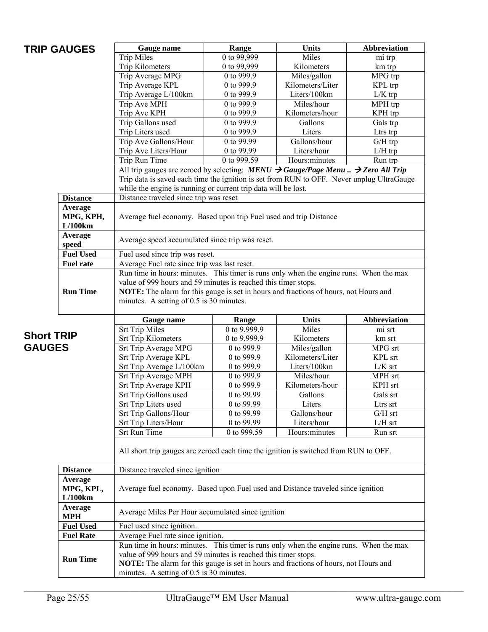|                   | <b>TRIP GAUGES</b> | Gauge name                                                                                                           | Range                    | <b>Units</b>                     | Abbreviation          |  |  |  |
|-------------------|--------------------|----------------------------------------------------------------------------------------------------------------------|--------------------------|----------------------------------|-----------------------|--|--|--|
|                   |                    | <b>Trip Miles</b>                                                                                                    | 0 to $99,999$            | Miles                            | mi trp                |  |  |  |
|                   |                    | Trip Kilometers                                                                                                      | 0 to 99,999              | Kilometers                       | km trp                |  |  |  |
|                   |                    | Trip Average MPG                                                                                                     | 0 to 999.9               | Miles/gallon                     | MPG trp               |  |  |  |
|                   |                    | Trip Average KPL                                                                                                     | 0 to 999.9               | Kilometers/Liter                 | KPL trp               |  |  |  |
|                   |                    | Trip Average L/100km                                                                                                 | 0 to 999.9               | Liters/100km                     | $L/K$ trp             |  |  |  |
|                   |                    | Trip Ave MPH                                                                                                         | 0 to 999.9               | Miles/hour                       | MPH trp               |  |  |  |
|                   |                    | Trip Ave KPH                                                                                                         | 0 to 999.9<br>0 to 999.9 | Kilometers/hour<br>Gallons       | KPH trp               |  |  |  |
|                   |                    | Trip Gallons used                                                                                                    | 0 to 999.9               | Liters                           | Gals trp              |  |  |  |
|                   |                    | Trip Liters used<br>Trip Ave Gallons/Hour                                                                            | 0 to 99.99               | Gallons/hour                     | Ltrs trp<br>$G/H$ trp |  |  |  |
|                   |                    | Trip Ave Liters/Hour                                                                                                 | 0 to 99.99               | Liters/hour                      | $L/H$ trp             |  |  |  |
|                   |                    | Trip Run Time                                                                                                        | 0 to 999.59              | Hours:minutes                    | Run trp               |  |  |  |
|                   |                    | All trip gauges are zeroed by selecting: $MENU \rightarrow Gauge/Page \; Menu \dots \rightarrow Zero \; All \; Trip$ |                          |                                  |                       |  |  |  |
|                   |                    | Trip data is saved each time the ignition is set from RUN to OFF. Never unplug UltraGauge                            |                          |                                  |                       |  |  |  |
|                   |                    | while the engine is running or current trip data will be lost.                                                       |                          |                                  |                       |  |  |  |
|                   | <b>Distance</b>    | Distance traveled since trip was reset                                                                               |                          |                                  |                       |  |  |  |
|                   | Average            |                                                                                                                      |                          |                                  |                       |  |  |  |
|                   | MPG, KPH,          | Average fuel economy. Based upon trip Fuel used and trip Distance                                                    |                          |                                  |                       |  |  |  |
|                   | L/100km            |                                                                                                                      |                          |                                  |                       |  |  |  |
|                   | Average            |                                                                                                                      |                          |                                  |                       |  |  |  |
|                   | speed              | Average speed accumulated since trip was reset.                                                                      |                          |                                  |                       |  |  |  |
|                   | <b>Fuel Used</b>   | Fuel used since trip was reset.                                                                                      |                          |                                  |                       |  |  |  |
|                   | <b>Fuel rate</b>   | Average Fuel rate since trip was last reset.                                                                         |                          |                                  |                       |  |  |  |
|                   |                    | Run time in hours: minutes. This timer is runs only when the engine runs. When the max                               |                          |                                  |                       |  |  |  |
|                   |                    | value of 999 hours and 59 minutes is reached this timer stops.                                                       |                          |                                  |                       |  |  |  |
|                   | <b>Run Time</b>    | NOTE: The alarm for this gauge is set in hours and fractions of hours, not Hours and                                 |                          |                                  |                       |  |  |  |
|                   |                    | minutes. A setting of 0.5 is 30 minutes.                                                                             |                          |                                  |                       |  |  |  |
|                   |                    |                                                                                                                      |                          |                                  |                       |  |  |  |
|                   |                    | Gauge name                                                                                                           | Range                    | <b>Units</b>                     | <b>Abbreviation</b>   |  |  |  |
| <b>Short TRIP</b> |                    | <b>Srt Trip Miles</b>                                                                                                | 0 to 9,999.9             | Miles                            | mi srt                |  |  |  |
|                   |                    | <b>Srt Trip Kilometers</b>                                                                                           | 0 to 9,999.9             | Kilometers                       | km srt                |  |  |  |
| <b>GAUGES</b>     |                    | Srt Trip Average MPG                                                                                                 | 0 to 999.9               | Miles/gallon                     | MPG srt               |  |  |  |
|                   |                    | Srt Trip Average KPL                                                                                                 | 0 to 999.9               | Kilometers/Liter<br>Liters/100km | KPL srt               |  |  |  |
|                   |                    | Srt Trip Average L/100km<br>Srt Trip Average MPH                                                                     | 0 to 999.9<br>0 to 999.9 | Miles/hour                       | $L/K$ srt<br>MPH srt  |  |  |  |
|                   |                    | Srt Trip Average KPH                                                                                                 | 0 to 999.9               | Kilometers/hour                  | KPH srt               |  |  |  |
|                   |                    | Srt Trip Gallons used                                                                                                | 0 to 99.99               | Gallons                          | Gals srt              |  |  |  |
|                   |                    | Srt Trip Liters used                                                                                                 | 0 to 99.99               | Liters                           | Ltrs srt              |  |  |  |
|                   |                    | Srt Trip Gallons/Hour                                                                                                | 0 to 99.99               | Gallons/hour                     | $G/H$ srt             |  |  |  |
|                   |                    | Srt Trip Liters/Hour                                                                                                 | 0 to 99.99               | Liters/hour                      | $L/H$ srt             |  |  |  |
|                   |                    | <b>Srt Run Time</b>                                                                                                  | 0 to 999.59              | Hours:minutes                    | Run srt               |  |  |  |
|                   |                    |                                                                                                                      |                          |                                  |                       |  |  |  |
|                   |                    | All short trip gauges are zeroed each time the ignition is switched from RUN to OFF.                                 |                          |                                  |                       |  |  |  |
|                   |                    |                                                                                                                      |                          |                                  |                       |  |  |  |
|                   | <b>Distance</b>    | Distance traveled since ignition                                                                                     |                          |                                  |                       |  |  |  |
|                   | Average            |                                                                                                                      |                          |                                  |                       |  |  |  |
|                   | MPG, KPL,          | Average fuel economy. Based upon Fuel used and Distance traveled since ignition                                      |                          |                                  |                       |  |  |  |
|                   | L/100km            |                                                                                                                      |                          |                                  |                       |  |  |  |
|                   | Average            | Average Miles Per Hour accumulated since ignition                                                                    |                          |                                  |                       |  |  |  |
|                   | <b>MPH</b>         |                                                                                                                      |                          |                                  |                       |  |  |  |
|                   | <b>Fuel Used</b>   | Fuel used since ignition.                                                                                            |                          |                                  |                       |  |  |  |
|                   | <b>Fuel Rate</b>   | Average Fuel rate since ignition.                                                                                    |                          |                                  |                       |  |  |  |
|                   |                    | Run time in hours: minutes. This timer is runs only when the engine runs. When the max                               |                          |                                  |                       |  |  |  |
|                   | <b>Run Time</b>    | value of 999 hours and 59 minutes is reached this timer stops.                                                       |                          |                                  |                       |  |  |  |
|                   |                    | NOTE: The alarm for this gauge is set in hours and fractions of hours, not Hours and                                 |                          |                                  |                       |  |  |  |
|                   |                    | minutes. A setting of 0.5 is 30 minutes.                                                                             |                          |                                  |                       |  |  |  |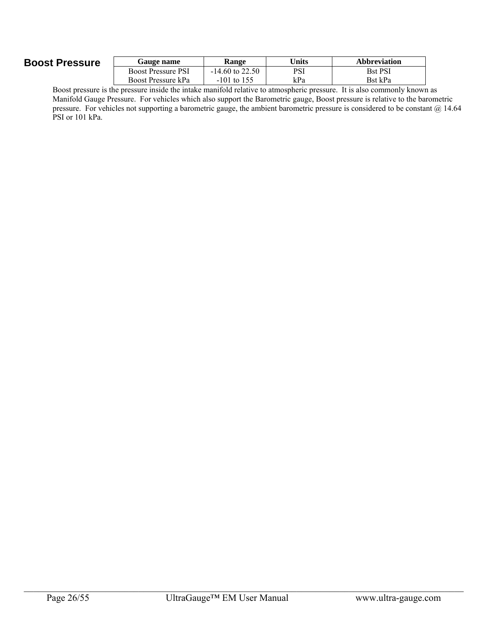## **Boost Pressure**

| <b>Gauge name</b>         | Range             | Jnits | <b>Abbreviation</b> |
|---------------------------|-------------------|-------|---------------------|
| <b>Boost Pressure PSI</b> | $-14.60$ to 22.50 | PSI   | <b>Bst PSI</b>      |
| Boost Pressure kPa        | $-101$ to 155     | kPa   | Bst kPa             |
|                           | .                 |       |                     |

Boost pressure is the pressure inside the intake manifold relative to atmospheric pressure. It is also commonly known as Manifold Gauge Pressure. For vehicles which also support the Barometric gauge, Boost pressure is relative to the barometric pressure. For vehicles not supporting a barometric gauge, the ambient barometric pressure is considered to be constant @ 14.64 PSI or 101 kPa.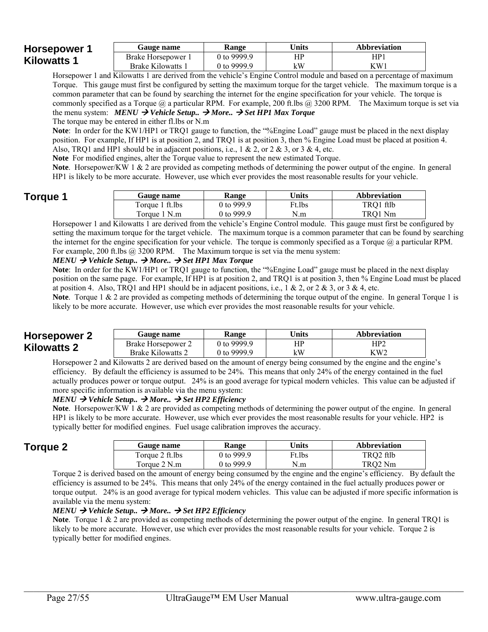#### **Horsepower 1 Kilowatts 1**  Gauge name **Range I** Units **Abbreviation** Brake Horsepower 1 Brake Kilowatts 1 0 to 9999.9 0 to 9999.9 HP kW HP1 KW1

Horsepower 1 and Kilowatts 1 are derived from the vehicle's Engine Control module and based on a percentage of maximum Torque. This gauge must first be configured by setting the maximum torque for the target vehicle. The maximum torque is a common parameter that can be found by searching the internet for the engine specification for your vehicle. The torque is commonly specified as a Torque  $\omega$  a particular RPM. For example, 200 ft.lbs  $\omega$ , 3200 RPM. The Maximum torque is set via the menu system:  $MENU \rightarrow Vehicle Setup.$   $\rightarrow More.$   $\rightarrow Set HPI Max Torque$ 

The torque may be entered in either fl.lbs or N.m

**Note**: In order for the KW1/HP1 or TRQ1 gauge to function, the "%Engine Load" gauge must be placed in the next display position. For example, If HP1 is at position 2, and TRQ1 is at position 3, then % Engine Load must be placed at position 4. Also, TRQ1 and HP1 should be in adjacent positions, i.e., 1 & 2, or 2 & 3, or 3 & 4, etc.

**Note** For modified engines, alter the Torque value to represent the new estimated Torque.

**Note**. Horsepower/KW 1 & 2 are provided as competing methods of determining the power output of the engine. In general HP1 is likely to be more accurate. However, use which ever provides the most reasonable results for your vehicle.

## **Torque 1**

| Gauge name      | Range      | Units  | <b>Abbreviation</b> |
|-----------------|------------|--------|---------------------|
| Torque 1 ft.lbs | 0 to 999.9 | Ft.lbs | TRQ1 ftlb           |
| Torque 1 N.m    | 0 to 999.9 | N.m    | TRO1 Nm             |

Horsepower 1 and Kilowatts 1 are derived from the vehicle's Engine Control module. This gauge must first be configured by setting the maximum torque for the target vehicle. The maximum torque is a common parameter that can be found by searching the internet for the engine specification for your vehicle. The torque is commonly specified as a Torque  $(a)$  a particular RPM. For example, 200 ft.lbs  $\omega$  3200 RPM. The Maximum torque is set via the menu system:

#### $MENU \rightarrow Vehicle Setup. \rightarrow More. \rightarrow Set HPI Max Torque$

**Note**: In order for the KW1/HP1 or TRQ1 gauge to function, the "%Engine Load" gauge must be placed in the next display position on the same page. For example, If HP1 is at position 2, and TRQ1 is at position 3, then % Engine Load must be placed at position 4. Also, TRQ1 and HP1 should be in adjacent positions, i.e., 1 & 2, or 2 & 3, or 3 & 4, etc.

**Note**. Torque 1 & 2 are provided as competing methods of determining the torque output of the engine. In general Torque 1 is likely to be more accurate. However, use which ever provides the most reasonable results for your vehicle.

### **Horsepower 2 Kilowatts 2**

| <b>Gauge name</b>  | Range        | <b>Jnits</b> | <b>Abbreviation</b> |
|--------------------|--------------|--------------|---------------------|
| Brake Horsepower 2 | 0 to 9999.9  | HР           | HP2                 |
| Brake Kilowatts 2  | 0 to 9999 9- | kW           | KW2                 |

Horsepower 2 and Kilowatts 2 are derived based on the amount of energy being consumed by the engine and the engine's efficiency. By default the efficiency is assumed to be 24%. This means that only 24% of the energy contained in the fuel actually produces power or torque output. 24% is an good average for typical modern vehicles. This value can be adjusted if more specific information is available via the menu system:

#### $MENU \rightarrow Vehicle Setup. \rightarrow More. \rightarrow Set HP2 Efficiency$

**Note**. Horsepower/KW 1 & 2 are provided as competing methods of determining the power output of the engine. In general HP1 is likely to be more accurate. However, use which ever provides the most reasonable results for your vehicle. HP2 is typically better for modified engines. Fuel usage calibration improves the accuracy.

| <b>Torque 2</b> | <b>Gauge name</b> | Range      | Units              | Abbreviation |
|-----------------|-------------------|------------|--------------------|--------------|
|                 | Torque 2 ft.lbs   | 0 to 999.9 | <sup>v</sup> t.lbs | TRQ2 ftlb    |
|                 | Torque 2 N.m      | 0 to 999.9 | N.m                | TRO2 Nm      |

Torque 2 is derived based on the amount of energy being consumed by the engine and the engine's efficiency. By default the efficiency is assumed to be 24%. This means that only 24% of the energy contained in the fuel actually produces power or torque output. 24% is an good average for typical modern vehicles. This value can be adjusted if more specific information is available via the menu system:

#### $MENU \rightarrow Vehicle Setup.$   $\rightarrow More.$   $\rightarrow Set HP2$  *Efficiency*

**Note**. Torque 1 & 2 are provided as competing methods of determining the power output of the engine. In general TRQ1 is likely to be more accurate. However, use which ever provides the most reasonable results for your vehicle. Torque 2 is typically better for modified engines.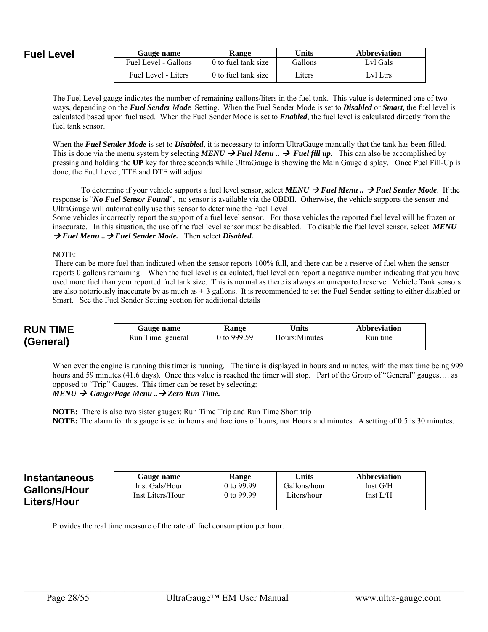### **Fuel Level**

| Gauge name           | <b>Range</b>        | Units          | <b>Abbreviation</b> |
|----------------------|---------------------|----------------|---------------------|
| Fuel Level - Gallons | 0 to fuel tank size | <b>Gallons</b> | Lyl Gals            |
| Fuel Level - Liters  | 0 to fuel tank size | Liters         | Lvl Ltrs            |

The Fuel Level gauge indicates the number of remaining gallons/liters in the fuel tank. This value is determined one of two ways, depending on the *Fuel Sender Mode* Setting. When the Fuel Sender Mode is set to *Disabled* or *Smart,* the fuel level is calculated based upon fuel used. When the Fuel Sender Mode is set to *Enabled*, the fuel level is calculated directly from the fuel tank sensor.

When the *Fuel Sender Mode* is set to *Disabled*, it is necessary to inform UltraGauge manually that the tank has been filled. This is done via the menu system by selecting *MENU*  $\rightarrow$  *Fuel Menu*..  $\rightarrow$  *Fuel fill up.* This can also be accomplished by pressing and holding the **UP** key for three seconds while UltraGauge is showing the Main Gauge display. Once Fuel Fill-Up is done, the Fuel Level, TTE and DTE will adjust.

To determine if your vehicle supports a fuel level sensor, select *MENU Fuel Menu .. Fuel Sender Mode*. If the response is "*No Fuel Sensor Found*", no sensor is available via the OBDII. Otherwise, the vehicle supports the sensor and UltraGauge will automatically use this sensor to determine the Fuel Level.

Some vehicles incorrectly report the support of a fuel level sensor. For those vehicles the reported fuel level will be frozen or inaccurate. In this situation, the use of the fuel level sensor must be disabled. To disable the fuel level sensor, select *MENU*  → Fuel Menu .. → Fuel Sender Mode. Then select Disabled.

NOTE:

 There can be more fuel than indicated when the sensor reports 100% full, and there can be a reserve of fuel when the sensor reports 0 gallons remaining. When the fuel level is calculated, fuel level can report a negative number indicating that you have used more fuel than your reported fuel tank size. This is normal as there is always an unreported reserve. Vehicle Tank sensors are also notoriously inaccurate by as much as +-3 gallons. It is recommended to set the Fuel Sender setting to either disabled or Smart. See the Fuel Sender Setting section for additional details

| <b>RUN TIME</b> | <b>Gauge name</b> | <b>Range</b>  | Units          | Abbreviation |
|-----------------|-------------------|---------------|----------------|--------------|
| (General)       | Run Time general  | 0 to $999.59$ | Hours: Minutes | Run tme      |

When ever the engine is running this timer is running. The time is displayed in hours and minutes, with the max time being 999 hours and 59 minutes. (41.6 days). Once this value is reached the timer will stop. Part of the Group of "General" gauges.... as opposed to "Trip" Gauges. This timer can be reset by selecting:

#### *MENU → Gauge/Page Menu ...* → Zero Run Time.

**NOTE:** There is also two sister gauges; Run Time Trip and Run Time Short trip **NOTE:** The alarm for this gauge is set in hours and fractions of hours, not Hours and minutes. A setting of 0.5 is 30 minutes.

| <b>Instantaneous</b> | Gauge name       | <b>Range</b> | Units        | <b>Abbreviation</b> |
|----------------------|------------------|--------------|--------------|---------------------|
| <b>Gallons/Hour</b>  | Inst Gals/Hour   | 0 to 99.99   | Gallons/hour | Inst $G/H$          |
| Liters/Hour          | Inst Liters/Hour | 0 to 99.99   | Liters/hour  | Inst $L/H$          |

Provides the real time measure of the rate of fuel consumption per hour.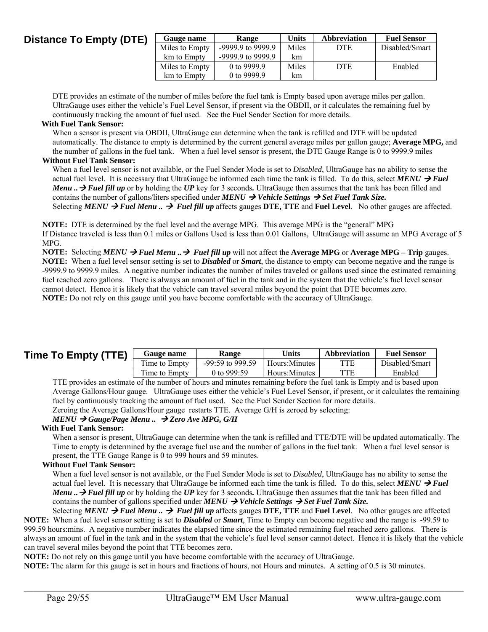### **Distance To Empty (DTE)**

| Gauge name     | Range               | <b>Units</b> | <b>Abbreviation</b> | <b>Fuel Sensor</b> |
|----------------|---------------------|--------------|---------------------|--------------------|
| Miles to Empty | -9999.9 to 9999.9   | Miles        | DTE                 | Disabled/Smart     |
| km to Empty    | $-9999.9$ to 9999.9 | km           |                     |                    |
| Miles to Empty | 0 to 9999.9         | Miles        | <b>DTE</b>          | Enabled            |
| km to Empty    | 0 to 9999.9         | km           |                     |                    |

DTE provides an estimate of the number of miles before the fuel tank is Empty based upon <u>average</u> miles per gallon. UltraGauge uses either the vehicle's Fuel Level Sensor, if present via the OBDII, or it calculates the remaining fuel by continuously tracking the amount of fuel used. See the Fuel Sender Section for more details.

#### **With Fuel Tank Sensor:**

When a sensor is present via OBDII, UltraGauge can determine when the tank is refilled and DTE will be updated automatically. The distance to empty is determined by the current general average miles per gallon gauge; **Average MPG,** and the number of gallons in the fuel tank. When a fuel level sensor is present, the DTE Gauge Range is 0 to 9999.9 miles

#### **Without Fuel Tank Sensor:**

When a fuel level sensor is not available, or the Fuel Sender Mode is set to *Disabled*, UltraGauge has no ability to sense the actual fuel level. It is necessary that UltraGauge be informed each time the tank is filled. To do this, select  $MENU \rightarrow Fuel$ *Menu* ...  $\rightarrow$  Fuel fill up or by holding the UP key for 3 seconds. UltraGauge then assumes that the tank has been filled and contains the number of gallons/liters specified under  $MEMU \rightarrow Vehicle$  *Settings*  $\rightarrow Set$  *Fuel Tank Size.* Selecting  $MENU \rightarrow$  Fuel Menu  $\ldots$   $\rightarrow$  Fuel fill up affects gauges DTE, TTE and Fuel Level. No other gauges are affected.

**NOTE:** DTE is determined by the fuel level and the average MPG. This average MPG is the "general" MPG If Distance traveled is less than 0.1 miles or Gallons Used is less than 0.01 Gallons, UltraGauge will assume an MPG Average of 5 MPG.

**NOTE:** Selecting *MENU*  $\rightarrow$  *Fuel Menu*  $\rightarrow$  *Fuel fill up* will not affect the **Average MPG** or **Average MPG** – Trip gauges. **NOTE:** When a fuel level sensor setting is set to *Disabled* or *Smart*, the distance to empty can become negative and the range is -9999.9 to 9999.9 miles. A negative number indicates the number of miles traveled or gallons used since the estimated remaining fuel reached zero gallons. There is always an amount of fuel in the tank and in the system that the vehicle's fuel level sensor cannot detect. Hence it is likely that the vehicle can travel several miles beyond the point that DTE becomes zero. **NOTE:** Do not rely on this gauge until you have become comfortable with the accuracy of UltraGauge.

| Time To Empty (TTE) | Gauge name          | Range              | Units         | <b>Abbreviation</b> | <b>Fuel Sensor</b> |
|---------------------|---------------------|--------------------|---------------|---------------------|--------------------|
|                     | m.<br>Time to Empty | $-99:59$ to 999.59 | Hours:Minutes | <b>TTE</b>          | Disabled/Smart     |
|                     | m.<br>Time to Empty | 0 to 999:59        | Hours:Minutes | TTE                 | Enabled            |

TTE provides an estimate of the number of hours and minutes remaining before the fuel tank is Empty and is based upon Average Gallons/Hour gauge. UltraGauge uses either the vehicle's Fuel Level Sensor, if present, or it calculates the remaining fuel by continuously tracking the amount of fuel used. See the Fuel Sender Section for more details.

Zeroing the Average Gallons/Hour gauge restarts TTE. Average G/H is zeroed by selecting:

#### *MENU Gauge/Page Menu .. Zero Ave MPG, G/H*

#### **With Fuel Tank Sensor:**

When a sensor is present, UltraGauge can determine when the tank is refilled and TTE/DTE will be updated automatically. The Time to empty is determined by the average fuel use and the number of gallons in the fuel tank. When a fuel level sensor is present, the TTE Gauge Range is 0 to 999 hours and 59 minutes.

#### **Without Fuel Tank Sensor:**

When a fuel level sensor is not available, or the Fuel Sender Mode is set to *Disabled*, UltraGauge has no ability to sense the actual fuel level. It is necessary that UltraGauge be informed each time the tank is filled. To do this, select  $MENU \rightarrow Fuel$ *Menu* .. → Fuel fill up or by holding the UP key for 3 seconds. UltraGauge then assumes that the tank has been filled and contains the number of gallons specified under *MENU*  $\rightarrow$  *Vehicle Settings*  $\rightarrow$  *Set Fuel Tank Size.* 

Selecting *MENU → Fuel Menu* .. → Fuel fill up affects gauges DTE, TTE and Fuel Level. No other gauges are affected **NOTE:** When a fuel level sensor setting is set to *Disabled* or *Smart*, Time to Empty can become negative and the range is -99.59 to 999.59 hours:mins. A negative number indicates the elapsed time since the estimated remaining fuel reached zero gallons. There is always an amount of fuel in the tank and in the system that the vehicle's fuel level sensor cannot detect. Hence it is likely that the vehicle can travel several miles beyond the point that TTE becomes zero.

 $\mathcal{L}_\mathcal{L} = \mathcal{L}_\mathcal{L} = \mathcal{L}_\mathcal{L} = \mathcal{L}_\mathcal{L} = \mathcal{L}_\mathcal{L} = \mathcal{L}_\mathcal{L} = \mathcal{L}_\mathcal{L} = \mathcal{L}_\mathcal{L} = \mathcal{L}_\mathcal{L} = \mathcal{L}_\mathcal{L} = \mathcal{L}_\mathcal{L} = \mathcal{L}_\mathcal{L} = \mathcal{L}_\mathcal{L} = \mathcal{L}_\mathcal{L} = \mathcal{L}_\mathcal{L} = \mathcal{L}_\mathcal{L} = \mathcal{L}_\mathcal{L}$ 

**NOTE:** Do not rely on this gauge until you have become comfortable with the accuracy of UltraGauge.

**NOTE:** The alarm for this gauge is set in hours and fractions of hours, not Hours and minutes. A setting of 0.5 is 30 minutes.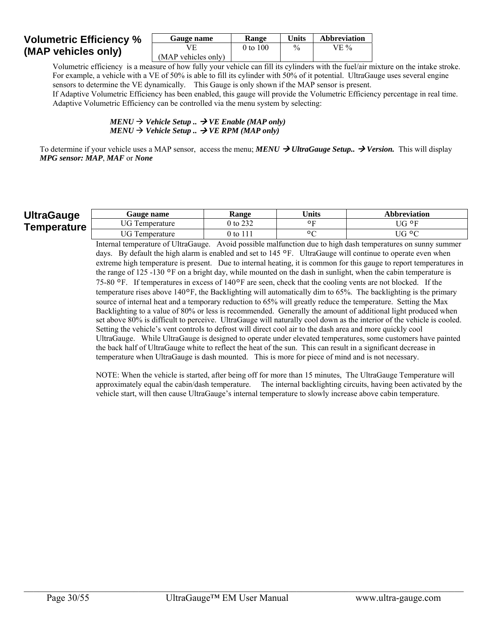### **Volumetric Efficiency % (MAP vehicles only)**

| Gauge name          | <b>Range</b> | Units | <b>Abbreviation</b> |
|---------------------|--------------|-------|---------------------|
|                     | 0 to 100     | $\%$  | $VE\%$              |
| (MAP vehicles only) |              |       |                     |

Volumetric efficiency is a measure of how fully your vehicle can fill its cylinders with the fuel/air mixture on the intake stroke. For example, a vehicle with a VE of 50% is able to fill its cylinder with 50% of it potential. UltraGauge uses several engine sensors to determine the VE dynamically. This Gauge is only shown if the MAP sensor is present.

If Adaptive Volumetric Efficiency has been enabled, this gauge will provide the Volumetric Efficiency percentage in real time. Adaptive Volumetric Efficiency can be controlled via the menu system by selecting:

> $MENU \rightarrow Vehicle Setup.$   $\rightarrow VE$  *Enable (MAP only)*  $MENU \rightarrow Vehicle Setup.$   $\rightarrow$  *VE RPM* (*MAP only*)

To determine if your vehicle uses a MAP sensor, access the menu; *MENU*  $\rightarrow$  *UltraGauge Setup..*  $\rightarrow$  Version. This will display *MPG sensor: MAP*, *MAF* or *None* 

#### **UltraGauge Temperature**

| <b>Gauge name</b>             | Range  | <b>Jnits</b> | <b>Abbreviation</b> |
|-------------------------------|--------|--------------|---------------------|
| JG To<br>Temperature          | to 232 | റ∟           | JG ºF               |
| $\Gamma G$ Te<br>l'emperature | ) to   | ∩ r          | UG ºC               |

Internal temperature of UltraGauge. Avoid possible malfunction due to high dash temperatures on sunny summer days. By default the high alarm is enabled and set to 145 °F. UltraGauge will continue to operate even when extreme high temperature is present. Due to internal heating, it is common for this gauge to report temperatures in the range of 125 -130 ºF on a bright day, while mounted on the dash in sunlight, when the cabin temperature is 75-80 ºF. If temperatures in excess of 140ºF are seen, check that the cooling vents are not blocked. If the temperature rises above 140ºF, the Backlighting will automatically dim to 65%. The backlighting is the primary source of internal heat and a temporary reduction to 65% will greatly reduce the temperature. Setting the Max Backlighting to a value of 80% or less is recommended. Generally the amount of additional light produced when set above 80% is difficult to perceive. UltraGauge will naturally cool down as the interior of the vehicle is cooled. Setting the vehicle's vent controls to defrost will direct cool air to the dash area and more quickly cool UltraGauge. While UltraGauge is designed to operate under elevated temperatures, some customers have painted the back half of UltraGauge white to reflect the heat of the sun. This can result in a significant decrease in temperature when UltraGauge is dash mounted. This is more for piece of mind and is not necessary.

NOTE: When the vehicle is started, after being off for more than 15 minutes, The UltraGauge Temperature will approximately equal the cabin/dash temperature. The internal backlighting circuits, having been activated by the vehicle start, will then cause UltraGauge's internal temperature to slowly increase above cabin temperature.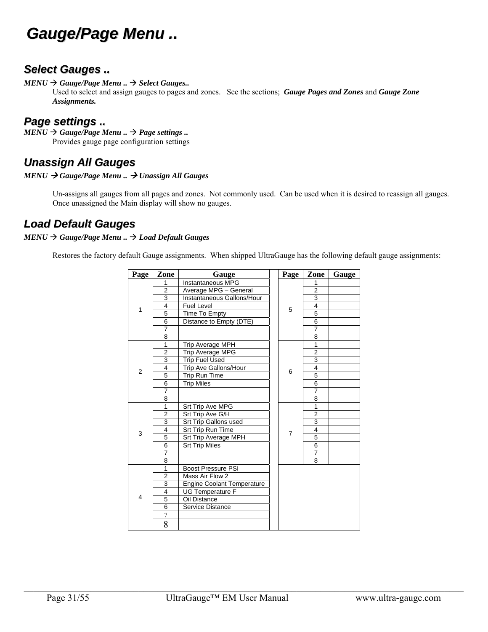## *Gauge/Page Menu ..*

## *Select Gauges ..*

*MENU Gauge/Page Menu .. Select Gauges..*

Used to select and assign gauges to pages and zones. See the sections; *Gauge Pages and Zones* and *Gauge Zone Assignments.* 

### *Page settings ..*

 $MENU \rightarrow Gauge/Page$  *Menu* ..  $\rightarrow$  *Page settings* .. Provides gauge page configuration settings

## *Unassign All Gauges*

#### *MENU Gauge/Page Menu .. Unassign All Gauges*

Un-assigns all gauges from all pages and zones. Not commonly used. Can be used when it is desired to reassign all gauges. Once unassigned the Main display will show no gauges.

## *Load Default Gauges*

#### *MENU Gauge/Page Menu .. Load Default Gauges*

Restores the factory default Gauge assignments. When shipped UltraGauge has the following default gauge assignments:

| Page           | Zone                    | Gauge                             |  | Page           | Zone           | Gauge |
|----------------|-------------------------|-----------------------------------|--|----------------|----------------|-------|
|                | 1                       | Instantaneous MPG                 |  |                | 1              |       |
|                | $\overline{2}$          | Average MPG - General             |  |                | 2              |       |
|                | 3                       | Instantaneous Gallons/Hour        |  |                | $\overline{3}$ |       |
| 1              | 4                       | <b>Fuel Level</b>                 |  |                | $\overline{4}$ |       |
|                | 5                       | Time To Empty                     |  | 5              | 5              |       |
|                | 6                       | Distance to Empty (DTE)           |  |                | 6              |       |
|                | 7                       |                                   |  |                | $\overline{7}$ |       |
|                | 8                       |                                   |  |                | 8              |       |
|                | 1                       | Trip Average MPH                  |  |                | 1              |       |
|                | $\overline{2}$          | <b>Trip Average MPG</b>           |  |                | $\overline{2}$ |       |
|                | 3                       | <b>Trip Fuel Used</b>             |  |                | 3              |       |
| $\overline{2}$ | $\overline{\mathbf{4}}$ | Trip Ave Gallons/Hour             |  | 6              | $\overline{4}$ |       |
|                | 5                       | Trip Run Time                     |  |                | 5              |       |
|                | 6                       | <b>Trip Miles</b>                 |  |                | 6              |       |
|                | $\overline{7}$          |                                   |  | $\overline{7}$ |                |       |
|                | 8                       |                                   |  |                | 8              |       |
|                | 1                       | Srt Trip Ave MPG                  |  |                | $\mathbf{1}$   |       |
|                | $\overline{2}$          | Srt Trip Ave G/H                  |  |                | $\overline{2}$ |       |
|                | 3                       | Srt Trip Gallons used             |  |                | $\overline{3}$ |       |
| 3              | 4                       | Srt Trip Run Time                 |  | $\overline{7}$ | 4              |       |
|                | 5                       | Srt Trip Average MPH              |  |                | 5              |       |
|                | 6                       | <b>Srt Trip Miles</b>             |  |                | $\overline{6}$ |       |
|                | 7                       |                                   |  |                | $\overline{7}$ |       |
|                | 8                       |                                   |  |                | 8              |       |
|                | 1                       | <b>Boost Pressure PSI</b>         |  |                |                |       |
|                | $\overline{2}$          | Mass Air Flow 2                   |  |                |                |       |
|                | 3                       | <b>Engine Coolant Temperature</b> |  |                |                |       |
|                | $\overline{\mathbf{4}}$ | <b>UG Temperature F</b>           |  |                |                |       |
| $\overline{4}$ | 5                       | Oil Distance                      |  |                |                |       |
|                | $\overline{6}$          | Service Distance                  |  |                |                |       |
|                | $\overline{7}$          |                                   |  |                |                |       |
|                | 8                       |                                   |  |                |                |       |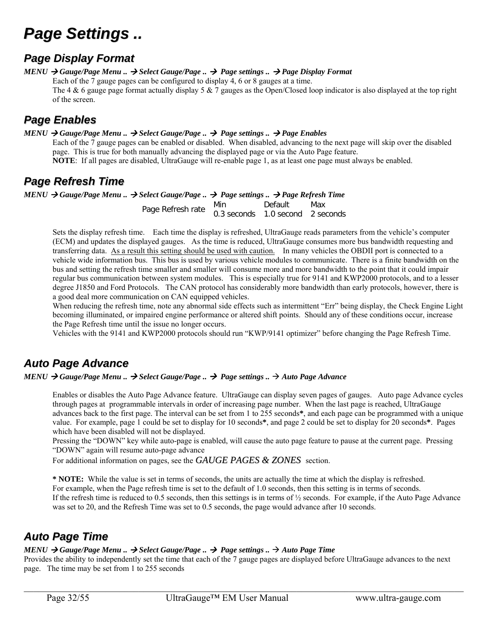## *Page Settings ..*

## *Page Display Format*

*MENU Gauge/Page Menu .. Select Gauge/Page .. Page settings .. Page Display Format*  Each of the 7 gauge pages can be configured to display 4, 6 or 8 gauges at a time. The 4 & 6 gauge page format actually display 5 & 7 gauges as the Open/Closed loop indicator is also displayed at the top right of the screen.

## *Page Enables*

 $MENU \rightarrow Gauge/Page$  Menu ..  $\rightarrow$  Select Gauge/Page ..  $\rightarrow$  Page settings ..  $\rightarrow$  Page Enables

Each of the 7 gauge pages can be enabled or disabled. When disabled, advancing to the next page will skip over the disabled page. This is true for both manually advancing the displayed page or via the Auto Page feature. **NOTE**: If all pages are disabled, UltraGauge will re-enable page 1, as at least one page must always be enabled.

## *Page Refresh Time*

#### $MENU \rightarrow Gauge/Page$  Menu ..  $\rightarrow$  Select Gauge/Page ..  $\rightarrow$  Page settings ..  $\rightarrow$  Page Refresh Time

Page Refresh rate Min Default Max 0.3 seconds 1.0 second 2 seconds

Sets the display refresh time. Each time the display is refreshed, UltraGauge reads parameters from the vehicle's computer (ECM) and updates the displayed gauges. As the time is reduced, UltraGauge consumes more bus bandwidth requesting and transferring data. As a result this setting should be used with caution. In many vehicles the OBDII port is connected to a vehicle wide information bus. This bus is used by various vehicle modules to communicate. There is a finite bandwidth on the bus and setting the refresh time smaller and smaller will consume more and more bandwidth to the point that it could impair regular bus communication between system modules. This is especially true for 9141 and KWP2000 protocols, and to a lesser degree J1850 and Ford Protocols. The CAN protocol has considerably more bandwidth than early protocols, however, there is a good deal more communication on CAN equipped vehicles.

When reducing the refresh time, note any abnormal side effects such as intermittent "Err" being display, the Check Engine Light becoming illuminated, or impaired engine performance or altered shift points. Should any of these conditions occur, increase the Page Refresh time until the issue no longer occurs.

Vehicles with the 9141 and KWP2000 protocols should run "KWP/9141 optimizer" before changing the Page Refresh Time.

## *Auto Page Advance*

*MENU Gauge/Page Menu .. Select Gauge/Page .. Page settings .. Auto Page Advance*

Enables or disables the Auto Page Advance feature. UltraGauge can display seven pages of gauges. Auto page Advance cycles through pages at programmable intervals in order of increasing page number. When the last page is reached, UltraGauge advances back to the first page. The interval can be set from 1 to 255 seconds**\***, and each page can be programmed with a unique value. For example, page 1 could be set to display for 10 seconds**\***, and page 2 could be set to display for 20 seconds**\***. Pages which have been disabled will not be displayed.

Pressing the "DOWN" key while auto-page is enabled, will cause the auto page feature to pause at the current page. Pressing "DOWN" again will resume auto-page advance

For additional information on pages, see the *GAUGE PAGES & ZONES* section.

**\* NOTE:** While the value is set in terms of seconds, the units are actually the time at which the display is refreshed.

For example, when the Page refresh time is set to the default of 1.0 seconds, then this setting is in terms of seconds.

If the refresh time is reduced to 0.5 seconds, then this settings is in terms of  $\frac{1}{2}$  seconds. For example, if the Auto Page Advance was set to 20, and the Refresh Time was set to 0.5 seconds, the page would advance after 10 seconds.

## *Auto Page Time*

### *MENU*  $\rightarrow$  *Gauge/Page Menu ..*  $\rightarrow$  *Select Gauge/Page ..*  $\rightarrow$  *Page settings ..*  $\rightarrow$  *Auto Page Time*

Provides the ability to independently set the time that each of the 7 gauge pages are displayed before UltraGauge advances to the next page. The time may be set from 1 to 255 seconds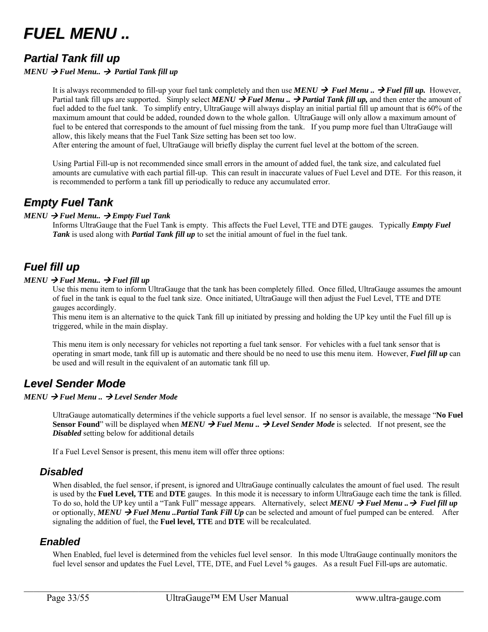

## *Partial Tank fill up*

#### $MENU \rightarrow$  Fuel Menu..  $\rightarrow$  Partial Tank fill up

It is always recommended to fill-up your fuel tank completely and then use **MENU**  $\rightarrow$  **Fuel Menu**  $\rightarrow$  **Fuel fill up.** However, Partial tank fill ups are supported. Simply select **MENU**  $\rightarrow$  **Fuel Menu** ..  $\rightarrow$  **Partial Tank fill up**, and then enter the amount of fuel added to the fuel tank. To simplify entry, UltraGauge will always display an initial partial fill up amount that is 60% of the maximum amount that could be added, rounded down to the whole gallon. UltraGauge will only allow a maximum amount of fuel to be entered that corresponds to the amount of fuel missing from the tank. If you pump more fuel than UltraGauge will allow, this likely means that the Fuel Tank Size setting has been set too low.

After entering the amount of fuel, UltraGauge will briefly display the current fuel level at the bottom of the screen.

Using Partial Fill-up is not recommended since small errors in the amount of added fuel, the tank size, and calculated fuel amounts are cumulative with each partial fill-up. This can result in inaccurate values of Fuel Level and DTE. For this reason, it is recommended to perform a tank fill up periodically to reduce any accumulated error.

## *Empty Fuel Tank*

#### $MENU \rightarrow$  *Fuel Menu..*  $\rightarrow$  *Empty Fuel Tank*

Informs UltraGauge that the Fuel Tank is empty. This affects the Fuel Level, TTE and DTE gauges. Typically *Empty Fuel Tank* is used along with *Partial Tank fill up* to set the initial amount of fuel in the fuel tank.

## *Fuel fill up*

#### $MENU \rightarrow$  *Fuel Menu..*  $\rightarrow$  *Fuel fill up*

Use this menu item to inform UltraGauge that the tank has been completely filled. Once filled, UltraGauge assumes the amount of fuel in the tank is equal to the fuel tank size. Once initiated, UltraGauge will then adjust the Fuel Level, TTE and DTE gauges accordingly.

This menu item is an alternative to the quick Tank fill up initiated by pressing and holding the UP key until the Fuel fill up is triggered, while in the main display.

This menu item is only necessary for vehicles not reporting a fuel tank sensor. For vehicles with a fuel tank sensor that is operating in smart mode, tank fill up is automatic and there should be no need to use this menu item. However, *Fuel fill up* can be used and will result in the equivalent of an automatic tank fill up.

## *Level Sender Mode*

#### *MENU Fuel Menu .. Level Sender Mode*

UltraGauge automatically determines if the vehicle supports a fuel level sensor. If no sensor is available, the message "**No Fuel Sensor Found**" will be displayed when *MENU*  $\rightarrow$  **Fuel Menu**  $\ldots$   $\rightarrow$  **Level Sender Mode** is selected. If not present, see the *Disabled* setting below for additional details

If a Fuel Level Sensor is present, this menu item will offer three options:

#### *Disabled*

When disabled, the fuel sensor, if present, is ignored and UltraGauge continually calculates the amount of fuel used. The result is used by the **Fuel Level, TTE** and **DTE** gauges. In this mode it is necessary to inform UltraGauge each time the tank is filled. To do so, hold the UP key until a "Tank Full" message appears. Alternatively, select **MENU**  $\rightarrow$  **Fuel Menu**  $\rightarrow$  **Fuel fill up** or optionally, *MENU*  $\rightarrow$  *Fuel Menu ..Partial Tank Fill Up* can be selected and amount of fuel pumped can be entered. After signaling the addition of fuel, the **Fuel level, TTE** and **DTE** will be recalculated.

#### *Enabled*

When Enabled, fuel level is determined from the vehicles fuel level sensor. In this mode UltraGauge continually monitors the fuel level sensor and updates the Fuel Level, TTE, DTE, and Fuel Level % gauges. As a result Fuel Fill-ups are automatic.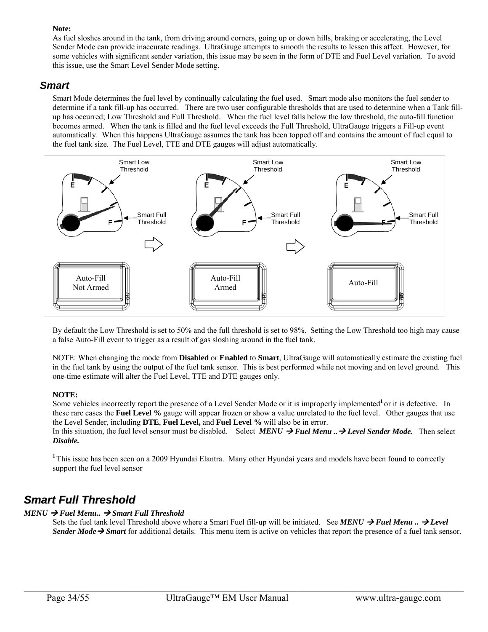#### **Note:**

As fuel sloshes around in the tank, from driving around corners, going up or down hills, braking or accelerating, the Level Sender Mode can provide inaccurate readings. UltraGauge attempts to smooth the results to lessen this affect. However, for some vehicles with significant sender variation, this issue may be seen in the form of DTE and Fuel Level variation. To avoid this issue, use the Smart Level Sender Mode setting.

#### *Smart*

Smart Mode determines the fuel level by continually calculating the fuel used. Smart mode also monitors the fuel sender to determine if a tank fill-up has occurred. There are two user configurable thresholds that are used to determine when a Tank fillup has occurred; Low Threshold and Full Threshold. When the fuel level falls below the low threshold, the auto-fill function becomes armed. When the tank is filled and the fuel level exceeds the Full Threshold, UltraGauge triggers a Fill-up event automatically. When this happens UltraGauge assumes the tank has been topped off and contains the amount of fuel equal to the fuel tank size. The Fuel Level, TTE and DTE gauges will adjust automatically.



By default the Low Threshold is set to 50% and the full threshold is set to 98%. Setting the Low Threshold too high may cause a false Auto-Fill event to trigger as a result of gas sloshing around in the fuel tank.

NOTE: When changing the mode from **Disabled** or **Enabled** to **Smart**, UltraGauge will automatically estimate the existing fuel in the fuel tank by using the output of the fuel tank sensor. This is best performed while not moving and on level ground. This one-time estimate will alter the Fuel Level, TTE and DTE gauges only.

#### **NOTE:**

Some vehicles incorrectly report the presence of a Level Sender Mode or it is improperly implemented<sup>1</sup> or it is defective. In these rare cases the **Fuel Level %** gauge will appear frozen or show a value unrelated to the fuel level. Other gauges that use the Level Sender, including **DTE**, **Fuel Level,** and **Fuel Level %** will also be in error.

In this situation, the fuel level sensor must be disabled. Select *MENU*  $\rightarrow$  *Fuel Menu.* $\rightarrow$  Level Sender Mode. Then select *Disable.* 

<sup>1</sup>This issue has been seen on a 2009 Hyundai Elantra. Many other Hyundai years and models have been found to correctly support the fuel level sensor

## *Smart Full Threshold*

#### $MENU \rightarrow$  Fuel Menu..  $\rightarrow$  Smart Full Threshold

Sets the fuel tank level Threshold above where a Smart Fuel fill-up will be initiated. See *MENU*  $\rightarrow$  Fuel Menu  $\rightarrow$  Level *Sender Mode*  $\rightarrow$  *Smart* for additional details. This menu item is active on vehicles that report the presence of a fuel tank sensor.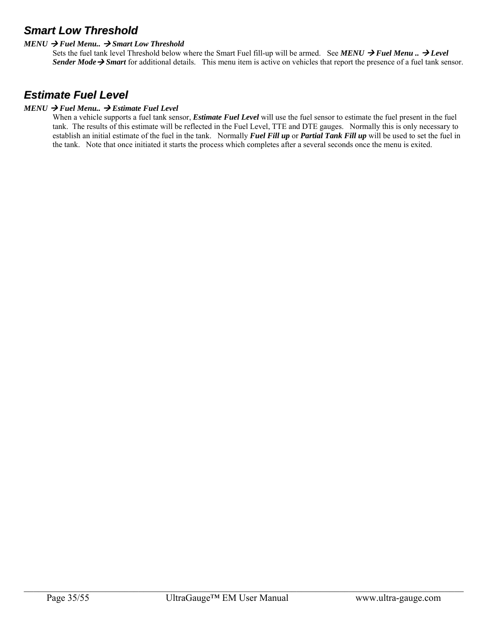## *Smart Low Threshold*

#### $MENU \rightarrow$  Fuel Menu..  $\rightarrow$  Smart Low Threshold

Sets the fuel tank level Threshold below where the Smart Fuel fill-up will be armed. See *MENU*  $\rightarrow$  *Fuel Menu*  $\rightarrow$  *Level Sender Mode*  $\rightarrow$  *Smart* for additional details. This menu item is active on vehicles that report the presence of a fuel tank sensor.

## *Estimate Fuel Level*

#### $MENU \rightarrow$  Fuel Menu..  $\rightarrow$  Estimate Fuel Level

When a vehicle supports a fuel tank sensor, *Estimate Fuel Level* will use the fuel sensor to estimate the fuel present in the fuel tank. The results of this estimate will be reflected in the Fuel Level, TTE and DTE gauges. Normally this is only necessary to establish an initial estimate of the fuel in the tank. Normally *Fuel Fill up* or *Partial Tank Fill up* will be used to set the fuel in the tank. Note that once initiated it starts the process which completes after a several seconds once the menu is exited.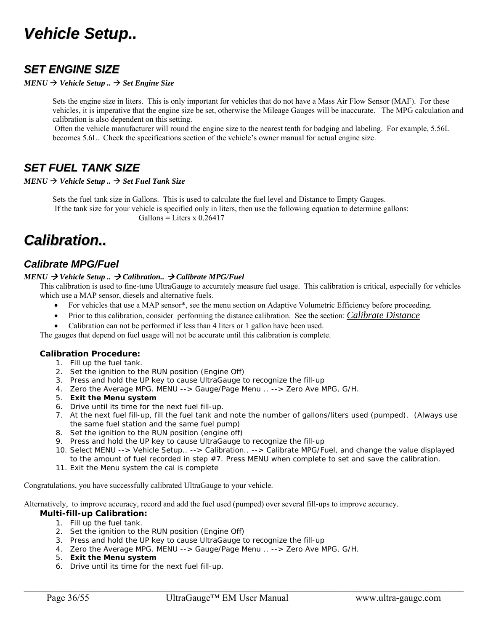## *Vehicle Setup..*

## *SET ENGINE SIZE*

*MENU Vehicle Setup .. Set Engine Size*

Sets the engine size in liters. This is only important for vehicles that do not have a Mass Air Flow Sensor (MAF). For these vehicles, it is imperative that the engine size be set, otherwise the Mileage Gauges will be inaccurate. The MPG calculation and calibration is also dependent on this setting.

 Often the vehicle manufacturer will round the engine size to the nearest tenth for badging and labeling. For example, 5.56L becomes 5.6L. Check the specifications section of the vehicle's owner manual for actual engine size.

## *SET FUEL TANK SIZE*

 $MENU \rightarrow Vehicle Setup.$   $\rightarrow$  *Set Fuel Tank Size* 

Sets the fuel tank size in Gallons. This is used to calculate the fuel level and Distance to Empty Gauges. If the tank size for your vehicle is specified only in liters, then use the following equation to determine gallons:  $Gallons = Liters \times 0.26417$ 

## *Calibration..*

### *Calibrate MPG/Fuel*

#### *MENU → Vehicle Setup .. → Calibration.. → Calibrate MPG/Fuel*

This calibration is used to fine-tune UltraGauge to accurately measure fuel usage. This calibration is critical, especially for vehicles which use a MAP sensor, diesels and alternative fuels.

- For vehicles that use a MAP sensor<sup>\*</sup>, see the menu section on Adaptive Volumetric Efficiency before proceeding.
- Prior to this calibration, consider performing the distance calibration. See the section: *Calibrate Distance*
- Calibration can not be performed if less than 4 liters or 1 gallon have been used.

The gauges that depend on fuel usage will not be accurate until this calibration is complete.

#### **Calibration Procedure:**

- 1. Fill up the fuel tank.
- 2. Set the ignition to the RUN position (Engine Off)
- 3. Press and hold the UP key to cause UltraGauge to recognize the fill-up
- 4. Zero the Average MPG. MENU --> Gauge/Page Menu .. --> Zero Ave MPG, G/H.
- 5. **Exit the Menu system**
- 6. Drive until its time for the next fuel fill-up.
- 7. At the next fuel fill-up, fill the fuel tank and note the number of gallons/liters used (pumped). (Always use the same fuel station and the same fuel pump)
- 8. Set the ignition to the RUN position (engine off)
- 9. Press and hold the UP key to cause UltraGauge to recognize the fill-up
- 10. Select MENU --> Vehicle Setup.. --> Calibration.. --> Calibrate MPG/Fuel, and change the value displayed to the amount of fuel recorded in step #7. Press MENU when complete to set and save the calibration.
- 11. Exit the Menu system the cal is complete

Congratulations, you have successfully calibrated UltraGauge to your vehicle.

Alternatively, to improve accuracy, record and add the fuel used (pumped) over several fill-ups to improve accuracy.

#### **Multi-fill-up Calibration:**

- 1. Fill up the fuel tank.
- 2. Set the ignition to the RUN position (Engine Off)
- 3. Press and hold the UP key to cause UltraGauge to recognize the fill-up
- 4. Zero the Average MPG. MENU --> Gauge/Page Menu .. --> Zero Ave MPG, G/H.
- 5. **Exit the Menu system**
- 6. Drive until its time for the next fuel fill-up.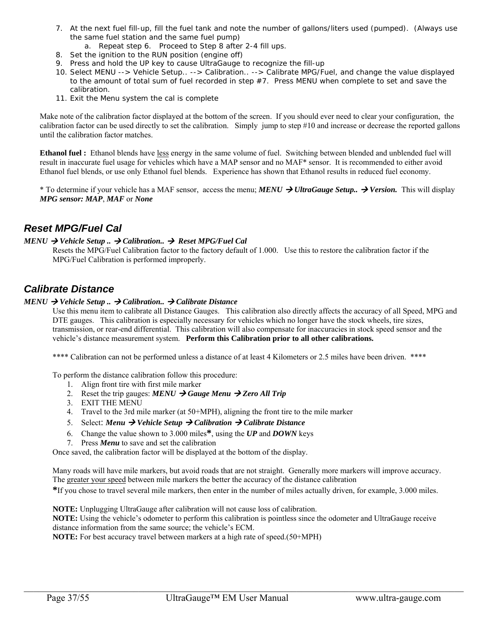- 7. At the next fuel fill-up, fill the fuel tank and note the number of gallons/liters used (pumped). (Always use the same fuel station and the same fuel pump)
	- a. Repeat step 6. Proceed to Step 8 after 2-4 fill ups.
- 8. Set the ignition to the RUN position (engine off)
- 9. Press and hold the UP key to cause UltraGauge to recognize the fill-up
- 10. Select MENU --> Vehicle Setup.. --> Calibration.. --> Calibrate MPG/Fuel, and change the value displayed to the amount of total sum of fuel recorded in step #7. Press MENU when complete to set and save the calibration.
- 11. Exit the Menu system the cal is complete

Make note of the calibration factor displayed at the bottom of the screen. If you should ever need to clear your configuration, the calibration factor can be used directly to set the calibration. Simply jump to step #10 and increase or decrease the reported gallons until the calibration factor matches.

**Ethanol fuel :** Ethanol blends have less energy in the same volume of fuel. Switching between blended and unblended fuel will result in inaccurate fuel usage for vehicles which have a MAP sensor and no MAF\* sensor. It is recommended to either avoid Ethanol fuel blends, or use only Ethanol fuel blends. Experience has shown that Ethanol results in reduced fuel economy.

\* To determine if your vehicle has a MAF sensor, access the menu; *MENU*  $\rightarrow$  *UltraGauge Setup.*.  $\rightarrow$  Version. This will display *MPG sensor: MAP*, *MAF* or *None* 

### *Reset MPG/Fuel Cal*

#### *MENU → Vehicle Setup .. → Calibration.. → Reset MPG/Fuel Cal*

Resets the MPG/Fuel Calibration factor to the factory default of 1.000. Use this to restore the calibration factor if the MPG/Fuel Calibration is performed improperly.

### *Calibrate Distance*

#### *MENU*  $\rightarrow$  *Vehicle Setup* ..  $\rightarrow$  *Calibration..*  $\rightarrow$  *Calibrate Distance*

Use this menu item to calibrate all Distance Gauges. This calibration also directly affects the accuracy of all Speed, MPG and DTE gauges. This calibration is especially necessary for vehicles which no longer have the stock wheels, tire sizes, transmission, or rear-end differential. This calibration will also compensate for inaccuracies in stock speed sensor and the vehicle's distance measurement system. **Perform this Calibration prior to all other calibrations.** 

\*\*\*\* Calibration can not be performed unless a distance of at least 4 Kilometers or 2.5 miles have been driven. \*\*\*\*

To perform the distance calibration follow this procedure:

- 1. Align front tire with first mile marker
- 2. Reset the trip gauges:  $MENU \rightarrow Gauge \; Menu \rightarrow Zero \; All \; Trip$
- 3. EXIT THE MENU
- 4. Travel to the 3rd mile marker (at 50+MPH), aligning the front tire to the mile marker
- 5. Select: *Menu Vehicle Setup Calibration Calibrate Distance*
- 6. Change the value shown to 3.000 miles**\***, using the *UP* and *DOWN* keys
- 7. Press *Menu* to save and set the calibration

Once saved, the calibration factor will be displayed at the bottom of the display.

Many roads will have mile markers, but avoid roads that are not straight. Generally more markers will improve accuracy. The greater your speed between mile markers the better the accuracy of the distance calibration

**\***If you chose to travel several mile markers, then enter in the number of miles actually driven, for example, 3.000 miles.

**NOTE:** Unplugging UltraGauge after calibration will not cause loss of calibration.

**NOTE:** Using the vehicle's odometer to perform this calibration is pointless since the odometer and UltraGauge receive distance information from the same source; the vehicle's ECM.

 $\mathcal{L}_\mathcal{L} = \mathcal{L}_\mathcal{L} = \mathcal{L}_\mathcal{L} = \mathcal{L}_\mathcal{L} = \mathcal{L}_\mathcal{L} = \mathcal{L}_\mathcal{L} = \mathcal{L}_\mathcal{L} = \mathcal{L}_\mathcal{L} = \mathcal{L}_\mathcal{L} = \mathcal{L}_\mathcal{L} = \mathcal{L}_\mathcal{L} = \mathcal{L}_\mathcal{L} = \mathcal{L}_\mathcal{L} = \mathcal{L}_\mathcal{L} = \mathcal{L}_\mathcal{L} = \mathcal{L}_\mathcal{L} = \mathcal{L}_\mathcal{L}$ 

**NOTE:** For best accuracy travel between markers at a high rate of speed.(50+MPH)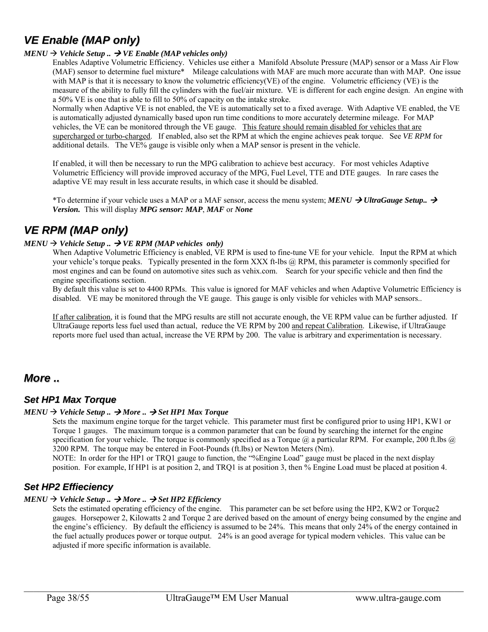## *VE Enable (MAP only)*

#### $MENU \rightarrow Vehicle Setup.$   $\rightarrow$  *VE Enable (MAP vehicles only)*

Enables Adaptive Volumetric Efficiency. Vehicles use either a Manifold Absolute Pressure (MAP) sensor or a Mass Air Flow (MAF) sensor to determine fuel mixture\* Mileage calculations with MAF are much more accurate than with MAP. One issue with MAP is that it is necessary to know the volumetric efficiency(VE) of the engine. Volumetric efficiency (VE) is the measure of the ability to fully fill the cylinders with the fuel/air mixture. VE is different for each engine design. An engine with a 50% VE is one that is able to fill to 50% of capacity on the intake stroke.

Normally when Adaptive VE is not enabled, the VE is automatically set to a fixed average. With Adaptive VE enabled, the VE is automatically adjusted dynamically based upon run time conditions to more accurately determine mileage. For MAP vehicles, the VE can be monitored through the VE gauge. This feature should remain disabled for vehicles that are supercharged or turbo-charged. If enabled, also set the RPM at which the engine achieves peak torque. See *VE RPM* for additional details. The VE% gauge is visible only when a MAP sensor is present in the vehicle.

If enabled, it will then be necessary to run the MPG calibration to achieve best accuracy. For most vehicles Adaptive Volumetric Efficiency will provide improved accuracy of the MPG, Fuel Level, TTE and DTE gauges. In rare cases the adaptive VE may result in less accurate results, in which case it should be disabled.

\*To determine if your vehicle uses a MAP or a MAF sensor, access the menu system;  $MENU \rightarrow UltraGauge Setup.$ *Version.* This will display *MPG sensor: MAP*, *MAF* or *None*

## *VE RPM (MAP only)*

#### $MENU \rightarrow Vehicle Setup.$   $\rightarrow$  *VE RPM (MAP vehicles only)*

When Adaptive Volumetric Efficiency is enabled, VE RPM is used to fine-tune VE for your vehicle. Input the RPM at which your vehicle's torque peaks. Typically presented in the form XXX ft-lbs @ RPM, this parameter is commonly specified for most engines and can be found on automotive sites such as vehix.com. Search for your specific vehicle and then find the engine specifications section.

By default this value is set to 4400 RPMs. This value is ignored for MAF vehicles and when Adaptive Volumetric Efficiency is disabled. VE may be monitored through the VE gauge. This gauge is only visible for vehicles with MAP sensors..

If after calibration, it is found that the MPG results are still not accurate enough, the VE RPM value can be further adjusted. If UltraGauge reports less fuel used than actual, reduce the VE RPM by 200 and repeat Calibration. Likewise, if UltraGauge reports more fuel used than actual, increase the VE RPM by 200. The value is arbitrary and experimentation is necessary.

### *More ..*

#### *Set HP1 Max Torque*

#### $MENU \rightarrow Vehicle Setup.$   $\rightarrow More.$   $\rightarrow Set HPI Max Torque$

Sets the maximum engine torque for the target vehicle. This parameter must first be configured prior to using HP1, KW1 or Torque 1 gauges. The maximum torque is a common parameter that can be found by searching the internet for the engine specification for your vehicle. The torque is commonly specified as a Torque  $\omega$  a particular RPM. For example, 200 ft.lbs  $\omega$ 3200 RPM. The torque may be entered in Foot-Pounds (ft.lbs) or Newton Meters (Nm).

NOTE: In order for the HP1 or TRQ1 gauge to function, the "%Engine Load" gauge must be placed in the next display position. For example, If HP1 is at position 2, and TRQ1 is at position 3, then % Engine Load must be placed at position 4.

#### *Set HP2 Effieciency*

#### $MENU \rightarrow Vehicle Setup.$   $\rightarrow More.$   $\rightarrow Set HP2$  *Efficiency*

Sets the estimated operating efficiency of the engine. This parameter can be set before using the HP2, KW2 or Torque2 gauges. Horsepower 2, Kilowatts 2 and Torque 2 are derived based on the amount of energy being consumed by the engine and the engine's efficiency. By default the efficiency is assumed to be 24%. This means that only 24% of the energy contained in the fuel actually produces power or torque output. 24% is an good average for typical modern vehicles. This value can be adjusted if more specific information is available.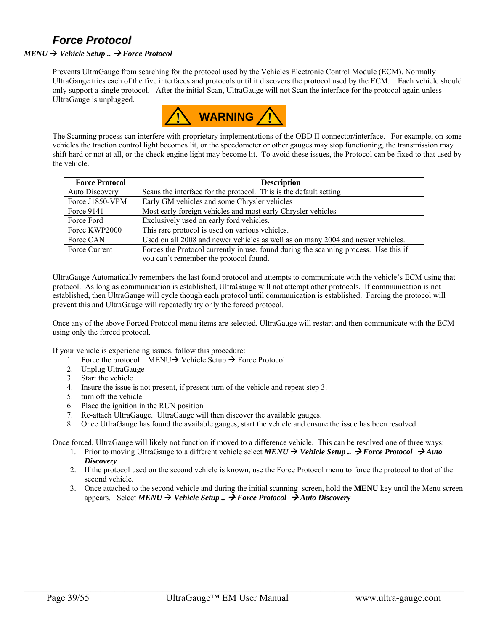## *Force Protocol*

#### $MENU \rightarrow Vehicle Setup. \rightarrow Force Protocol$

Prevents UltraGauge from searching for the protocol used by the Vehicles Electronic Control Module (ECM). Normally UltraGauge tries each of the five interfaces and protocols until it discovers the protocol used by the ECM. Each vehicle should only support a single protocol. After the initial Scan, UltraGauge will not Scan the interface for the protocol again unless UltraGauge is unplugged.



The Scanning process can interfere with proprietary implementations of the OBD II connector/interface. For example, on some vehicles the traction control light becomes lit, or the speedometer or other gauges may stop functioning, the transmission may shift hard or not at all, or the check engine light may become lit. To avoid these issues, the Protocol can be fixed to that used by the vehicle.

| <b>Force Protocol</b> | <b>Description</b>                                                                   |
|-----------------------|--------------------------------------------------------------------------------------|
| Auto Discovery        | Scans the interface for the protocol. This is the default setting                    |
| Force J1850-VPM       | Early GM vehicles and some Chrysler vehicles                                         |
| Force 9141            | Most early foreign vehicles and most early Chrysler vehicles                         |
| Force Ford            | Exclusively used on early ford vehicles.                                             |
| Force KWP2000         | This rare protocol is used on various vehicles.                                      |
| Force CAN             | Used on all 2008 and newer vehicles as well as on many 2004 and newer vehicles.      |
| Force Current         | Forces the Protocol currently in use, found during the scanning process. Use this if |
|                       | you can't remember the protocol found.                                               |

UltraGauge Automatically remembers the last found protocol and attempts to communicate with the vehicle's ECM using that protocol. As long as communication is established, UltraGauge will not attempt other protocols. If communication is not established, then UltraGauge will cycle though each protocol until communication is established. Forcing the protocol will prevent this and UltraGauge will repeatedly try only the forced protocol.

Once any of the above Forced Protocol menu items are selected, UltraGauge will restart and then communicate with the ECM using only the forced protocol.

If your vehicle is experiencing issues, follow this procedure:

- 1. Force the protocol: MENU  $\rightarrow$  Vehicle Setup  $\rightarrow$  Force Protocol
- 2. Unplug UltraGauge
- 3. Start the vehicle
- 4. Insure the issue is not present, if present turn of the vehicle and repeat step 3.
- 5. turn off the vehicle
- 6. Place the ignition in the RUN position
- 7. Re-attach UltraGauge. UltraGauge will then discover the available gauges.
- 8. Once UtlraGauge has found the available gauges, start the vehicle and ensure the issue has been resolved

Once forced, UltraGauge will likely not function if moved to a difference vehicle. This can be resolved one of three ways:

- 1. Prior to moving UltraGauge to a different vehicle select  $MENU \rightarrow Vehicle\ Setup$ ...  $\rightarrow Force\ Protocol$   $\rightarrow Auto$ *Discovery*
- 2. If the protocol used on the second vehicle is known, use the Force Protocol menu to force the protocol to that of the second vehicle.
- 3. Once attached to the second vehicle and during the initial scanning screen, hold the **MENU** key until the Menu screen appears. Select  $MENU \rightarrow Vehicle Setup.$   $\rightarrow$  *Force Protocol*  $\rightarrow$  *Auto Discovery*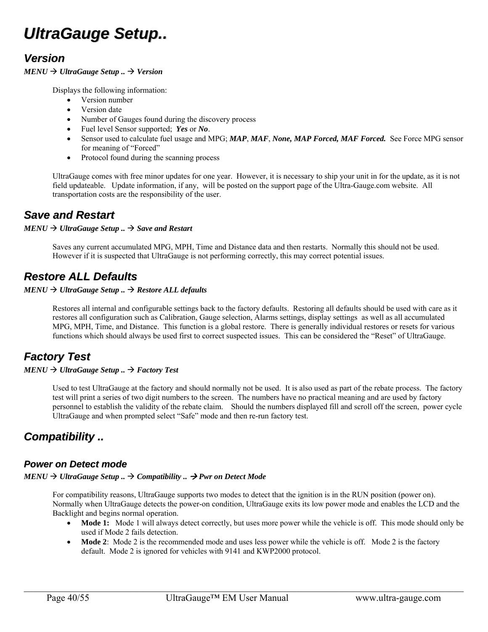## *UltraGauge Setup..*

## *Version*

#### $MENU \rightarrow UltraGauge Setup.$   $\rightarrow$  Version

Displays the following information:

- Version number
- Version date
- Number of Gauges found during the discovery process
- Fuel level Sensor supported; *Yes* or *No*.
- Sensor used to calculate fuel usage and MPG; *MAP*, *MAF*, *None, MAP Forced, MAF Forced.* See Force MPG sensor for meaning of "Forced"
- Protocol found during the scanning process

UltraGauge comes with free minor updates for one year. However, it is necessary to ship your unit in for the update, as it is not field updateable. Update information, if any, will be posted on the support page of the Ultra-Gauge.com website. All transportation costs are the responsibility of the user.

## *Save and Restart*

#### $MENU \rightarrow UltraGauge Setup.$   $\rightarrow$  *Save and Restart*

Saves any current accumulated MPG, MPH, Time and Distance data and then restarts. Normally this should not be used. However if it is suspected that UltraGauge is not performing correctly, this may correct potential issues.

## *Restore ALL Defaults*

#### $MENU \rightarrow UltraGauge Setup.$   $\rightarrow$  *Restore ALL defaults*

Restores all internal and configurable settings back to the factory defaults. Restoring all defaults should be used with care as it restores all configuration such as Calibration, Gauge selection, Alarms settings, display settings as well as all accumulated MPG, MPH, Time, and Distance. This function is a global restore. There is generally individual restores or resets for various functions which should always be used first to correct suspected issues. This can be considered the "Reset" of UltraGauge.

## *Factory Test*

#### $MENU \rightarrow UltraGauge Setup.$   $\rightarrow$  *Factory Test*

Used to test UltraGauge at the factory and should normally not be used. It is also used as part of the rebate process. The factory test will print a series of two digit numbers to the screen. The numbers have no practical meaning and are used by factory personnel to establish the validity of the rebate claim. Should the numbers displayed fill and scroll off the screen, power cycle UltraGauge and when prompted select "Safe" mode and then re-run factory test.

## *Compatibility ..*

#### *Power on Detect mode*

#### $MENU \rightarrow UltraGauge Setup.$   $\rightarrow$  *Compatibility ..*  $\rightarrow$  *Pwr on Detect Mode*

For compatibility reasons, UltraGauge supports two modes to detect that the ignition is in the RUN position (power on). Normally when UltraGauge detects the power-on condition, UltraGauge exits its low power mode and enables the LCD and the Backlight and begins normal operation.

- **Mode 1:** Mode 1 will always detect correctly, but uses more power while the vehicle is off. This mode should only be used if Mode 2 fails detection.
- Mode 2: Mode 2 is the recommended mode and uses less power while the vehicle is off. Mode 2 is the factory default. Mode 2 is ignored for vehicles with 9141 and KWP2000 protocol.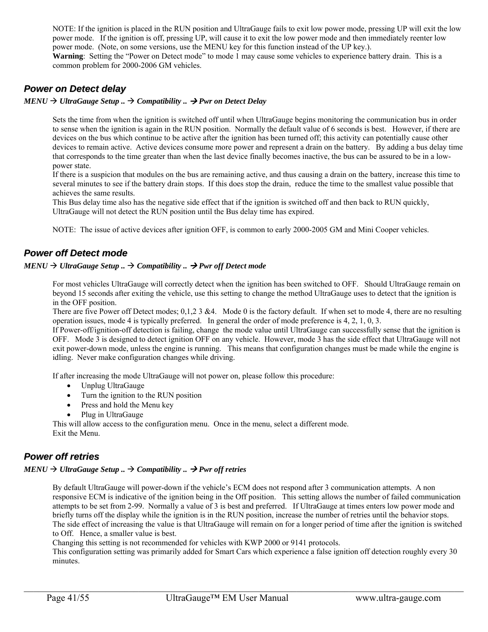NOTE: If the ignition is placed in the RUN position and UltraGauge fails to exit low power mode, pressing UP will exit the low power mode. If the ignition is off, pressing UP, will cause it to exit the low power mode and then immediately reenter low power mode. (Note, on some versions, use the MENU key for this function instead of the UP key.). **Warning**: Setting the "Power on Detect mode" to mode 1 may cause some vehicles to experience battery drain. This is a common problem for 2000-2006 GM vehicles.

### *Power on Detect delay*

#### $MENU \rightarrow UltraGauge Setup. \rightarrow Compatibility. \rightarrow Pwr on Detection$

Sets the time from when the ignition is switched off until when UltraGauge begins monitoring the communication bus in order to sense when the ignition is again in the RUN position. Normally the default value of 6 seconds is best. However, if there are devices on the bus which continue to be active after the ignition has been turned off; this activity can potentially cause other devices to remain active. Active devices consume more power and represent a drain on the battery. By adding a bus delay time that corresponds to the time greater than when the last device finally becomes inactive, the bus can be assured to be in a lowpower state.

If there is a suspicion that modules on the bus are remaining active, and thus causing a drain on the battery, increase this time to several minutes to see if the battery drain stops. If this does stop the drain, reduce the time to the smallest value possible that achieves the same results.

This Bus delay time also has the negative side effect that if the ignition is switched off and then back to RUN quickly, UltraGauge will not detect the RUN position until the Bus delay time has expired.

NOTE: The issue of active devices after ignition OFF, is common to early 2000-2005 GM and Mini Cooper vehicles.

#### *Power off Detect mode*

#### $MENU \rightarrow UltraGauge Setup.$   $\rightarrow$  *Compatibility ..*  $\rightarrow$  *Pwr off Detect mode*

For most vehicles UltraGauge will correctly detect when the ignition has been switched to OFF. Should UltraGauge remain on beyond 15 seconds after exiting the vehicle, use this setting to change the method UltraGauge uses to detect that the ignition is in the OFF position.

There are five Power off Detect modes; 0,1,2 3 &4. Mode 0 is the factory default. If when set to mode 4, there are no resulting operation issues, mode 4 is typically preferred. In general the order of mode preference is 4, 2, 1, 0, 3.

If Power-off/ignition-off detection is failing, change the mode value until UltraGauge can successfully sense that the ignition is OFF. Mode 3 is designed to detect ignition OFF on any vehicle. However, mode 3 has the side effect that UltraGauge will not exit power-down mode, unless the engine is running. This means that configuration changes must be made while the engine is idling. Never make configuration changes while driving.

If after increasing the mode UltraGauge will not power on, please follow this procedure:

- Unplug UltraGauge
- Turn the ignition to the RUN position
- Press and hold the Menu key
- Plug in UltraGauge

This will allow access to the configuration menu. Once in the menu, select a different mode. Exit the Menu.

#### *Power off retries*

#### $MENU \rightarrow UltraGauge Setup.$   $\rightarrow$  *Compatibility ..*  $\rightarrow$  *Pwr off retries*

By default UltraGauge will power-down if the vehicle's ECM does not respond after 3 communication attempts. A non responsive ECM is indicative of the ignition being in the Off position. This setting allows the number of failed communication attempts to be set from 2-99. Normally a value of 3 is best and preferred. If UltraGauge at times enters low power mode and briefly turns off the display while the ignition is in the RUN position, increase the number of retries until the behavior stops. The side effect of increasing the value is that UltraGauge will remain on for a longer period of time after the ignition is switched to Off. Hence, a smaller value is best.

Changing this setting is not recommended for vehicles with KWP 2000 or 9141 protocols.

This configuration setting was primarily added for Smart Cars which experience a false ignition off detection roughly every 30 minutes.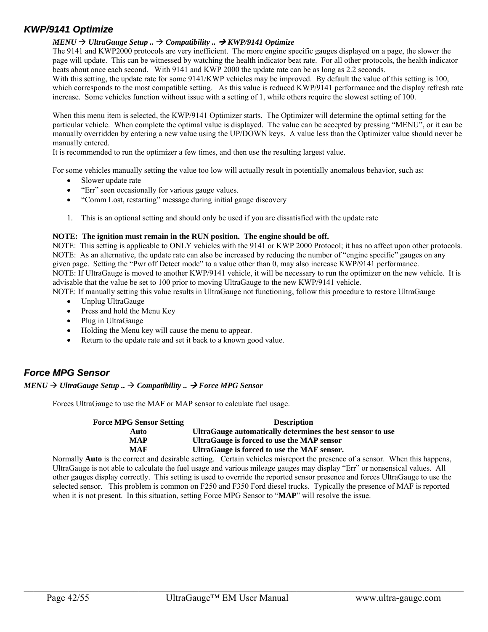### *KWP/9141 Optimize*

#### *MENU UltraGauge Setup .. Compatibility .. KWP/9141 Optimize*

The 9141 and KWP2000 protocols are very inefficient. The more engine specific gauges displayed on a page, the slower the page will update. This can be witnessed by watching the health indicator beat rate. For all other protocols, the health indicator beats about once each second. With 9141 and KWP 2000 the update rate can be as long as 2.2 seconds.

With this setting, the update rate for some 9141/KWP vehicles may be improved. By default the value of this setting is 100, which corresponds to the most compatible setting. As this value is reduced KWP/9141 performance and the display refresh rate increase. Some vehicles function without issue with a setting of 1, while others require the slowest setting of 100.

When this menu item is selected, the KWP/9141 Optimizer starts. The Optimizer will determine the optimal setting for the particular vehicle. When complete the optimal value is displayed. The value can be accepted by pressing "MENU", or it can be manually overridden by entering a new value using the UP/DOWN keys. A value less than the Optimizer value should never be manually entered.

It is recommended to run the optimizer a few times, and then use the resulting largest value.

For some vehicles manually setting the value too low will actually result in potentially anomalous behavior, such as:

- Slower update rate
- "Err" seen occasionally for various gauge values.
- "Comm Lost, restarting" message during initial gauge discovery
- 1. This is an optional setting and should only be used if you are dissatisfied with the update rate

#### **NOTE: The ignition must remain in the RUN position. The engine should be off.**

NOTE: This setting is applicable to ONLY vehicles with the 9141 or KWP 2000 Protocol; it has no affect upon other protocols. NOTE: As an alternative, the update rate can also be increased by reducing the number of "engine specific" gauges on any given page. Setting the "Pwr off Detect mode" to a value other than 0, may also increase KWP/9141 performance. NOTE: If UltraGauge is moved to another KWP/9141 vehicle, it will be necessary to run the optimizer on the new vehicle. It is advisable that the value be set to 100 prior to moving UltraGauge to the new KWP/9141 vehicle.

NOTE: If manually setting this value results in UltraGauge not functioning, follow this procedure to restore UltraGauge

- Unplug UltraGauge
- Press and hold the Menu Key
- Plug in UltraGauge
- Holding the Menu key will cause the menu to appear.
- Return to the update rate and set it back to a known good value.

#### *Force MPG Sensor*

 $MENU \rightarrow UltraGauge Setup.$   $\rightarrow$  *Compatibility ..*  $\rightarrow$  *Force MPG Sensor* 

Forces UltraGauge to use the MAF or MAP sensor to calculate fuel usage.

| <b>Force MPG Sensor Setting</b> | <b>Description</b>                                                                                |
|---------------------------------|---------------------------------------------------------------------------------------------------|
| Auto                            | UltraGauge automatically determines the best sensor to use                                        |
| MAP                             | UltraGauge is forced to use the MAP sensor                                                        |
| MAF                             | UltraGauge is forced to use the MAF sensor.                                                       |
|                                 | Ande in the compact and desimble setting. Compiu redrictos mismon out the nucleose of a sensor WI |

Normally **Auto** is the correct and desirable setting. Certain vehicles misreport the presence of a sensor. When this happens, UltraGauge is not able to calculate the fuel usage and various mileage gauges may display "Err" or nonsensical values. All other gauges display correctly. This setting is used to override the reported sensor presence and forces UltraGauge to use the selected sensor. This problem is common on F250 and F350 Ford diesel trucks. Typically the presence of MAF is reported when it is not present. In this situation, setting Force MPG Sensor to "**MAP**" will resolve the issue.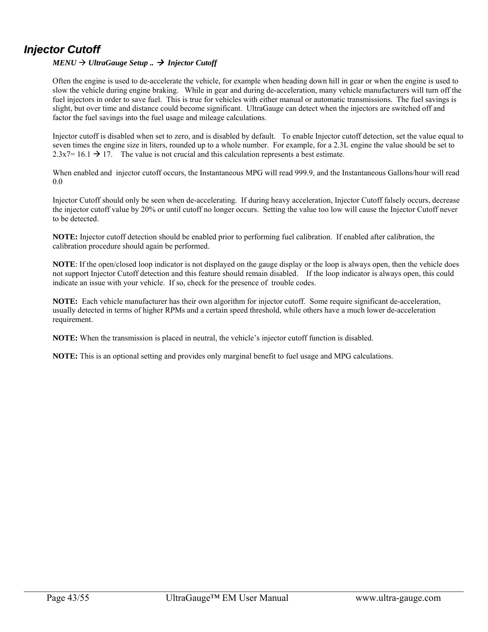## *Injector Cutoff*

#### $MENU \rightarrow UltraGauge Setup.$   $\rightarrow Injector Cutoff$

Often the engine is used to de-accelerate the vehicle, for example when heading down hill in gear or when the engine is used to slow the vehicle during engine braking. While in gear and during de-acceleration, many vehicle manufacturers will turn off the fuel injectors in order to save fuel. This is true for vehicles with either manual or automatic transmissions. The fuel savings is slight, but over time and distance could become significant. UltraGauge can detect when the injectors are switched off and factor the fuel savings into the fuel usage and mileage calculations.

Injector cutoff is disabled when set to zero, and is disabled by default. To enable Injector cutoff detection, set the value equal to seven times the engine size in liters, rounded up to a whole number. For example, for a 2.3L engine the value should be set to  $2.3x7= 16.1 \rightarrow 17$ . The value is not crucial and this calculation represents a best estimate.

When enabled and injector cutoff occurs, the Instantaneous MPG will read 999.9, and the Instantaneous Gallons/hour will read 0.0

Injector Cutoff should only be seen when de-accelerating. If during heavy acceleration, Injector Cutoff falsely occurs, decrease the injector cutoff value by 20% or until cutoff no longer occurs. Setting the value too low will cause the Injector Cutoff never to be detected.

**NOTE:** Injector cutoff detection should be enabled prior to performing fuel calibration. If enabled after calibration, the calibration procedure should again be performed.

**NOTE**: If the open/closed loop indicator is not displayed on the gauge display or the loop is always open, then the vehicle does not support Injector Cutoff detection and this feature should remain disabled. If the loop indicator is always open, this could indicate an issue with your vehicle. If so, check for the presence of trouble codes.

**NOTE:** Each vehicle manufacturer has their own algorithm for injector cutoff. Some require significant de-acceleration, usually detected in terms of higher RPMs and a certain speed threshold, while others have a much lower de-acceleration requirement.

**NOTE:** When the transmission is placed in neutral, the vehicle's injector cutoff function is disabled.

**NOTE:** This is an optional setting and provides only marginal benefit to fuel usage and MPG calculations.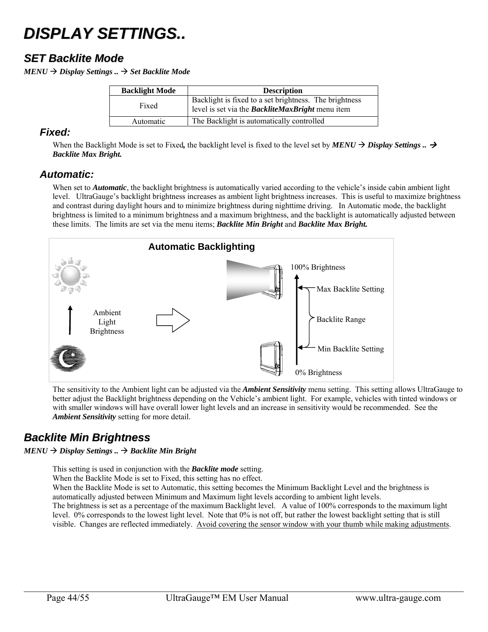# *DISPLAY SETTINGS..*

## *SET Backlite Mode*

 $MENU \rightarrow$  *Display Settings ..*  $\rightarrow$  *Set Backlite Mode* 

| <b>Backlight Mode</b> | <b>Description</b>                                                                                                |  |  |
|-----------------------|-------------------------------------------------------------------------------------------------------------------|--|--|
| Fixed                 | Backlight is fixed to a set brightness. The brightness<br>level is set via the <b>BackliteMaxBright</b> menu item |  |  |
| Automatic             | The Backlight is automatically controlled                                                                         |  |  |

#### *Fixed:*

When the Backlight Mode is set to Fixed, the backlight level is fixed to the level set by  $MENU \rightarrow Display$  Settings ..  $\rightarrow$ *Backlite Max Bright.* 

#### *Automatic:*

When set to *Automatic*, the backlight brightness is automatically varied according to the vehicle's inside cabin ambient light level. UltraGauge's backlight brightness increases as ambient light brightness increases. This is useful to maximize brightness and contrast during daylight hours and to minimize brightness during nighttime driving. In Automatic mode, the backlight brightness is limited to a minimum brightness and a maximum brightness, and the backlight is automatically adjusted between these limits. The limits are set via the menu items; *Backlite Min Bright* and *Backlite Max Bright.*



The sensitivity to the Ambient light can be adjusted via the *Ambient Sensitivity* menu setting. This setting allows UltraGauge to better adjust the Backlight brightness depending on the Vehicle's ambient light. For example, vehicles with tinted windows or with smaller windows will have overall lower light levels and an increase in sensitivity would be recommended. See the *Ambient Sensitivity* setting for more detail.

## *Backlite Min Brightness*

#### $MENU \rightarrow$  *Display Settings* ..  $\rightarrow$  *Backlite Min Bright*

This setting is used in conjunction with the *Backlite mode* setting.

When the Backlite Mode is set to Fixed, this setting has no effect.

When the Backlite Mode is set to Automatic, this setting becomes the Minimum Backlight Level and the brightness is automatically adjusted between Minimum and Maximum light levels according to ambient light levels.

The brightness is set as a percentage of the maximum Backlight level. A value of 100% corresponds to the maximum light level. 0% corresponds to the lowest light level. Note that 0% is not off, but rather the lowest backlight setting that is still visible. Changes are reflected immediately. Avoid covering the sensor window with your thumb while making adjustments.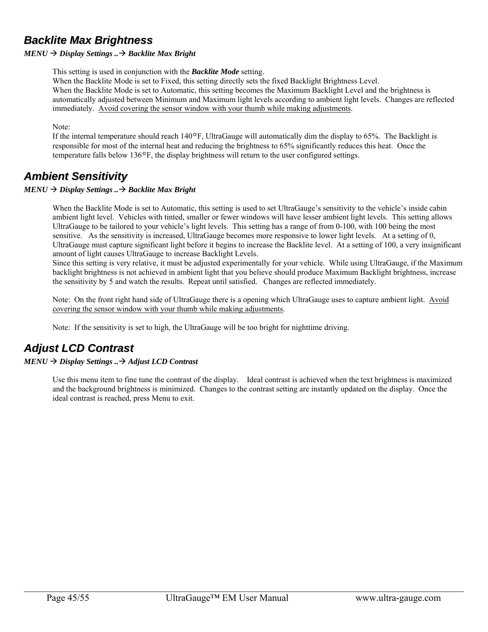## *Backlite Max Brightness*

#### $MENU \rightarrow$  *Display Settings*  $. \rightarrow$  *Backlite Max Bright*

This setting is used in conjunction with the *Backlite Mode* setting.

When the Backlite Mode is set to Fixed, this setting directly sets the fixed Backlight Brightness Level.

When the Backlite Mode is set to Automatic, this setting becomes the Maximum Backlight Level and the brightness is automatically adjusted between Minimum and Maximum light levels according to ambient light levels. Changes are reflected immediately. Avoid covering the sensor window with your thumb while making adjustments.

#### Note:

If the internal temperature should reach  $140^{\circ}$ F, UltraGauge will automatically dim the display to 65%. The Backlight is responsible for most of the internal heat and reducing the brightness to 65% significantly reduces this heat. Once the temperature falls below  $136\text{°F}$ , the display brightness will return to the user configured settings.

## *Ambient Sensitivity*

#### $MENU \rightarrow$  *Display Settings*  $. \rightarrow$  *Backlite Max Bright*

When the Backlite Mode is set to Automatic, this setting is used to set UltraGauge's sensitivity to the vehicle's inside cabin ambient light level. Vehicles with tinted, smaller or fewer windows will have lesser ambient light levels. This setting allows UltraGauge to be tailored to your vehicle's light levels. This setting has a range of from 0-100, with 100 being the most sensitive. As the sensitivity is increased, UltraGauge becomes more responsive to lower light levels. At a setting of 0, UltraGauge must capture significant light before it begins to increase the Backlite level. At a setting of 100, a very insignificant amount of light causes UltraGauge to increase Backlight Levels.

Since this setting is very relative, it must be adjusted experimentally for your vehicle. While using UltraGauge, if the Maximum backlight brightness is not achieved in ambient light that you believe should produce Maximum Backlight brightness, increase the sensitivity by 5 and watch the results. Repeat until satisfied. Changes are reflected immediately.

Note: On the front right hand side of UltraGauge there is a opening which UltraGauge uses to capture ambient light. Avoid covering the sensor window with your thumb while making adjustments.

Note: If the sensitivity is set to high, the UltraGauge will be too bright for nighttime driving.

## *Adjust LCD Contrast*

#### *MENU Display Settings .. Adjust LCD Contrast*

Use this menu item to fine tune the contrast of the display. Ideal contrast is achieved when the text brightness is maximized and the background brightness is minimized. Changes to the contrast setting are instantly updated on the display. Once the ideal contrast is reached, press Menu to exit.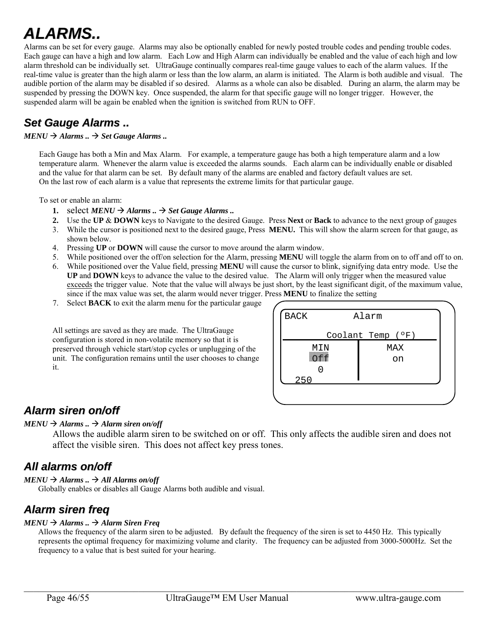# *ALARMS..*

Alarms can be set for every gauge. Alarms may also be optionally enabled for newly posted trouble codes and pending trouble codes. Each gauge can have a high and low alarm. Each Low and High Alarm can individually be enabled and the value of each high and low alarm threshold can be individually set. UltraGauge continually compares real-time gauge values to each of the alarm values. If the real-time value is greater than the high alarm or less than the low alarm, an alarm is initiated. The Alarm is both audible and visual. The audible portion of the alarm may be disabled if so desired. Alarms as a whole can also be disabled. During an alarm, the alarm may be suspended by pressing the DOWN key. Once suspended, the alarm for that specific gauge will no longer trigger. However, the suspended alarm will be again be enabled when the ignition is switched from RUN to OFF.

## *Set Gauge Alarms ..*

#### $MENU \rightarrow$  Alarms ..  $\rightarrow$  *Set Gauge Alarms* ..

Each Gauge has both a Min and Max Alarm. For example, a temperature gauge has both a high temperature alarm and a low temperature alarm. Whenever the alarm value is exceeded the alarms sounds. Each alarm can be individually enable or disabled and the value for that alarm can be set. By default many of the alarms are enabled and factory default values are set. On the last row of each alarm is a value that represents the extreme limits for that particular gauge.

To set or enable an alarm:

- 1. select  $MENU \rightarrow$  Alarms ..  $\rightarrow$  Set Gauge Alarms ..
- **2.** Use the **UP** & **DOWN** keys to Navigate to the desired Gauge. Press **Next** or **Back** to advance to the next group of gauges
- 3. While the cursor is positioned next to the desired gauge, Press **MENU.** This will show the alarm screen for that gauge, as shown below.
- 4. Pressing **UP** or **DOWN** will cause the cursor to move around the alarm window.
- 5. While positioned over the off/on selection for the Alarm, pressing **MENU** will toggle the alarm from on to off and off to on.
- 6. While positioned over the Value field, pressing **MENU** will cause the cursor to blink, signifying data entry mode. Use the **UP** and **DOWN** keys to advance the value to the desired value. The Alarm will only trigger when the measured value exceeds the trigger value. Note that the value will always be just short, by the least significant digit, of the maximum value, since if the max value was set, the alarm would never trigger. Press **MENU** to finalize the setting
- 7. Select **BACK** to exit the alarm menu for the particular gauge

All settings are saved as they are made. The UltraGauge configuration is stored in non-volatile memory so that it is preserved through vehicle start/stop cycles or unplugging of the unit. The configuration remains until the user chooses to change it.

| <b>BACK</b>       | Alarm |  |  |  |
|-------------------|-------|--|--|--|
| Coolant Temp (°F) |       |  |  |  |
| MIN               | MAX   |  |  |  |
| Off               | on    |  |  |  |
|                   |       |  |  |  |
| 250               |       |  |  |  |
|                   |       |  |  |  |

## *Alarm siren on/off*

#### $MENU \rightarrow$  *Alarms* ..  $\rightarrow$  *Alarm siren on/off*

Allows the audible alarm siren to be switched on or off. This only affects the audible siren and does not affect the visible siren. This does not affect key press tones.

## *All alarms on/off*

#### $MENU \rightarrow$  *Alarms* ...  $\rightarrow$  *All Alarms on/off*

Globally enables or disables all Gauge Alarms both audible and visual.

## *Alarm siren freq*

#### $MENU \rightarrow$  *Alarms* ..  $\rightarrow$  *Alarm Siren Freq*

Allows the frequency of the alarm siren to be adjusted. By default the frequency of the siren is set to 4450 Hz. This typically represents the optimal frequency for maximizing volume and clarity. The frequency can be adjusted from 3000-5000Hz. Set the frequency to a value that is best suited for your hearing.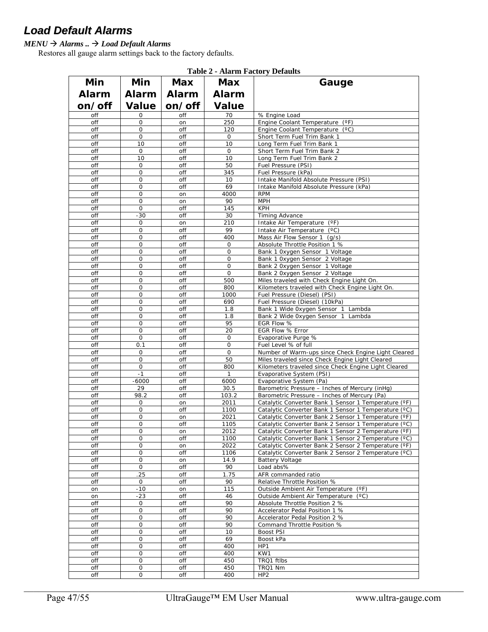## *Load Default Alarms*

#### *MENU Alarms .. Load Default Alarms*

Restores all gauge alarm settings back to the factory defaults.

|              |                     |            |                     | Tadie 4 - Alafiif Pactury Defaults                                                                           |
|--------------|---------------------|------------|---------------------|--------------------------------------------------------------------------------------------------------------|
| Min          | Min                 | Max        | <b>Max</b>          | Gauge                                                                                                        |
| <b>Alarm</b> | Alarm               | Alarm      | Alarm               |                                                                                                              |
| on/off       | <b>Value</b>        | on/off     | <b>Value</b>        |                                                                                                              |
| off          | 0                   | off        | 70                  | % Engine Load                                                                                                |
| off          | 0                   | on         | 250                 | Engine Coolant Temperature<br>$(^{\circ}F)$                                                                  |
| off          | 0                   | off        | 120                 | Engine Coolant Temperature (°C)                                                                              |
| off          | 0                   | off        | 0                   | Short Term Fuel Trim Bank 1                                                                                  |
| off          | 10                  | off        | 10                  | Long Term Fuel Trim Bank 1                                                                                   |
| off          | 0                   | off        | 0                   | Short Term Fuel Trim Bank 2                                                                                  |
| off<br>off   | 10<br>0             | off<br>off | 10<br>50            | Long Term Fuel Trim Bank 2<br>Fuel Pressure (PSI)                                                            |
| off          | 0                   | off        | 345                 | Fuel Pressure (kPa)                                                                                          |
| off          | 0                   | off        | 10                  | Intake Manifold Absolute Pressure (PSI)                                                                      |
| off          | 0                   | off        | 69                  | Intake Manifold Absolute Pressure (kPa)                                                                      |
| off          | 0                   | on         | 4000                | <b>RPM</b>                                                                                                   |
| off          | 0                   | on         | 90                  | <b>MPH</b>                                                                                                   |
| off          | 0                   | off        | 145                 | <b>KPH</b>                                                                                                   |
| off<br>off   | -30<br>0            | off<br>on  | 30<br>210           | <b>Timing Advance</b><br>Intake Air Temperature<br>$(^{\circ}F)$                                             |
| off          | 0                   | off        | 99                  | Intake Air Temperature (°C)                                                                                  |
| off          | 0                   | off        | 400                 | Mass Air Flow Sensor 1<br>(q/s)                                                                              |
| off          | 0                   | off        | 0                   | Absolute Throttle Position 1 %                                                                               |
| off          | $\overline{0}$      | off        | 0                   | Bank 1 Oxygen Sensor 1 Voltage                                                                               |
| off          | 0                   | off        | 0                   | Bank 1 0xygen Sensor 2 Voltage                                                                               |
| off          | $\overline{0}$      | off        | 0                   | Bank 2 0xygen Sensor 1 Voltage                                                                               |
| off<br>off   | 0<br>$\overline{0}$ | off<br>off | $\mathsf{O}$<br>500 | Bank 2 0xygen Sensor 2 Voltage<br>Miles traveled with Check Engine Light On.                                 |
| off          | 0                   | off        | 800                 | Kilometers traveled with Check Engine Light On.                                                              |
| off          | $\overline{0}$      | off        | 1000                | Fuel Pressure (Diesel) (PSI)                                                                                 |
| off          | 0                   | off        | 690                 | Fuel Pressure (Diesel) (10kPa)                                                                               |
| off          | $\overline{0}$      | off        | 1.8                 | Bank 1 Wide 0xygen Sensor 1 Lambda                                                                           |
| off          | 0                   | off        | 1.8                 | Bank 2 Wide Oxygen Sensor 1 Lambda                                                                           |
| off          | $\overline{0}$      | off        | 95                  | EGR Flow %                                                                                                   |
| off<br>off   | 0<br>$\overline{0}$ | off<br>off | 20<br>0             | EGR Flow % Error<br>Evaporative Purge %                                                                      |
| off          | 0.1                 | off        | 0                   | Fuel Level % of full                                                                                         |
| off          | $\mathbf 0$         | off        | $\mathsf{O}$        | Number of Warm-ups since Check Engine Light Cleared                                                          |
| off          | $\mathbf 0$         | off        | 50                  | Miles traveled since Check Engine Light Cleared                                                              |
| off          | 0                   | off        | 800                 | Kilometers traveled since Check Engine Light Cleared                                                         |
| off          | $-1$                | off        | $\mathbf{1}$        | Evaporative System (PSI)                                                                                     |
| off          | $-6000$<br>29       | off        | 6000                | Evaporative System (Pa)                                                                                      |
| off<br>off   | 98.2                | off<br>off | 30.5<br>103.2       | Barometric Pressure - Inches of Mercury (inHg)<br>Barometric Pressure - Inches of Mercury (Pa)               |
| off          | 0                   | on         | 2011                | Catalytic Converter Bank 1 Sensor 1 Temperature (°F)                                                         |
| off          | 0                   | off        | 1100                | Catalytic Converter Bank 1 Sensor 1 Temperature (°C)                                                         |
| off          | 0                   | on         | 2021                | Catalytic Converter Bank 2 Sensor 1 Temperature (°F)                                                         |
| off          | 0                   | off        | 1105                | Catalytic Converter Bank 2 Sensor 1 Temperature (°C)                                                         |
| off          | 0                   | on         | 2012                | Catalytic Converter Bank 1 Sensor 2 Temperature (°F)                                                         |
| off<br>off   | 0<br>0              | off        | 1100<br>2022        | Catalytic Converter Bank 1 Sensor 2 Temperature (°C)<br>Catalytic Converter Bank 2 Sensor 2 Temperature (°F) |
| off          | 0                   | on<br>off  | 1106                | Catalytic Converter Bank 2 Sensor 2 Temperature (°C)                                                         |
| off          | 0                   | on         | 14.9                | <b>Battery Voltage</b>                                                                                       |
| off          | 0                   | off        | 90                  | Load abs%                                                                                                    |
| off          | .25                 | off        | 1.75                | AFR commanded ratio                                                                                          |
| off          | $\mathsf{O}$        | off        | 90                  | Relative Throttle Position %                                                                                 |
| on           | $-10$               | on         | 115                 | Outside Ambient Air Temperature<br>$(^{\circ}F)$                                                             |
| on<br>off    | $-23$<br>0          | off<br>off | 46<br>90            | Outside Ambient Air Temperature<br>$(^{\circ}C)$<br>Absolute Throttle Position 2 %                           |
| off          | 0                   | off        | 90                  | Accelerator Pedal Position 1 %                                                                               |
| off          | 0                   | off        | 90                  | Accelerator Pedal Position 2 %                                                                               |
| off          | 0                   | off        | 90                  | Command Throttle Position %                                                                                  |
| off          | 0                   | off        | 10                  | Boost PSI                                                                                                    |
| off          | 0                   | off        | 69                  | Boost kPa                                                                                                    |
| off          | 0                   | off        | 400                 | HP1                                                                                                          |
| off<br>off   | 0<br>0              | off<br>off | 400<br>450          | KW1<br>TRQ1 ftlbs                                                                                            |
| off          | 0                   | off        | 450                 | TRQ1 Nm                                                                                                      |
| off          | 0                   | off        | 400                 | HP <sub>2</sub>                                                                                              |

**Table 2 - Alarm Factory Defaults**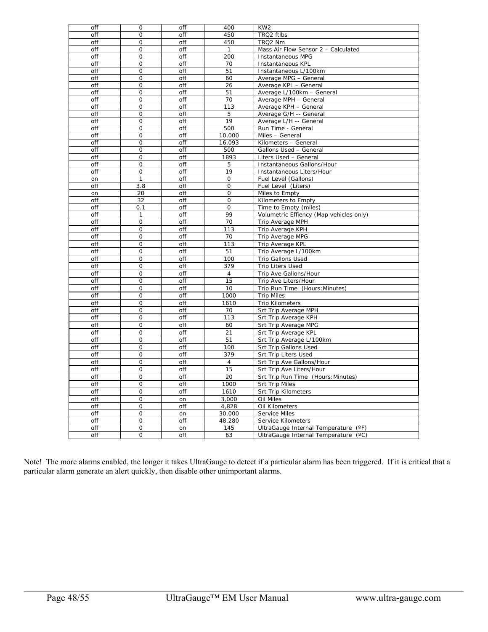| off | $\mathbf{O}$   | off | 400            | KW <sub>2</sub>                         |  |
|-----|----------------|-----|----------------|-----------------------------------------|--|
| off | $\mathbf 0$    | off | 450            | TRQ2 ftlbs                              |  |
| off | 0              | off | 450            | TRQ2 Nm                                 |  |
| off | $\mathbf 0$    | off | 1              | Mass Air Flow Sensor 2 - Calculated     |  |
| off | 0              | off | 200            | Instantaneous MPG                       |  |
| off | $\overline{0}$ | off | 70             | Instantaneous KPL                       |  |
| off | $\mathbf 0$    | off | 51             | Instantaneous L/100km                   |  |
| off | 0              | off | 60             | Average MPG - General                   |  |
| off | 0              | off | 26             | Average KPL - General                   |  |
| off | 0              | off | 51             | Average L/100km - General               |  |
| off | 0              | off | 70             | Average MPH - General                   |  |
| off | $\mathbf 0$    | off | 113            | Average KPH - General                   |  |
| off | 0              | off | 5              | Average G/H -- General                  |  |
| off | $\mathbf 0$    | off | 19             | Average L/H -- General                  |  |
| off | 0              | off | 500            | Run Time - General                      |  |
| off | $\overline{0}$ | off | 10,000         | Miles - General                         |  |
| off | 0              | off | 16,093         |                                         |  |
|     |                |     |                | Kilometers - General                    |  |
| off | $\overline{0}$ | off | 500            | Gallons Used - General                  |  |
| off | $\Omega$       | off | 1893           | Liters Used - General                   |  |
| off | O              | off | 5              | Instantaneous Gallons/Hour              |  |
| off | $\mathbf 0$    | off | 19             | Instantaneous Liters/Hour               |  |
| on  | 1              | off | $\circ$        | Fuel Level (Gallons)                    |  |
| off | 3.8            | off | 0              | Fuel Level (Liters)                     |  |
| on  | 20             | off | $\mathsf{O}$   | Miles to Empty                          |  |
| off | 32             | off | $\Omega$       | Kilometers to Empty                     |  |
| off | 0.1            | off | $\mathsf{O}$   | Time to Empty (miles)                   |  |
| off | 1              | off | 99             | Volumetric Effiency (Map vehicles only) |  |
| off | $\overline{0}$ | off | 70             | Trip Average MPH                        |  |
| off | $\mathbf 0$    | off | 113            | Trip Average KPH                        |  |
| off | $\mathsf{O}$   | off | 70             | Trip Average MPG                        |  |
| off | 0              | off | 113            | Trip Average KPL                        |  |
| off | $\mathbf 0$    | off | 51             | Trip Average L/100km                    |  |
| off | 0              | off | 100            | Trip Gallons Used                       |  |
| off | $\mathbf 0$    | off | 379            | <b>Trip Liters Used</b>                 |  |
| off | 0              | off | 4              | Trip Ave Gallons/Hour                   |  |
| off | 0              |     | 15             |                                         |  |
|     |                | off |                | Trip Ave Liters/Hour                    |  |
| off | $\mathbf 0$    | off | 10             | Trip Run Time (Hours: Minutes)          |  |
| off | 0              | off | 1000           | <b>Trip Miles</b>                       |  |
| off | $\Omega$       | off | 1610           | <b>Trip Kilometers</b>                  |  |
| off | $\mathsf O$    | off | 70             | Srt Trip Average MPH                    |  |
| off | $\mathbf 0$    | off | 113            | Srt Trip Average KPH                    |  |
| off | $\overline{O}$ | off | 60             | Srt Trip Average MPG                    |  |
| off | $\mathbf 0$    | off | 21             | Srt Trip Average KPL                    |  |
| off | $\mathbf 0$    | off | 51             | Srt Trip Average L/100km                |  |
| off | $\mathsf{O}$   | off | 100            | <b>Srt Trip Gallons Used</b>            |  |
| off | $\overline{0}$ | off | 379            | Srt Trip Liters Used                    |  |
| off | 0              | off | $\overline{4}$ | Srt Trip Ave Gallons/Hour               |  |
| off | 0              | off | 15             | Srt Trip Ave Liters/Hour                |  |
| off | 0              | off | 20             | Srt Trip Run Time (Hours: Minutes)      |  |
| off | 0              | off | 1000           | <b>Srt Trip Miles</b>                   |  |
| off | $\overline{0}$ | off | 1610           | <b>Srt Trip Kilometers</b>              |  |
|     |                |     |                |                                         |  |
| off | $\mathbf 0$    | on  | 3,000          | Oil Miles                               |  |
| off | 0              | off | 4,828          | Oil Kilometers                          |  |
| off | 0              | on  | 30,000         | Service Miles                           |  |
| off | 0              | off | 48,280         | Service Kilometers                      |  |
| off | $\mathbf 0$    | on  | 145            | UltraGauge Internal Temperature (°F)    |  |
| off | $\overline{0}$ | off | 63             | UltraGauge Internal Temperature (°C)    |  |

Note! The more alarms enabled, the longer it takes UltraGauge to detect if a particular alarm has been triggered. If it is critical that a particular alarm generate an alert quickly, then disable other unimportant alarms.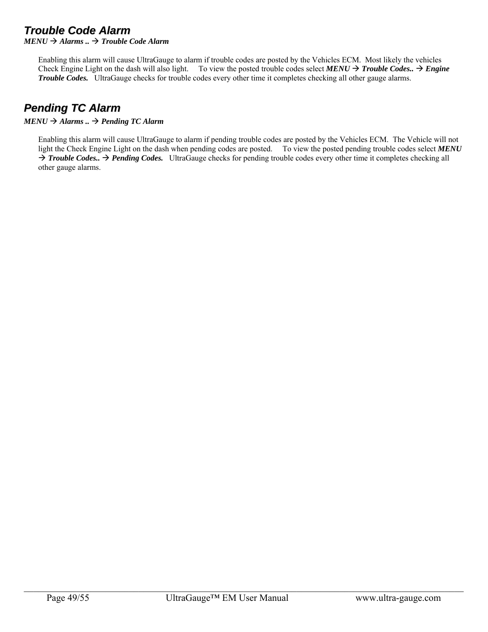## *Trouble Code Alarm*

 $MENU \rightarrow$  *Alarms*  $\ldots \rightarrow$  *Trouble Code Alarm* 

Enabling this alarm will cause UltraGauge to alarm if trouble codes are posted by the Vehicles ECM. Most likely the vehicles Check Engine Light on the dash will also light. To view the posted trouble codes select  $MENU \rightarrow Trouble Codes.$   $\rightarrow$  *Engine Trouble Codes.* UltraGauge checks for trouble codes every other time it completes checking all other gauge alarms.

## *Pending TC Alarm*

#### $MENU \rightarrow$  *Alarms* ..  $\rightarrow$  *Pending TC Alarm*

Enabling this alarm will cause UltraGauge to alarm if pending trouble codes are posted by the Vehicles ECM. The Vehicle will not light the Check Engine Light on the dash when pending codes are posted. To view the posted pending trouble codes select *MENU* → *Trouble Codes..* → *Pending Codes.* UltraGauge checks for pending trouble codes every other time it completes checking all other gauge alarms.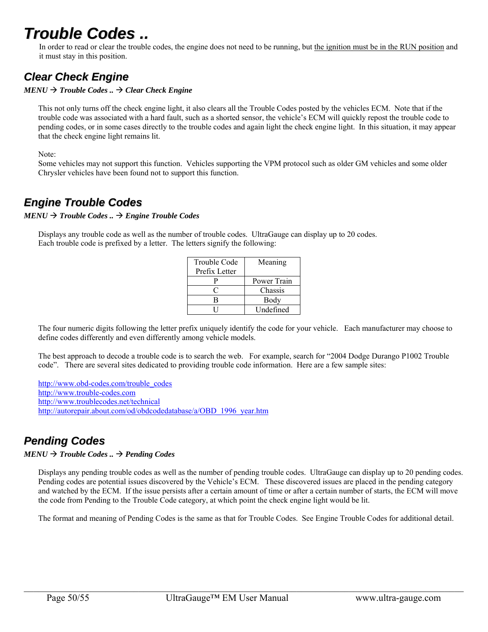## *Trouble Codes ..*

In order to read or clear the trouble codes, the engine does not need to be running, but the ignition must be in the RUN position and it must stay in this position.

## *Clear Check Engine*

 $MENU \rightarrow$  *Trouble Codes* ..  $\rightarrow$  *Clear Check Engine* 

This not only turns off the check engine light, it also clears all the Trouble Codes posted by the vehicles ECM. Note that if the trouble code was associated with a hard fault, such as a shorted sensor, the vehicle's ECM will quickly repost the trouble code to pending codes, or in some cases directly to the trouble codes and again light the check engine light. In this situation, it may appear that the check engine light remains lit.

Note:

Some vehicles may not support this function. Vehicles supporting the VPM protocol such as older GM vehicles and some older Chrysler vehicles have been found not to support this function.

## *Engine Trouble Codes*

 $MENU \rightarrow$  *Trouble Codes* ..  $\rightarrow$  *Engine Trouble Codes* 

Displays any trouble code as well as the number of trouble codes. UltraGauge can display up to 20 codes. Each trouble code is prefixed by a letter. The letters signify the following:

| Trouble Code  | Meaning     |
|---------------|-------------|
| Prefix Letter |             |
|               | Power Train |
|               | Chassis     |
| R             | Body        |
|               | Undefined   |

The four numeric digits following the letter prefix uniquely identify the code for your vehicle. Each manufacturer may choose to define codes differently and even differently among vehicle models.

The best approach to decode a trouble code is to search the web. For example, search for "2004 Dodge Durango P1002 Trouble code". There are several sites dedicated to providing trouble code information. Here are a few sample sites:

http://www.obd-codes.com/trouble\_codes http://www.trouble-codes.com http://www.troublecodes.net/technical http://autorepair.about.com/od/obdcodedatabase/a/OBD\_1996\_year.htm

## *Pending Codes*

 $MENU \rightarrow$  *Trouble Codes* ..  $\rightarrow$  *Pending Codes* 

Displays any pending trouble codes as well as the number of pending trouble codes. UltraGauge can display up to 20 pending codes. Pending codes are potential issues discovered by the Vehicle's ECM. These discovered issues are placed in the pending category and watched by the ECM. If the issue persists after a certain amount of time or after a certain number of starts, the ECM will move the code from Pending to the Trouble Code category, at which point the check engine light would be lit.

The format and meaning of Pending Codes is the same as that for Trouble Codes. See Engine Trouble Codes for additional detail.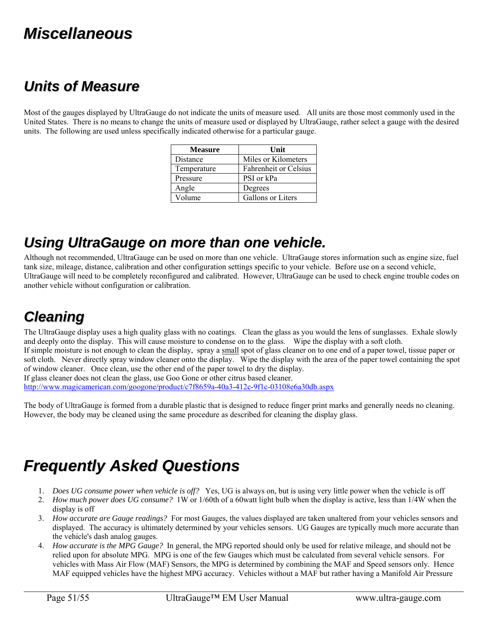## *Miscellaneous*

## *Units of Measure*

Most of the gauges displayed by UltraGauge do not indicate the units of measure used. All units are those most commonly used in the United States. There is no means to change the units of measure used or displayed by UltraGauge, rather select a gauge with the desired units. The following are used unless specifically indicated otherwise for a particular gauge.

| <b>Measure</b> | Unit                         |
|----------------|------------------------------|
| Distance       | Miles or Kilometers          |
| Temperature    | <b>Fahrenheit or Celsius</b> |
| Pressure       | PSI or kPa                   |
| Angle          | Degrees                      |
| Volume         | Gallons or Liters            |

## *Using UltraGauge on more than one vehicle.*

Although not recommended, UltraGauge can be used on more than one vehicle. UltraGauge stores information such as engine size, fuel tank size, mileage, distance, calibration and other configuration settings specific to your vehicle. Before use on a second vehicle, UltraGauge will need to be completely reconfigured and calibrated. However, UltraGauge can be used to check engine trouble codes on another vehicle without configuration or calibration.

## *Cleaning*

The UltraGauge display uses a high quality glass with no coatings. Clean the glass as you would the lens of sunglasses. Exhale slowly and deeply onto the display. This will cause moisture to condense on to the glass. Wipe the display with a soft cloth. If simple moisture is not enough to clean the display, spray a small spot of glass cleaner on to one end of a paper towel, tissue paper or soft cloth. Never directly spray window cleaner onto the display. Wipe the display with the area of the paper towel containing the spot of window cleaner. Once clean, use the other end of the paper towel to dry the display. If glass cleaner does not clean the glass, use Goo Gone or other citrus based cleaner.

http://www.magicamerican.com/googone/product/c7f8659a-40a3-412c-9f1c-03108e6a30db.aspx

The body of UltraGauge is formed from a durable plastic that is designed to reduce finger print marks and generally needs no cleaning. However, the body may be cleaned using the same procedure as described for cleaning the display glass.

## *Frequently Asked Questions*

- 1. *Does UG consume power when vehicle is off?* Yes, UG is always on, but is using very little power when the vehicle is off
- 2. *How much power does UG consume?* 1W or 1/60th of a 60watt light bulb when the display is active, less than 1/4W when the display is off
- 3. *How accurate are Gauge readings?* For most Gauges, the values displayed are taken unaltered from your vehicles sensors and displayed. The accuracy is ultimately determined by your vehicles sensors. UG Gauges are typically much more accurate than the vehicle's dash analog gauges.
- 4. *How accurate is the MPG Gauge?* In general, the MPG reported should only be used for relative mileage, and should not be relied upon for absolute MPG. MPG is one of the few Gauges which must be calculated from several vehicle sensors. For vehicles with Mass Air Flow (MAF) Sensors, the MPG is determined by combining the MAF and Speed sensors only. Hence MAF equipped vehicles have the highest MPG accuracy. Vehicles without a MAF but rather having a Manifold Air Pressure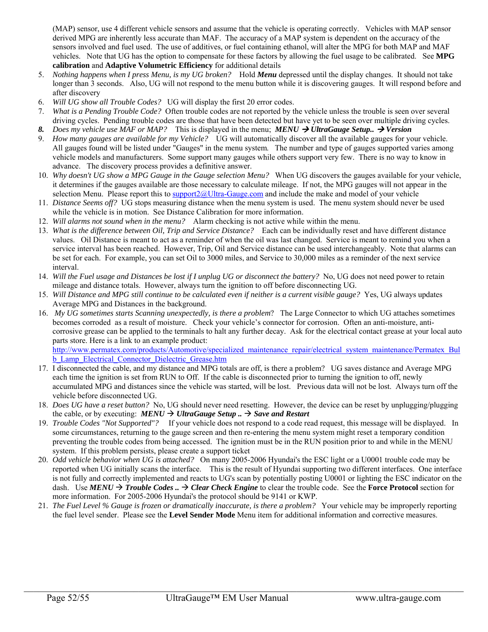(MAP) sensor, use 4 different vehicle sensors and assume that the vehicle is operating correctly. Vehicles with MAP sensor derived MPG are inherently less accurate than MAF. The accuracy of a MAP system is dependent on the accuracy of the sensors involved and fuel used. The use of additives, or fuel containing ethanol, will alter the MPG for both MAP and MAF vehicles. Note that UG has the option to compensate for these factors by allowing the fuel usage to be calibrated. See **MPG calibration** and **Adaptive Volumetric Efficiency** for additional details

- 5. *Nothing happens when I press Menu, is my UG broken?* Hold *Menu* depressed until the display changes. It should not take longer than 3 seconds. Also, UG will not respond to the menu button while it is discovering gauges. It will respond before and after discovery
- 6. *Will UG show all Trouble Codes?* UG will display the first 20 error codes.
- 7. *What is a Pending Trouble Code?* Often trouble codes are not reported by the vehicle unless the trouble is seen over several driving cycles. Pending trouble codes are those that have been detected but have yet to be seen over multiple driving cycles.
- 8. *Does my vehicle use MAF or MAP?* This is displayed in the menu; *MENU*  $\rightarrow$  *UltraGauge Setup..*  $\rightarrow$  Version
- 9. *How many gauges are available for my Vehicle?* UG will automatically discover all the available gauges for your vehicle. All gauges found will be listed under "Gauges" in the menu system. The number and type of gauges supported varies among vehicle models and manufacturers. Some support many gauges while others support very few. There is no way to know in advance. The discovery process provides a definitive answer.
- 10. *Why doesn't UG show a MPG Gauge in the Gauge selection Menu?* When UG discovers the gauges available for your vehicle, it determines if the gauges available are those necessary to calculate mileage. If not, the MPG gauges will not appear in the selection Menu. Please report this to support2@Ultra-Gauge.com and include the make and model of your vehicle
- 11. *Distance Seems off?* UG stops measuring distance when the menu system is used. The menu system should never be used while the vehicle is in motion. See Distance Calibration for more information.
- 12. *Will alarms not sound when in the menu?* Alarm checking is not active while within the menu.
- 13. *What is the difference between Oil, Trip and Service Distance?* Each can be individually reset and have different distance values. Oil Distance is meant to act as a reminder of when the oil was last changed. Service is meant to remind you when a service interval has been reached. However, Trip, Oil and Service distance can be used interchangeably. Note that alarms can be set for each. For example, you can set Oil to 3000 miles, and Service to 30,000 miles as a reminder of the next service interval.
- 14. *Will the Fuel usage and Distances be lost if I unplug UG or disconnect the battery?* No, UG does not need power to retain mileage and distance totals. However, always turn the ignition to off before disconnecting UG.
- 15. *Will Distance and MPG still continue to be calculated even if neither is a current visible gauge?* Yes, UG always updates Average MPG and Distances in the background.
- 16. *My UG sometimes starts Scanning unexpectedly, is there a problem*? The Large Connector to which UG attaches sometimes becomes corroded as a result of moisture. Check your vehicle's connector for corrosion. Often an anti-moisture, anticorrosive grease can be applied to the terminals to halt any further decay. Ask for the electrical contact grease at your local auto parts store. Here is a link to an example product:

http://www.permatex.com/products/Automotive/specialized\_maintenance\_repair/electrical\_system\_maintenance/Permatex\_Bul **b\_Lamp\_Electrical\_Connector\_Dielectric\_Grease.htm** 

- 17. I disconnected the cable, and my distance and MPG totals are off, is there a problem? UG saves distance and Average MPG each time the ignition is set from RUN to Off. If the cable is disconnected prior to turning the ignition to off, newly accumulated MPG and distances since the vehicle was started, will be lost. Previous data will not be lost. Always turn off the vehicle before disconnected UG.
- 18. *Does UG have a reset button?* No, UG should never need resetting. However, the device can be reset by unplugging/plugging the cable, or by executing:  $MENU \rightarrow UltraGauge Setup.$   $\rightarrow$  *Save and Restart*
- 19. *Trouble Codes "Not Supported"?* If your vehicle does not respond to a code read request, this message will be displayed. In some circumstances, returning to the gauge screen and then re-entering the menu system might reset a temporary condition preventing the trouble codes from being accessed. The ignition must be in the RUN position prior to and while in the MENU system. If this problem persists, please create a support ticket
- 20. *Odd vehicle behavior when UG is attached?* On many 2005-2006 Hyundai's the ESC light or a U0001 trouble code may be reported when UG initially scans the interface. This is the result of Hyundai supporting two different interfaces. One interface is not fully and correctly implemented and reacts to UG's scan by potentially posting U0001 or lighting the ESC indicator on the dash. Use  $MEMU \rightarrow Trouble Codes.. \rightarrow Clear Check Engine$  to clear the trouble code. See the **Force Protocol** section for more information. For 2005-2006 Hyundai's the protocol should be 9141 or KWP.
- 21. *The Fuel Level % Gauge is frozen or dramatically inaccurate, is there a problem?* Your vehicle may be improperly reporting the fuel level sender. Please see the **Level Sender Mode** Menu item for additional information and corrective measures.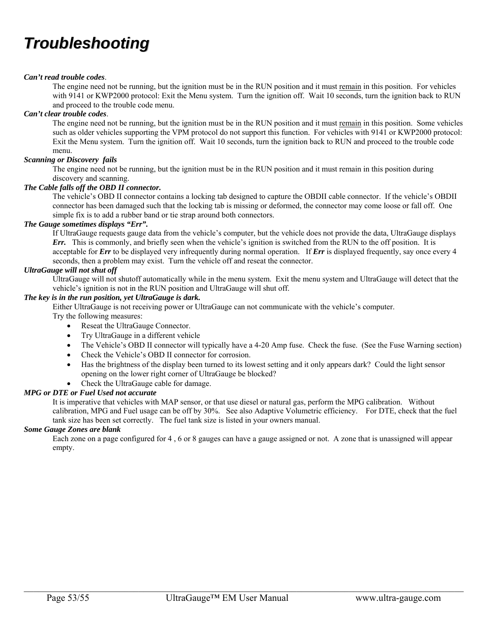## *Troubleshooting*

#### *Can't read trouble codes*.

The engine need not be running, but the ignition must be in the RUN position and it must remain in this position. For vehicles with 9141 or KWP2000 protocol: Exit the Menu system. Turn the ignition off. Wait 10 seconds, turn the ignition back to RUN and proceed to the trouble code menu.

#### *Can't clear trouble codes*.

The engine need not be running, but the ignition must be in the RUN position and it must remain in this position. Some vehicles such as older vehicles supporting the VPM protocol do not support this function. For vehicles with 9141 or KWP2000 protocol: Exit the Menu system. Turn the ignition off. Wait 10 seconds, turn the ignition back to RUN and proceed to the trouble code menu.

#### *Scanning or Discovery fails*

The engine need not be running, but the ignition must be in the RUN position and it must remain in this position during discovery and scanning.

#### *The Cable falls off the OBD II connector.*

The vehicle's OBD II connector contains a locking tab designed to capture the OBDII cable connector. If the vehicle's OBDII connector has been damaged such that the locking tab is missing or deformed, the connector may come loose or fall off. One simple fix is to add a rubber band or tie strap around both connectors.

#### *The Gauge sometimes displays "Err".*

If UltraGauge requests gauge data from the vehicle's computer, but the vehicle does not provide the data, UltraGauge displays *Err.* This is commonly, and briefly seen when the vehicle's ignition is switched from the RUN to the off position. It is acceptable for *Err* to be displayed very infrequently during normal operation. If *Err* is displayed frequently, say once every 4 seconds, then a problem may exist. Turn the vehicle off and reseat the connector.

#### *UltraGauge will not shut off*

UltraGauge will not shutoff automatically while in the menu system. Exit the menu system and UltraGauge will detect that the vehicle's ignition is not in the RUN position and UltraGauge will shut off.

#### *The key is in the run position, yet UltraGauge is dark.*

Either UltraGauge is not receiving power or UltraGauge can not communicate with the vehicle's computer.

Try the following measures:

- Reseat the UltraGauge Connector.
- Try UltraGauge in a different vehicle
- The Vehicle's OBD II connector will typically have a 4-20 Amp fuse. Check the fuse. (See the Fuse Warning section)
- Check the Vehicle's OBD II connector for corrosion.
- Has the brightness of the display been turned to its lowest setting and it only appears dark? Could the light sensor opening on the lower right corner of UltraGauge be blocked?
- Check the UltraGauge cable for damage.

#### *MPG or DTE or Fuel Used not accurate*

It is imperative that vehicles with MAP sensor, or that use diesel or natural gas, perform the MPG calibration. Without calibration, MPG and Fuel usage can be off by 30%. See also Adaptive Volumetric efficiency. For DTE, check that the fuel tank size has been set correctly. The fuel tank size is listed in your owners manual.

#### *Some Gauge Zones are blank*

Each zone on a page configured for 4 , 6 or 8 gauges can have a gauge assigned or not. A zone that is unassigned will appear empty.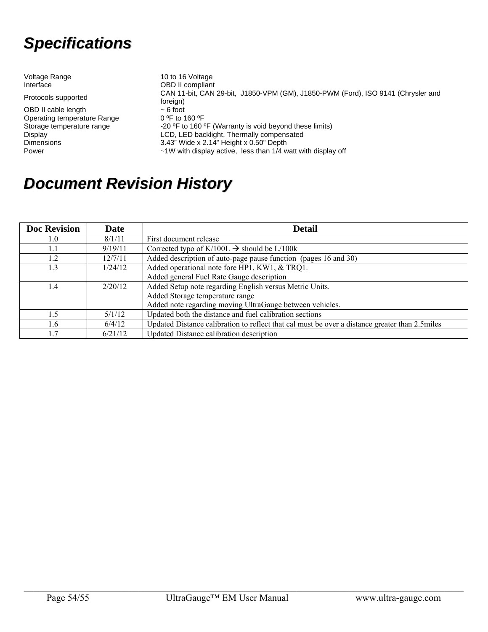## *Specifications*

| Voltage Range<br>Interface                                                  | 10 to 16 Voltage<br><b>OBD II compliant</b>                                                  |
|-----------------------------------------------------------------------------|----------------------------------------------------------------------------------------------|
| Protocols supported                                                         | CAN 11-bit, CAN 29-bit, J1850-VPM (GM), J1850-PWM (Ford), ISO 9141 (Chrysler and<br>foreign) |
| OBD II cable length                                                         | $\sim$ 6 foot                                                                                |
| Operating temperature Range                                                 | $0.9$ F to 160 $9$ F                                                                         |
| Storage temperature range                                                   | -20 °F to 160 °F (Warranty is void beyond these limits)                                      |
| LCD, LED backlight, Thermally compensated<br>Display                        |                                                                                              |
| 3.43" Wide x 2.14" Height x 0.50" Depth<br><b>Dimensions</b>                |                                                                                              |
| $\sim$ 1W with display active, less than 1/4 watt with display off<br>Power |                                                                                              |

## *Document Revision History*

| <b>Doc Revision</b> | Date    | <b>Detail</b>                                                                                   |  |
|---------------------|---------|-------------------------------------------------------------------------------------------------|--|
| 1.0                 | 8/1/11  | First document release                                                                          |  |
| 1.1                 | 9/19/11 | Corrected typo of K/100L $\rightarrow$ should be L/100k                                         |  |
| 1.2                 | 12/7/11 | Added description of auto-page pause function (pages 16 and 30)                                 |  |
| 1.3                 | 1/24/12 | Added operational note fore HP1, KW1, & TRQ1.                                                   |  |
|                     |         | Added general Fuel Rate Gauge description                                                       |  |
| 1.4                 | 2/20/12 | Added Setup note regarding English versus Metric Units.                                         |  |
|                     |         | Added Storage temperature range                                                                 |  |
|                     |         | Added note regarding moving UltraGauge between vehicles.                                        |  |
| 1.5                 | 5/1/12  | Updated both the distance and fuel calibration sections                                         |  |
| 1.6                 | 6/4/12  | Updated Distance calibration to reflect that cal must be over a distance greater than 2.5 miles |  |
| 1.7                 | 6/21/12 | Updated Distance calibration description                                                        |  |